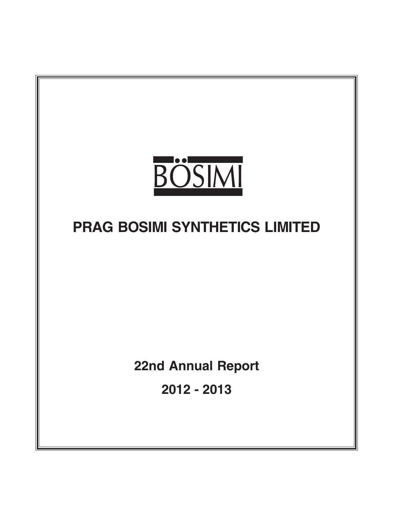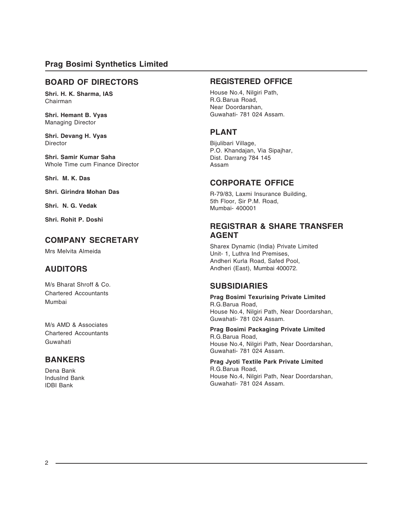# **BOARD OF DIRECTORS**

**Shri. H. K. Sharma, IAS** Chairman

**Shri. Hemant B. Vyas** Managing Director

**Shri. Devang H. Vyas** Director

**Shri. Samir Kumar Saha** Whole Time cum Finance Director

**Shri. M. K. Das**

**Shri. Girindra Mohan Das**

**Shri. N. G. Vedak**

**Shri. Rohit P. Doshi**

# **COMPANY SECRETARY**

Mrs Melvita Almeida

# **AUDITORS**

M/s Bharat Shroff & Co. Chartered Accountants Mumbai

M/s AMD & Associates Chartered Accountants Guwahati

# **BANKERS**

Dena Bank IndusInd Bank IDBI Bank

# **REGISTERED OFFICE**

House No.4, Nilgiri Path, R.G.Barua Road, Near Doordarshan, Guwahati- 781 024 Assam.

# **PLANT**

Bijulibari Village, P.O. Khandajan, Via Sipajhar, Dist. Darrang 784 145 Assam

# **CORPORATE OFFICE**

R-79/83, Laxmi Insurance Building, 5th Floor, Sir P.M. Road, Mumbai- 400001

# **REGISTRAR & SHARE TRANSFER AGENT**

Sharex Dynamic (India) Private Limited Unit- 1, Luthra Ind Premises, Andheri Kurla Road, Safed Pool, Andheri (East), Mumbai 400072.

# **SUBSIDIARIES**

**Prag Bosimi Texurising Private Limited** R.G.Barua Road, House No.4, Nilgiri Path, Near Doordarshan, Guwahati- 781 024 Assam.

**Prag Bosimi Packaging Private Limited**

R.G.Barua Road, House No.4, Nilgiri Path, Near Doordarshan, Guwahati- 781 024 Assam.

**Prag Jyoti Textile Park Private Limited** R.G.Barua Road, House No.4, Nilgiri Path, Near Doordarshan, Guwahati- 781 024 Assam.

 $\mathfrak{O}$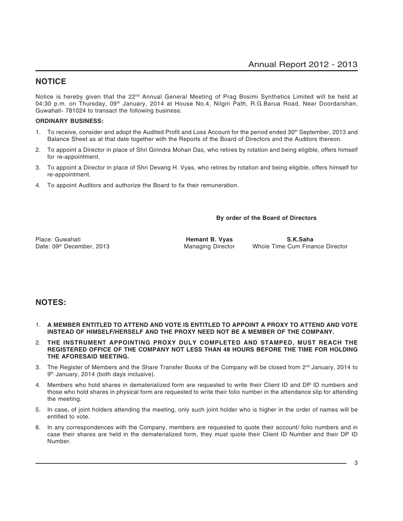## **NOTICE**

Notice is hereby given that the 22<sup>nd</sup> Annual General Meeting of Prag Bosimi Synthetics Limited will be held at 04:30 p.m. on Thursday, 09th January, 2014 at House No.4, Nilgiri Path, R.G.Barua Road, Near Doordarshan, Guwahati- 781024 to transact the following business:

### **ORDINARY BUSINESS:**

- 1. To receive, consider and adopt the Audited Profit and Loss Account for the period ended 30<sup>th</sup> September, 2013 and Balance Sheet as at that date together with the Reports of the Board of Directors and the Auditors thereon.
- 2. To appoint a Director in place of Shri Girindra Mohan Das, who retires by rotation and being eligible, offers himself for re-appointment.
- 3. To appoint a Director in place of Shri Devang H. Vyas, who retires by rotation and being eligible, offers himself for re-appointment.
- 4. To appoint Auditors and authorize the Board to fix their remuneration.

### **By order of the Board of Directors**

Place: Guwahati **Hemant B. Vyas S.K.Saha**

Date: 09th December, 2013 Managing Director Whole Time Cum Finance Director

# **NOTES:**

- 1. **A MEMBER ENTITLED TO ATTEND AND VOTE IS ENTITLED TO APPOINT A PROXY TO ATTEND AND VOTE INSTEAD OF HIMSELF/HERSELF AND THE PROXY NEED NOT BE A MEMBER OF THE COMPANY.**
- 2. **THE INSTRUMENT APPOINTING PROXY DULY COMPLETED AND STAMPED, MUST REACH THE REGISTERED OFFICE OF THE COMPANY NOT LESS THAN 48 HOURS BEFORE THE TIME FOR HOLDING THE AFORESAID MEETING.**
- 3. The Register of Members and the Share Transfer Books of the Company will be closed from 2<sup>nd</sup> January, 2014 to 9<sup>th</sup> January, 2014 (both days inclusive).
- 4. Members who hold shares in dematerialized form are requested to write their Client ID and DP ID numbers and those who hold shares in physical form are requested to write their folio number in the attendance slip for attending the meeting.
- 5. In case**.** of joint holders attending the meeting, only such joint holder who is higher in the order of names will be entitled to vote.
- 6. In any correspondences with the Company, members are requested to quote their account/ folio numbers and in case their shares are held in the dematerialized form, they must quote their Client ID Number and their DP ID Number.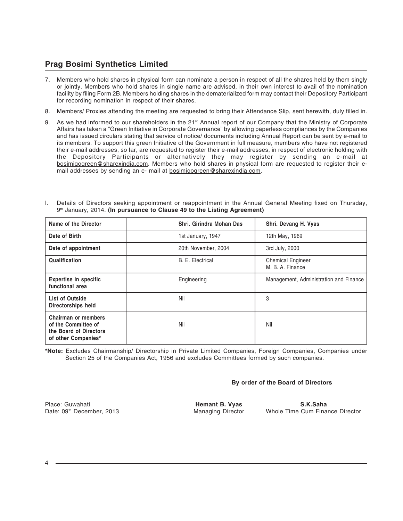- 7. Members who hold shares in physical form can nominate a person in respect of all the shares held by them singly or jointly. Members who hold shares in single name are advised, in their own interest to avail of the nomination facility by filing Form 2B. Members holding shares in the dematerialized form may contact their Depository Participant for recording nomination in respect of their shares.
- 8. Members/ Proxies attending the meeting are requested to bring their Attendance Slip, sent herewith, duly filled in.
- 9. As we had informed to our shareholders in the 21<sup>st</sup> Annual report of our Company that the Ministry of Corporate Affairs has taken a "Green Initiative in Corporate Governance" by allowing paperless compliances by the Companies and has issued circulars stating that service of notice/ documents including Annual Report can be sent by e-mail to its members. To support this green Initiative of the Government in full measure, members who have not registered their e-mail addresses, so far, are requested to register their e-mail addresses, in respect of electronic holding with the Depository Participants or alternatively they may register by sending an e-mail at bosimigogreen@sharexindia.com. Members who hold shares in physical form are requested to register their email addresses by sending an e- mail at bosimigogreen@sharexindia.com.
- I. Details of Directors seeking appointment or reappointment in the Annual General Meeting fixed on Thursday, 9th January, 2014. **(In pursuance to Clause 49 to the Listing Agreement)**

| Name of the Director                                                                        | Shri, Girindra Mohan Das | Shri. Devang H. Vyas                         |
|---------------------------------------------------------------------------------------------|--------------------------|----------------------------------------------|
| Date of Birth                                                                               | 1st January, 1947        | 12th May, 1969                               |
| Date of appointment                                                                         | 20th November, 2004      | 3rd July, 2000                               |
| Qualification                                                                               | B. E. Electrical         | <b>Chemical Engineer</b><br>M. B. A. Finance |
| <b>Expertise in specific</b><br>functional area                                             | Engineering              | Management, Administration and Finance       |
| <b>List of Outside</b><br>Directorships held                                                | Nil                      | 3                                            |
| Chairman or members<br>of the Committee of<br>the Board of Directors<br>of other Companies* | Nil                      | Nil                                          |

**\*Note:** Excludes Chairmanship/ Directorship in Private Limited Companies, Foreign Companies, Companies under Section 25 of the Companies Act, 1956 and excludes Committees formed by such companies.

## **By order of the Board of Directors**

Place: Guwahati **Hemant B. Vyas S.K.Saha**

Date: 09th December, 2013 Managing Director Whole Time Cum Finance Director

4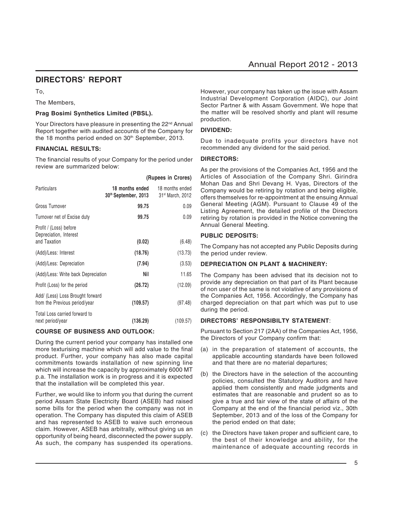# **DIRECTORS' REPORT**

To,

The Members,

### **Prag Bosimi Synthetics Limited (PBSL).**

Your Directors have pleasure in presenting the 22<sup>nd</sup> Annual Report together with audited accounts of the Company for the 18 months period ended on 30<sup>th</sup> September, 2013.

## **FINANCIAL RESULTS:**

The financial results of your Company for the period under review are summarized below:

|                                                                   |                                         | (Rupees in Crores)                              |
|-------------------------------------------------------------------|-----------------------------------------|-------------------------------------------------|
| Particulars                                                       | 18 months ended<br>30th September, 2013 | 18 months ended<br>31 <sup>st</sup> March, 2012 |
| Gross Turnover                                                    | 99.75                                   | 0.09                                            |
| Turnover net of Excise duty                                       | 99.75                                   | 0.09                                            |
| Profit / (Loss) before<br>Depreciation, Interest<br>and Taxation  | (0.02)                                  | (6.48)                                          |
| (Add)/Less: Interest                                              | (18.76)                                 | (13.73)                                         |
| (Add)/Less: Depreciation                                          | (7.94)                                  | (3.53)                                          |
| (Add)/Less: Write back Depreciation                               | Nil                                     | 11.65                                           |
| Profit (Loss) for the period                                      | (26.72)                                 | (12.09)                                         |
| Add/ (Less) Loss Brought forward<br>from the Previous period/year | (109.57)                                | (97.48)                                         |
| Total Loss carried forward to<br>next period/year                 | (136.29)                                | (109.57)                                        |

### **COURSE OF BUSINESS AND OUTLOOK:**

During the current period your company has installed one more texturising machine which will add value to the final product. Further, your company has also made capital commitments towards installation of new spinning line which will increase the capacity by approximately 6000 MT p.a. The installation work is in progress and it is expected that the installation will be completed this year.

Further, we would like to inform you that during the current period Assam State Electricity Board (ASEB) had raised some bills for the period when the company was not in operation. The Company has disputed this claim of ASEB and has represented to ASEB to waive such erroneous claim. However, ASEB has arbitrally, without giving us an opportunity of being heard, disconnected the power supply. As such, the company has suspended its operations. However, your company has taken up the issue with Assam Industrial Development Corporation (AIDC), our Joint Sector Partner & with Assam Government. We hope that the matter will be resolved shortly and plant will resume production.

## **DIVIDEND:**

Due to inadequate profits your directors have not recommended any dividend for the said period.

## **DIRECTORS:**

As per the provisions of the Companies Act, 1956 and the Articles of Association of the Company Shri. Girindra Mohan Das and Shri Devang H. Vyas, Directors of the Company would be retiring by rotation and being eligible, offers themselves for re-appointment at the ensuing Annual General Meeting (AGM). Pursuant to Clause 49 of the Listing Agreement, the detailed profile of the Directors retiring by rotation is provided in the Notice convening the Annual General Meeting.

## **PUBLIC DEPOSITS:**

The Company has not accepted any Public Deposits during the period under review.

### **DEPRECIATION ON PLANT & MACHINERY:**

The Company has been advised that its decision not to provide any depreciation on that part of its Plant because of non user of the same is not violative of any provisions of the Companies Act, 1956. Accordingly, the Company has charged depreciation on that part which was put to use during the period.

### **DIRECTORS' RESPONSIBILTY STATEMENT**:

Pursuant to Section 217 (2AA) of the Companies Act, 1956, the Directors of your Company confirm that:

- (a) in the preparation of statement of accounts, the applicable accounting standards have been followed and that there are no material departures;
- (b) the Directors have in the selection of the accounting policies, consulted the Statutory Auditors and have applied them consistently and made judgments and estimates that are reasonable and prudent so as to give a true and fair view of the state of affairs of the Company at the end of the financial period viz., 30th September, 2013 and of the loss of the Company for the period ended on that date;
- (c) the Directors have taken proper and sufficient care, to the best of their knowledge and ability, for the maintenance of adequate accounting records in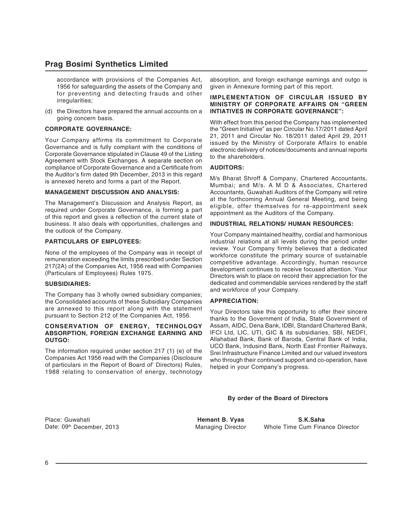accordance with provisions of the Companies Act, 1956 for safeguarding the assets of the Company and for preventing and detecting frauds and other irregularities;

(d) the Directors have prepared the annual accounts on a going concern basis.

## **CORPORATE GOVERNANCE:**

Your Company affirms its commitment to Corporate Governance and is fully compliant with the conditions of Corporate Governance stipulated in Clause 49 of the Listing Agreement with Stock Exchanges. A separate section on compliance of Corporate Governance and a Certificate from the Auditor's firm dated 9th December, 2013 in this regard is annexed hereto and forms a part of the Report.

### **MANAGEMENT DISCUSSION AND ANALYSIS:**

The Management's Discussion and Analysis Report, as required under Corporate Governance, is forming a part of this report and gives a reflection of the current state of business. It also deals with opportunities, challenges and the outlook of the Company.

### **PARTICULARS OF EMPLOYEES:**

None of the employees of the Company was in receipt of remuneration exceeding the limits prescribed under Section 217(2A) of the Companies Act, 1956 read with Companies (Particulars of Employees) Rules 1975.

### **SUBSIDIARIES:**

The Company has 3 wholly owned subsidiary companies; the Consolidated accounts of these Subsidiary Companies are annexed to this report along with the statement pursuant to Section 212 of the Companies Act, 1956.

#### **CONSERVATION OF ENERGY, TECHNOLOGY ABSORPTION, FOREIGN EXCHANGE EARNING AND OUTGO:**

The information required under section 217 (1) (e) of the Companies Act 1956 read with the Companies (Disclosure of particulars in the Report of Board of' Directors) Rules, 1988 relating to conservation of energy, technology

absorption, and foreign exchange earnings and outgo is given in Annexure forming part of this report.

### **IMPLEMENTATION OF CIRCULAR ISSUED BY MINISTRY OF CORPORATE AFFAIRS ON "GREEN INTIATIVES IN CORPORATE GOVERNANCE":**

With effect from this period the Company has implemented the "Green Initiative" as per Circular No.17/2011 dated April 21, 2011 and Circular No. 18/2011 dated April 29, 2011 issued by the Ministry of Corporate Affairs to enable electronic delivery of notices/documents and annual reports to the shareholders.

### **AUDITORS:**

M/s Bharat Shroff & Company, Chartered Accountants, Mumbai; and M/s. A M D & Associates, Chartered Accountants, Guwahati Auditors of the Company will retire at the forthcoming Annual General Meeting, and being eligible, offer themselves for re-appointment seek appointment as the Auditors of the Company.

### **INDUSTRIAL RELATIONS/ HUMAN RESOURCES:**

Your Company maintained healthy, cordial and harmonious industrial relations at all levels during the period under review. Your Company firmly believes that a dedicated workforce constitute the primary source of sustainable competitive advantage. Accordingly, human resource development continues to receive focused attention. Your Directors wish to place on record their appreciation for the dedicated and commendable services rendered by the staff and workforce of your Company.

### **APPRECIATION:**

Your Directors take this opportunity to offer their sincere thanks to the Government of India, State Government of Assam, AIDC, Dena Bank, IDBI, Standard Chartered Bank, IFCI Ltd, LIC, UTI, GIC & its subsidiaries, SBI, NEDFI, Allahabad Bank, Bank of Baroda, Central Bank of India, UCO Bank, Indusind Bank, North East Frontier Railways, Srei Infrastructure Finance Limited and our valued investors who through their continued support and co-operation, have helped in your Company's progress.

#### **By order of the Board of Directors**

Place: Guwahati **B. Vyas S.K.Saha**<br>Date: 09<sup>th</sup> December, 2013 **Hemant B. Vyas S.K.Saha**<br>Managing Director **Whole Time Cum Fina** 

Whole Time Cum Finance Director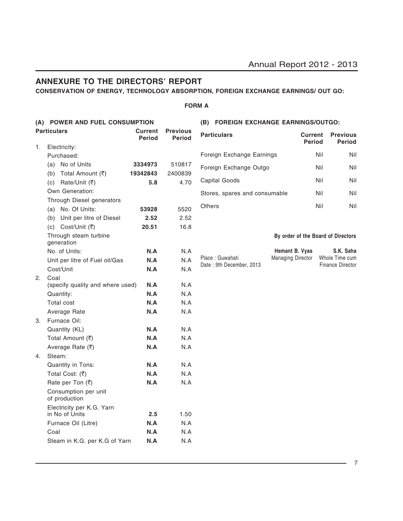# **ANNEXURE TO THE DIRECTORS' REPORT**

# **CONSERVATION OF ENERGY, TECHNOLOGY ABSORPTION, FOREIGN EXCHANGE EARNINGS/ OUT GO:**

# **FORM A**

|                | (A) POWER AND FUEL CONSUMPTION |                                       |                                 | (B) FOREIGN EXCHANGE EARNINGS/OUTGO: |                                             |                                    |     |                                           |
|----------------|--------------------------------|---------------------------------------|---------------------------------|--------------------------------------|---------------------------------------------|------------------------------------|-----|-------------------------------------------|
|                | <b>Particulars</b>             |                                       | <b>Current</b><br><b>Period</b> | <b>Previous</b><br><b>Period</b>     | <b>Particulars</b>                          | <b>Current</b><br><b>Period</b>    |     | <b>Previous</b><br><b>Period</b>          |
| 1.             |                                | Electricity:                          |                                 |                                      |                                             |                                    |     |                                           |
|                |                                | Purchased:                            |                                 |                                      | Foreign Exchange Earnings                   |                                    | Nil | Nil                                       |
|                |                                | (a) No of Units                       | 3334973                         | 510817                               | Foreign Exchange Outgo                      |                                    | Nil | Nil                                       |
|                | (b)                            | Total Amount (₹)                      | 19342843                        | 2400839                              |                                             |                                    |     |                                           |
|                | (c)                            | Rate/Unit (₹)                         | 5.8                             | 4.70                                 | Capital Goods                               |                                    | Nil | Nil                                       |
|                |                                | Own Generation:                       |                                 |                                      | Stores, spares and consumable               |                                    | Nil | Nil                                       |
|                |                                | Through Diesel generators             |                                 |                                      | <b>Others</b>                               |                                    | Nil | Nil                                       |
|                |                                | (a) No. Of Units:                     | 53928                           | 5520                                 |                                             |                                    |     |                                           |
|                | (b)                            | Unit per litre of Diesel              | 2.52                            | 2.52                                 |                                             |                                    |     |                                           |
|                | (c)                            | Cost/Unit (₹)                         | 20.51                           | 16.8                                 |                                             |                                    |     |                                           |
|                |                                | Through steam turbine<br>generation   |                                 |                                      |                                             | By order of the Board of Directors |     |                                           |
|                |                                | No. of Units:                         | N.A                             | N.A                                  |                                             | Hemant B. Vyas                     |     | S.K. Saha                                 |
|                |                                | Unit per litre of Fuel oil/Gas        | N.A                             | N.A                                  | Place: Guwahati<br>Date: 9th December, 2013 | <b>Managing Director</b>           |     | Whole Time cum<br><b>Finance Director</b> |
|                |                                | Cost/Unit                             | N.A                             | N.A                                  |                                             |                                    |     |                                           |
| 2.             | Coal                           |                                       |                                 |                                      |                                             |                                    |     |                                           |
|                |                                | (specify quality and where used)      | N.A                             | N.A                                  |                                             |                                    |     |                                           |
|                |                                | Quantity:                             | N.A                             | N.A                                  |                                             |                                    |     |                                           |
|                |                                | Total cost                            | N.A                             | N.A                                  |                                             |                                    |     |                                           |
|                |                                | Average Rate                          | N.A                             | N.A                                  |                                             |                                    |     |                                           |
| 3.             |                                | Furnace Oil:                          |                                 |                                      |                                             |                                    |     |                                           |
|                |                                | Quantity (KL)                         | N.A                             | N.A                                  |                                             |                                    |     |                                           |
|                |                                | Total Amount (₹)                      | N.A                             | N.A                                  |                                             |                                    |     |                                           |
| 4 <sup>1</sup> |                                | Average Rate (₹)<br>Steam:            | N.A                             | N.A                                  |                                             |                                    |     |                                           |
|                |                                | Quantity in Tons:                     | N.A                             | N.A                                  |                                             |                                    |     |                                           |
|                |                                | Total Cost: (₹)                       | N.A                             | N.A                                  |                                             |                                    |     |                                           |
|                |                                | Rate per Ton (₹)                      | N.A                             | N.A                                  |                                             |                                    |     |                                           |
|                |                                | Consumption per unit<br>of production |                                 |                                      |                                             |                                    |     |                                           |
|                |                                | Electricity per K.G. Yarn             |                                 |                                      |                                             |                                    |     |                                           |
|                |                                | in No of Units                        | 2.5                             | 1.50                                 |                                             |                                    |     |                                           |
|                |                                | Furnace Oil (Litre)                   | N.A                             | N.A                                  |                                             |                                    |     |                                           |
|                | Coal                           |                                       | N.A                             | N.A                                  |                                             |                                    |     |                                           |
|                |                                | Steam in K.G. per K.G of Yarn         | N.A                             | N.A                                  |                                             |                                    |     |                                           |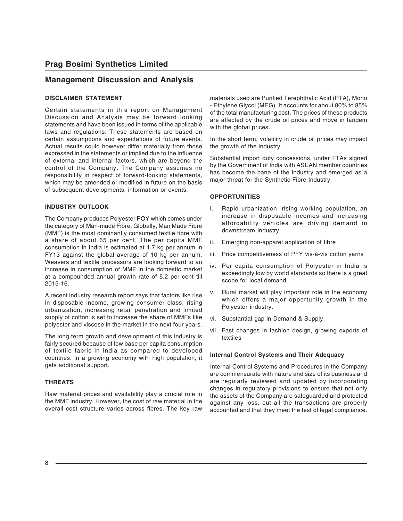## **Management Discussion and Analysis**

### **DISCLAIMER STATEMENT**

Certain statements in this report on Management Discussion and Analysis may be forward looking statements and have been issued in terms of the applicable laws and regulations. These statements are based on certain assumptions and expectations of future events. Actual results could however differ materially from those expressed in the statements or implied due to the influence of external and internal factors, which are beyond the control of the Company. The Company assumes no responsibility in respect of forward-looking statements, which may be amended or modified in future on the basis of subsequent developments, information or events.

## **INDUSTRY OUTLOOK**

The Company produces Polyester POY which comes under the category of Man-made Fibre. Globally, Man Made Fibre (MMF) is the most dominantly consumed textile fibre with a share of about 65 per cent. The per capita MMF consumption in India is estimated at 1.7 kg per annum in FY13 against the global average of 10 kg per annum. Weavers and textile processors are looking forward to an increase in consumption of MMF in the domestic market at a compounded annual growth rate of 5.2 per cent till 2015-16.

A recent industry research report says that factors like rise in disposable income, growing consumer class, rising urbanization, increasing retail penetration and limited supply of cotton is set to increase the share of MMFs like polyester and viscose in the market in the next four years.

The long term growth and development of this industry is fairly secured because of low base per capita consumption of textile fabric in India as compared to developed countries. In a growing economy with high population, it gets additional support.

### **THREATS**

Raw material prices and availability play a crucial role in the MMF industry. However, the cost of raw material in the overall cost structure varies across fibres. The key raw materials used are Purified Terephthalic Acid (PTA), Mono - Ethylene Glycol (MEG). It accounts for about 80% to 85% of the total manufacturing cost. The prices of these products are affected by the crude oil prices and move in tandem with the global prices.

In the short term, volatility in crude oil prices may impact the growth of the industry.

Substantial import duty concessions, under FTAs signed by the Government of India with ASEAN member countries has become the bane of the industry and emerged as a major threat for the Synthetic Fibre Industry.

### **OPPORTUNITIES**

- Rapid urbanization, rising working population, an increase in disposable incomes and increasing affordability vehicles are driving demand in downstream industry
- ii. Emerging non-apparel application of fibre
- iii. Price competitiveness of PFY vis-à-vis cotton yarns
- iv. Per capita consumption of Polyester in India is exceedingly low by world standards so there is a great scope for local demand.
- v. Rural market will play important role in the economy which offers a major opportunity growth in the Polyester industry.
- vi. Substantial gap in Demand & Supply
- vii. Fast changes in fashion design, growing exports of textiles

## **Internal Control Systems and Their Adequacy**

Internal Control Systems and Procedures in the Company are commensurate with nature and size of its business and are regularly reviewed and updated by incorporating changes in regulatory provisions to ensure that not only the assets of the Company are safeguarded and protected against any loss, but all the transactions are properly accounted and that they meet the test of legal compliance.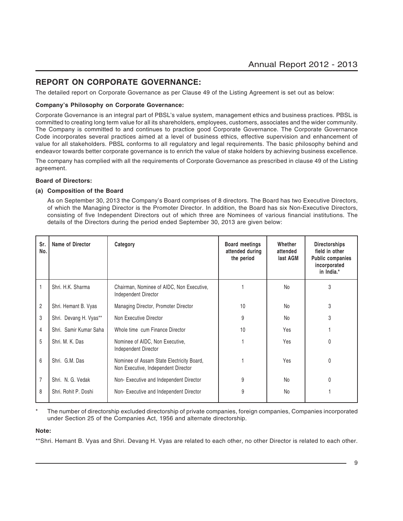# **REPORT ON CORPORATE GOVERNANCE:**

The detailed report on Corporate Governance as per Clause 49 of the Listing Agreement is set out as below:

## **Company's Philosophy on Corporate Governance:**

Corporate Governance is an integral part of PBSL's value system, management ethics and business practices. PBSL is committed to creating long term value for all its shareholders, employees, customers, associates and the wider community. The Company is committed to and continues to practice good Corporate Governance. The Corporate Governance Code incorporates several practices aimed at a level of business ethics, effective supervision and enhancement of value for all stakeholders. PBSL conforms to all regulatory and legal requirements. The basic philosophy behind and endeavor towards better corporate governance is to enrich the value of stake holders by achieving business excellence.

The company has complied with all the requirements of Corporate Governance as prescribed in clause 49 of the Listing agreement.

## **Board of Directors:**

## **(a) Composition of the Board**

As on September 30, 2013 the Company's Board comprises of 8 directors. The Board has two Executive Directors, of which the Managing Director is the Promoter Director. In addition, the Board has six Non-Executive Directors, consisting of five Independent Directors out of which three are Nominees of various financial institutions. The details of the Directors during the period ended September 30, 2013 are given below:

| Sr.<br>No.     | Name of Director       | Category                                                                         | <b>Board meetings</b><br>attended during<br>the period | Whether<br>attended<br>last AGM | <b>Directorships</b><br>field in other<br><b>Public companies</b><br>incorporated<br>in India.* |
|----------------|------------------------|----------------------------------------------------------------------------------|--------------------------------------------------------|---------------------------------|-------------------------------------------------------------------------------------------------|
|                | Shri, H.K. Sharma      | Chairman, Nominee of AIDC, Non Executive,<br>Independent Director                |                                                        | <b>No</b>                       | 3                                                                                               |
| $\overline{c}$ | Shri. Hemant B. Vyas   | Managing Director, Promoter Director                                             | 10                                                     | <b>No</b>                       | 3                                                                                               |
| 3              | Shri. Devang H. Vyas** | Non Executive Director                                                           | 9                                                      | <b>No</b>                       | 3                                                                                               |
| 4              | Shri. Samir Kumar Saha | Whole time cum Finance Director                                                  | 10                                                     | Yes                             |                                                                                                 |
| 5              | Shri, M. K. Das        | Nominee of AIDC, Non Executive,<br>Independent Director                          |                                                        | Yes                             | 0                                                                                               |
| 6              | Shri. G.M. Das         | Nominee of Assam State Electricity Board,<br>Non Executive, Independent Director |                                                        | Yes                             | $\mathbf{0}$                                                                                    |
| $\overline{7}$ | Shri. N. G. Vedak      | Non-Executive and Independent Director                                           | 9                                                      | <b>No</b>                       | $\Omega$                                                                                        |
| 8              | Shri, Rohit P. Doshi   | Non-Executive and Independent Director                                           | 9                                                      | <b>No</b>                       |                                                                                                 |
|                |                        |                                                                                  |                                                        |                                 |                                                                                                 |

The number of directorship excluded directorship of private companies, foreign companies, Companies incorporated under Section 25 of the Companies Act, 1956 and alternate directorship.

## **Note:**

\*\*Shri. Hemant B. Vyas and Shri. Devang H. Vyas are related to each other, no other Director is related to each other.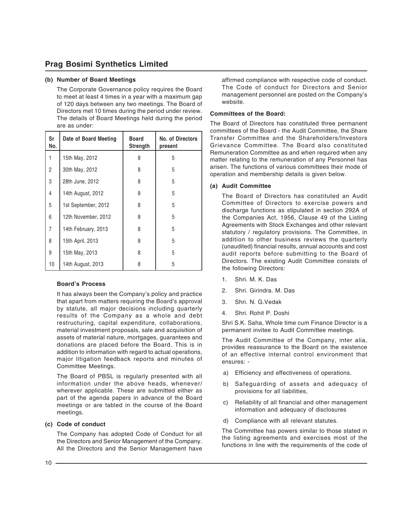### **(b) Number of Board Meetings**

The Corporate Governance policy requires the Board to meet at least 4 times in a year with a maximum gap of 120 days between any two meetings. The Board of Directors met 10 times during the period under review. The details of Board Meetings held during the period are as under:

| Sr<br>No. | Date of Board Meeting | <b>Board</b><br><b>Strength</b> | No. of Directors<br>present |
|-----------|-----------------------|---------------------------------|-----------------------------|
| 1         | 15th May, 2012        | 8                               | 5                           |
| 2         | 30th May, 2012        | 8                               | 5                           |
| 3         | 28th June, 2012       | 8                               | 5                           |
| 4         | 14th August, 2012     | 8                               | 5                           |
| 5         | 1st September, 2012   | 8                               | 5                           |
| 6         | 12th November, 2012   | 8                               | 5                           |
| 7         | 14th February, 2013   | 8                               | 5                           |
| 8         | 15th April, 2013      | 8                               | 5                           |
| 9         | 15th May, 2013        | 8                               | 5                           |
| 10        | 14th August, 2013     | 8                               | 5                           |

### **Board's Process**

It has always been the Company's policy and practice that apart from matters requiring the Board's approval by statute, all major decisions including quarterly results of the Company as a whole and debt restructuring, capital expenditure, collaborations, material investment proposals, sale and acquisition of assets of material nature, mortgages, guarantees and donations are placed before the Board. This is in addition to information with regard to actual operations, major litigation feedback reports and minutes of Committee Meetings.

The Board of PBSL is regularly presented with all information under the above heads, whenever/ wherever applicable. These are submitted either as part of the agenda papers in advance of the Board meetings or are tabled in the course of the Board meetings.

## **(c) Code of conduct**

The Company has adopted Code of Conduct for all the Directors and Senior Management of the Company. All the Directors and the Senior Management have affirmed compliance with respective code of conduct. The Code of conduct for Directors and Senior management personnel are posted on the Company's website.

## **Committees of the Board:**

The Board of Directors has constituted three permanent committees of the Board - the Audit Committee, the Share Transfer Committee and the Shareholders/Investors Grievance Committee. The Board also constituted Remuneration Committee as and when required when any matter relating to the remuneration of any Personnel has arisen. The functions of various committees their mode of operation and membership details is given below.

## **(a) Audit Committee**

The Board of Directors has constituted an Audit Committee of Directors to exercise powers and discharge functions as stipulated in section 292A of the Companies Act, 1956, Clause 49 of the Listing Agreements with Stock Exchanges and other relevant statutory / regulatory provisions. The Committee, in addition to other business reviews the quarterly (unaudited) financial results, annual accounts and cost audit reports before submitting to the Board of Directors. The existing Audit Committee consists of the following Directors:

- 1. Shri. M. K. Das
- 2. Shri. Girindra. M. Das
- 3. Shri. N. G.Vedak
- 4. Shri. Rohit P. Doshi

Shri S.K. Saha, Whole time cum Finance Director is a permanent invitee to Audit Committee meetings.

The Audit Committee of the Company, inter alia, provides reassurance to the Board on the existence of an effective internal control environment that ensures: -

- a) Efficiency and effectiveness of operations.
- b) Safeguarding of assets and adequacy of provisions for all liabilities,
- c) Reliability of all financial and other management information and adequacy of disclosures
- d) Compliance with all relevant statutes.

The Committee has powers similar to those stated in the listing agreements and exercises most of the functions in line with the requirements of the code of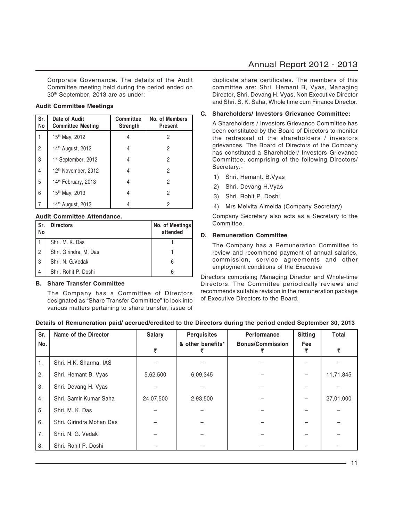Corporate Governance. The details of the Audit Committee meeting held during the period ended on 30<sup>th</sup> September, 2013 are as under:

## **Audit Committee Meetings**

| l Sr.<br>No    | Date of Audit<br><b>Committee Meeting</b> | <b>Committee</b><br><b>Strength</b> | No. of Members<br><b>Present</b> |
|----------------|-------------------------------------------|-------------------------------------|----------------------------------|
|                | 15th May, 2012                            |                                     | 2                                |
| $\overline{2}$ | 14 <sup>th</sup> August, 2012             | 4                                   | 2                                |
| l 3            | 1 <sup>st</sup> September, 2012           |                                     | 2                                |
| $\overline{4}$ | 12 <sup>th</sup> November, 2012           | 4                                   | 2                                |
| 5              | 14th February, 2013                       |                                     | 2                                |
| l 6            | 15 <sup>th</sup> May, 2013                | 4                                   | 2                                |
|                | 14 <sup>th</sup> August, 2013             |                                     | 2                                |

## **Audit Committee Attendance.**

| l Sr.<br>l No | <b>Directors</b>       | No. of Meetings<br>attended |
|---------------|------------------------|-----------------------------|
|               | Shri. M. K. Das        |                             |
| 2 ا           | Shri, Girindra, M. Das |                             |
| 3 ا           | Shri, N. G. Vedak      | 6                           |
| $\vert$ 4     | Shri, Rohit P. Doshi   |                             |

## **B. Share Transfer Committee**

The Company has a Committee of Directors designated as "Share Transfer Committee" to look into various matters pertaining to share transfer, issue of

# Annual Report 2012 - 2013

duplicate share certificates. The members of this committee are: Shri. Hemant B, Vyas, Managing Director, Shri. Devang H. Vyas, Non Executive Director and Shri. S. K. Saha, Whole time cum Finance Director.

## **C. Shareholders/ Investors Grievance Committee:**

A Shareholders / Investors Grievance Committee has been constituted by the Board of Directors to monitor the redressal of the shareholders / investors grievances. The Board of Directors of the Company has constituted a Shareholder/ Investors Grievance Committee, comprising of the following Directors/ Secretary:-

- 1) Shri. Hemant. B.Vyas
- 2) Shri. Devang H.Vyas
- 3) Shri. Rohit P. Doshi
- 4) Mrs Melvita Almeida (Company Secretary)

Company Secretary also acts as a Secretary to the Committee.

## **D. Remuneration Committee**

The Company has a Remuneration Committee to review and recommend payment of annual salaries, commission, service agreements and other employment conditions of the Executive

Directors comprising Managing Director and Whole-time Directors. The Committee periodically reviews and recommends suitable revision in the remuneration package of Executive Directors to the Board.

| Sr. | Name of the Director     | <b>Salary</b> | <b>Perquisites</b> | <b>Performance</b>      | <b>Sitting</b> | <b>Total</b> |
|-----|--------------------------|---------------|--------------------|-------------------------|----------------|--------------|
| No. |                          | ₹             | & other benefits*  | <b>Bonus/Commission</b> | Fee            | ₹            |
| 1.  | Shri. H.K. Sharma, IAS   |               |                    |                         |                |              |
| 2.  | Shri. Hemant B. Vyas     | 5,62,500      | 6,09,345           |                         |                | 11,71,845    |
| 3.  | Shri. Devang H. Vyas     |               |                    |                         |                |              |
| 4.  | Shri, Samir Kumar Saha   | 24,07,500     | 2,93,500           |                         |                | 27,01,000    |
| 5.  | Shri, M. K. Das          |               |                    |                         |                |              |
| 6.  | Shri, Girindra Mohan Das |               |                    |                         |                |              |
| 7.  | Shri, N. G. Vedak        |               |                    |                         |                |              |
| 8.  | Shri. Rohit P. Doshi     |               |                    |                         |                |              |

# **Details of Remuneration paid/ accrued/credited to the Directors during the period ended September 30, 2013**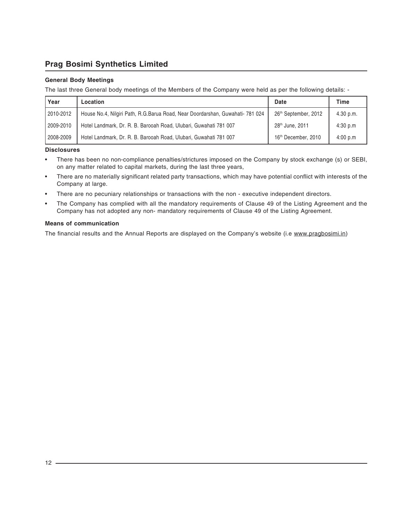## **General Body Meetings**

The last three General body meetings of the Members of the Company were held as per the following details: -

| Year      | Location                                                                      | Date                             | Time      |
|-----------|-------------------------------------------------------------------------------|----------------------------------|-----------|
| 2010-2012 | House No.4, Nilgiri Path, R.G.Barua Road, Near Doordarshan, Guwahati- 781 024 | 26 <sup>th</sup> September, 2012 | 4.30 p.m. |
| 2009-2010 | Hotel Landmark, Dr. R. B. Barooah Road, Ulubari, Guwahati 781 007             | 28 <sup>th</sup> June, 2011      | 4:30 p.m  |
| 2008-2009 | Hotel Landmark, Dr. R. B. Barooah Road, Ulubari, Guwahati 781 007             | 16 <sup>th</sup> December, 2010  | 4:00 p.m  |

### **Disclosures**

- There has been no non-compliance penalties/strictures imposed on the Company by stock exchange (s) or SEBI, on any matter related to capital markets, during the last three years,
- There are no materially significant related party transactions, which may have potential conflict with interests of the Company at large.
- There are no pecuniary relationships or transactions with the non executive independent directors.
- The Company has complied with all the mandatory requirements of Clause 49 of the Listing Agreement and the Company has not adopted any non- mandatory requirements of Clause 49 of the Listing Agreement.

### **Means of communication**

The financial results and the Annual Reports are displayed on the Company's website (i.e www.pragbosimi.in)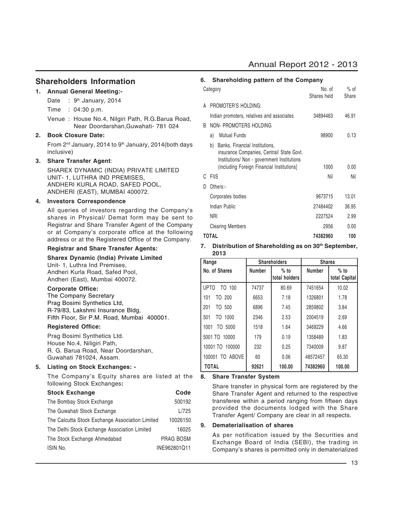# Annual Report 2012 - 2013

## **Shareholders Information**

## **1. Annual General Meeting:-**

Date : 9<sup>th</sup> January, 2014

- Time : 04:30 p.m.
- Venue : House No.4, Nilgiri Path, R.G.Barua Road, Near Doordarshan,Guwahati- 781 024

### **2. Book Closure Date:**

From  $2^{nd}$  January, 2014 to  $9<sup>th</sup>$  January, 2014(both days inclusive)

### **3. Share Transfer Agent**:

SHAREX DYNAMIC (INDIA) PRIVATE LIMITED UNIT- 1, LUTHRA IND PREMISES, ANDHERI KURLA ROAD, SAFED POOL, ANDHERI (EAST), MUMBAI 400072.

### **4. Investors Correspondence**

All queries of investors regarding the Company's shares in Physical/ Demat form may be sent to Registrar and Share Transfer Agent of the Company or at Company's corporate office at the following address or at the Registered Office of the Company.

#### **Registrar and Share Transfer Agents:**

**Sharex Dynamic (India) Private Limited** Unit- 1, Luthra Ind Premises, Andheri Kurla Road, Safed Pool,

Andheri (East), Mumbai 400072.

## **Corporate Office:**

The Company Secretary Prag Bosimi Synthetics Ltd, R-79/83, Lakshmi Insurance Bldg, Fifth Floor, Sir P.M. Road, Mumbai 400001.

## **Registered Office:**

Prag Bosimi Synthetics Ltd. House No.4, Niligiri Path, R. G. Barua Road, Near Doordarshan, Guwahati 781024, Assam.

## **5. Listing on Stock Exchanges: -**

The Company's Equity shares are listed at the following Stock Exchanges**:**

### **Stock Exchange Code**

| The Bombay Stock Exchange                       | 500192       |
|-------------------------------------------------|--------------|
| The Guwahati Stock Exchange                     | L/725        |
| The Calcutta Stock Exchange Association Limited | 10026150     |
| The Delhi Stock Exchange Association Limited    | 16025        |
| The Stock Exchange Ahmedabad                    | PRAG BOSM    |
| ISIN No.                                        | INE962801Q11 |

| 6. | <b>Shareholding pattern of the Company</b>                                                |             |        |  |  |  |  |
|----|-------------------------------------------------------------------------------------------|-------------|--------|--|--|--|--|
|    | Category                                                                                  | No. of      | $%$ of |  |  |  |  |
|    |                                                                                           | Shares held | Share  |  |  |  |  |
| А  | PROMOTER'S HOLDING:                                                                       |             |        |  |  |  |  |
|    | Indian promoters, relatives and associates                                                | 34894463    | 46.91  |  |  |  |  |
| R. | NON- PROMOTERS HOLDING                                                                    |             |        |  |  |  |  |
|    | <b>Mutual Funds</b><br>a)                                                                 | 98900       | 0.13   |  |  |  |  |
|    | Banks, Financial Institutions,<br>b)                                                      |             |        |  |  |  |  |
|    | insurance Companies, Central/ State Govt.                                                 |             |        |  |  |  |  |
|    | Institutions/ Non - government Institutions<br>(including Foreign Financial Institutions) | 1000        | 0.00   |  |  |  |  |
| C. | <b>FIIS</b>                                                                               | Nil         | Nil    |  |  |  |  |
| D  | Others:-                                                                                  |             |        |  |  |  |  |
|    | Corporates bodies                                                                         | 9673715     | 13.01  |  |  |  |  |
|    | Indian Public                                                                             | 27484402    | 36.95  |  |  |  |  |
|    | <b>NRI</b>                                                                                | 2227524     | 2.99   |  |  |  |  |
|    | <b>Clearing Members</b>                                                                   | 2956        | 0.00   |  |  |  |  |
|    | TOTAL                                                                                     | 74382960    | 100    |  |  |  |  |

#### 7. Distribution of Shareholding as on 30<sup>th</sup> September, **2013**

| Range                 | <b>Shareholders</b> |                         | <b>Shares</b> |                         |
|-----------------------|---------------------|-------------------------|---------------|-------------------------|
| No. of Shares         | <b>Number</b>       | $%$ to<br>total holders | <b>Number</b> | $%$ to<br>total Capital |
| <b>UPTO</b><br>TO 100 | 74737               | 80.69                   | 7451654       | 10.02                   |
| TO 200<br>101         | 6653                | 7.18                    | 1326801       | 1.78                    |
| TO 500<br>201         | 6896                | 7.45                    | 2859802       | 3.84                    |
| TO 1000<br>501        | 2346                | 2.53                    | 2004519       | 2.69                    |
| TO 5000<br>1001       | 1518                | 1.64                    | 3469229       | 4.66                    |
| 5001 TO 10000         | 179                 | 0.19                    | 1358489       | 1.83                    |
| 10001 TO 100000       | 232                 | 0.25                    | 7340009       | 9.87                    |
| 100001 TO ABOVE       | 60                  | 0.06                    | 48572457      | 65.30                   |
| <b>TOTAL</b>          | 92621               | 100.00                  | 74382960      | 100.00                  |

### **8. Share Transfer System**

Share transfer in physical form are registered by the Share Transfer Agent and returned to the respective transferee within a period ranging from fifteen days provided the documents lodged with the Share Transfer Agent/ Company are clear in all respects.

## **9. Dematerialisation of shares**

As per notification issued by the Securities and Exchange Board of India (SEBl), the trading in Company's shares is permitted only in dematerialized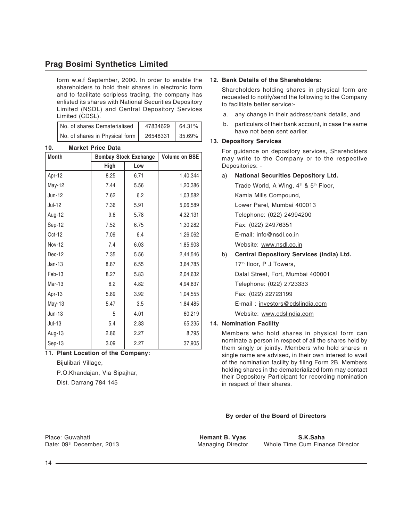form w.e.f September, 2000. In order to enable the shareholders to hold their shares in electronic form and to facilitate scripless trading, the company has enlisted its shares with National Securities Depository Limited (NSDL) and Central Depository Services Limited (CDSL).

| No. of shares Dematerialised                                   | 47834629 64.31% |  |
|----------------------------------------------------------------|-----------------|--|
| No. of shares in Physical form $\vert$ 26548331 $\vert$ 35.69% |                 |  |

|  |  | <b>Market Price Data</b> |  |  |
|--|--|--------------------------|--|--|
|  |  |                          |  |  |

| <b>Month</b>  | <b>Bombay Stock Exchange</b> |      | <b>Volume on BSE</b> |
|---------------|------------------------------|------|----------------------|
|               | <b>High</b>                  | Low  |                      |
| Apr-12        | 8.25                         | 6.71 | 1,40,344             |
| May-12        | 7.44                         | 5.56 | 1,20,386             |
| Jun-12        | 7.62                         | 6.2  | 1,03,582             |
| Jul-12        | 7.36                         | 5.91 | 5,06,589             |
| Aug-12        | 9.6                          | 5.78 | 4,32,131             |
| Sep-12        | 7.52                         | 6.75 | 1,30,282             |
| Oct-12        | 7.09                         | 6.4  | 1,26,062             |
| Nov-12        | 7.4                          | 6.03 | 1,85,903             |
| Dec-12        | 7.35                         | 5.56 | 2,44,546             |
| Jan-13        | 8.87                         | 6.55 | 3,64,785             |
| Feb-13        | 8.27                         | 5.83 | 2,04,632             |
| <b>Mar-13</b> | 6.2                          | 4.82 | 4,94,837             |
| Apr-13        | 5.89                         | 3.92 | 1,04,555             |
| May-13        | 5.47                         | 3.5  | 1,84,485             |
| $Jun-13$      | 5                            | 4.01 | 60,219               |
| $Jul-13$      | 5.4                          | 2.83 | 65,235               |
| Aug-13        | 2.86                         | 2.27 | 8,795                |
| Sep-13        | 3.09                         | 2.27 | 37,905               |

**11. Plant Location of the Company:**

Bijulibari Village,

P.O.Khandajan, Via Sipajhar,

Dist. Darrang 784 145

## **12. Bank Details of the Shareholders:**

Shareholders holding shares in physical form are requested to notify/send the following to the Company to facilitate better service:-

- a. any change in their address/bank details, and
- b. particulars of their bank account, in case the same have not been sent earlier.

### **13. Depository Services**

For guidance on depository services, Shareholders may write to the Company or to the respective Depositories: -

a) **National Securities Depository Ltd.**

Trade World, A Wing,  $4<sup>th</sup>$  &  $5<sup>th</sup>$  Floor, Kamla Mills Compound, Lower Parel, Mumbai 400013 Telephone: (022) 24994200 Fax: (022) 24976351 E-mail: info@nsdl.co.in Website: www.nsdl.co.in b) **Central Depository Services (India) Ltd.**

17<sup>th</sup> floor, P J Towers, Dalal Street, Fort, Mumbai 400001 Telephone: (022) 2723333 Fax: (022) 22723199 E-mail : investors@cdslindia.com Website: www.cdslindia.com

## **14. Nomination Facility**

Members who hold shares in physical form can nominate a person in respect of all the shares held by them singly or jointly. Members who hold shares in single name are advised, in their own interest to avail of the nomination facility by filing Form 2B. Members holding shares in the dematerialized form may contact their Depository Participant for recording nomination in respect of their shares.

### **By order of the Board of Directors**

Place: Guwahati **B. Communist Communist Communist Communist Communist Communist Communist Communist Communist Communist Communist Communist Communist Communist Communist Communist Communist Communist Communist Communist Co** 

Managing Director Whole Time Cum Finance Director

 $14$   $-$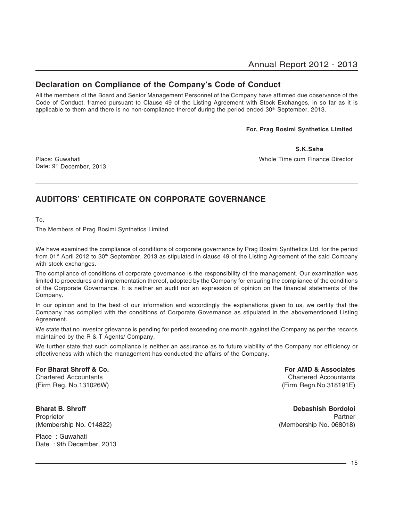## **Declaration on Compliance of the Company's Code of Conduct**

All the members of the Board and Senior Management Personnel of the Company have affirmed due observance of the Code of Conduct, framed pursuant to Clause 49 of the Listing Agreement with Stock Exchanges, in so far as it is applicable to them and there is no non-compliance thereof during the period ended  $30<sup>th</sup>$  September, 2013.

### **For, Prag Bosimi Synthetics Limited**

Date: 9<sup>th</sup> December, 2013

**S.K.Saha**

Place: Guwahati Whole Time cum Finance Director

# **AUDITORS' CERTIFICATE ON CORPORATE GOVERNANCE**

 $T<sub>0</sub>$ 

The Members of Prag Bosimi Synthetics Limited.

We have examined the compliance of conditions of corporate governance by Prag Bosimi Synthetics Ltd. for the period from 01<sup>st</sup> April 2012 to 30<sup>th</sup> September, 2013 as stipulated in clause 49 of the Listing Agreement of the said Company with stock exchanges.

The compliance of conditions of corporate governance is the responsibility of the management. Our examination was limited to procedures and implementation thereof, adopted by the Company for ensuring the compliance of the conditions of the Corporate Governance. It is neither an audit nor an expression of opinion on the financial statements of the Company.

In our opinion and to the best of our information and accordingly the explanations given to us, we certify that the Company has complied with the conditions of Corporate Governance as stipulated in the abovementioned Listing Agreement.

We state that no investor grievance is pending for period exceeding one month against the Company as per the records maintained by the R & T Agents/ Company.

We further state that such compliance is neither an assurance as to future viability of the Company nor efficiency or effectiveness with which the management has conducted the affairs of the Company.

**For Bharat Shroff & Co. For AMD & Associates** Chartered Accountants Chartered Accountants (Firm Reg. No.131026W) (Firm Regn.No.318191E)

Proprietor Partner (Proprietor Partner Partner (Proprietor Partner Partner Partner Partner Partner Partner Par (Membership No. 014822) (Membership No. 068018)

Place : Guwahati Date : 9th December, 2013

**Bharat B. Shroff Community Bordoloi** Bordoloi Bordoloi Bordoloi Bordoloi Bordoloi Bordoloi Bordoloi Bordoloi Bordoloi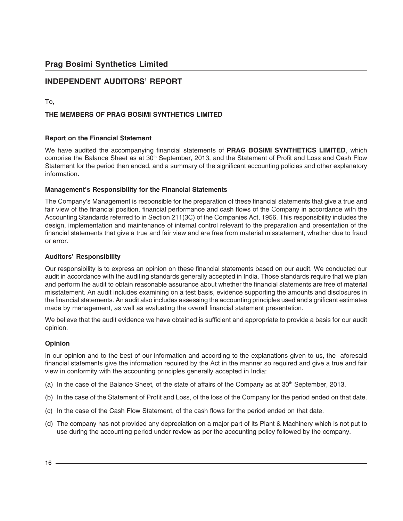# **INDEPENDENT AUDITORS' REPORT**

To,

## **THE MEMBERS OF PRAG BOSIMI SYNTHETICS LIMITED**

## **Report on the Financial Statement**

We have audited the accompanying financial statements of **PRAG BOSIMI SYNTHETICS LIMITED**, which comprise the Balance Sheet as at 30<sup>th</sup> September, 2013, and the Statement of Profit and Loss and Cash Flow Statement for the period then ended, and a summary of the significant accounting policies and other explanatory information**.**

## **Management's Responsibility for the Financial Statements**

The Company's Management is responsible for the preparation of these financial statements that give a true and fair view of the financial position, financial performance and cash flows of the Company in accordance with the Accounting Standards referred to in Section 211(3C) of the Companies Act, 1956. This responsibility includes the design, implementation and maintenance of internal control relevant to the preparation and presentation of the financial statements that give a true and fair view and are free from material misstatement, whether due to fraud or error.

## **Auditors' Responsibility**

Our responsibility is to express an opinion on these financial statements based on our audit. We conducted our audit in accordance with the auditing standards generally accepted in India. Those standards require that we plan and perform the audit to obtain reasonable assurance about whether the financial statements are free of material misstatement. An audit includes examining on a test basis, evidence supporting the amounts and disclosures in the financial statements. An audit also includes assessing the accounting principles used and significant estimates made by management, as well as evaluating the overall financial statement presentation.

We believe that the audit evidence we have obtained is sufficient and appropriate to provide a basis for our audit opinion.

## **Opinion**

In our opinion and to the best of our information and according to the explanations given to us, the aforesaid financial statements give the information required by the Act in the manner so required and give a true and fair view in conformity with the accounting principles generally accepted in India:

- (a) In the case of the Balance Sheet, of the state of affairs of the Company as at  $30<sup>th</sup>$  September, 2013.
- (b) In the case of the Statement of Profit and Loss, of the loss of the Company for the period ended on that date.
- (c) In the case of the Cash Flow Statement, of the cash flows for the period ended on that date.
- (d) The company has not provided any depreciation on a major part of its Plant & Machinery which is not put to use during the accounting period under review as per the accounting policy followed by the company.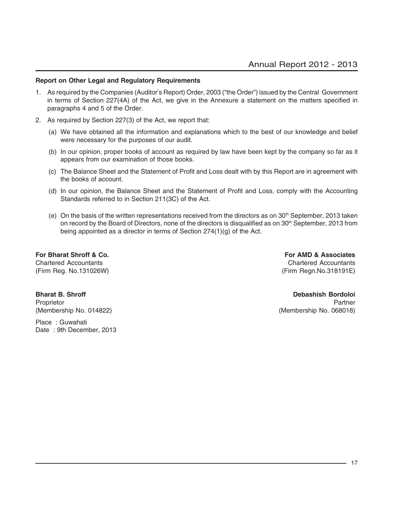## **Report on Other Legal and Regulatory Requirements**

- 1. As required by the Companies (Auditor's Report) Order, 2003 ("the Order") issued by the Central Government in terms of Section 227(4A) of the Act, we give in the Annexure a statement on the matters specified in paragraphs 4 and 5 of the Order.
- 2. As required by Section 227(3) of the Act, we report that:
	- (a) We have obtained all the information and explanations which to the best of our knowledge and belief were necessary for the purposes of our audit.
	- (b) In our opinion, proper books of account as required by law have been kept by the company so far as it appears from our examination of those books.
	- (c) The Balance Sheet and the Statement of Profit and Loss dealt with by this Report are in agreement with the books of account.
	- (d) In our opinion, the Balance Sheet and the Statement of Profit and Loss, comply with the Accounting Standards referred to in Section 211(3C) of the Act.
	- (e) On the basis of the written representations received from the directors as on  $30<sup>th</sup>$  September, 2013 taken on record by the Board of Directors, none of the directors is disqualified as on 30<sup>th</sup> September, 2013 from being appointed as a director in terms of Section 274(1)(g) of the Act.

**For Bharat Shroff & Co. For AMD & Associates** Chartered Accountants Chartered Accountants (Firm Reg. No.131026W) (Firm Regn.No.318191E)

**Bharat B. Shroff Debashish Bordoloi**

Place : Guwahati Date : 9th December, 2013

Proprietor Partner (Proprietor Partner Partner Partner Partner Partner Partner Partner Partner Partner Partner (Membership No. 014822) (Membership No. 068018)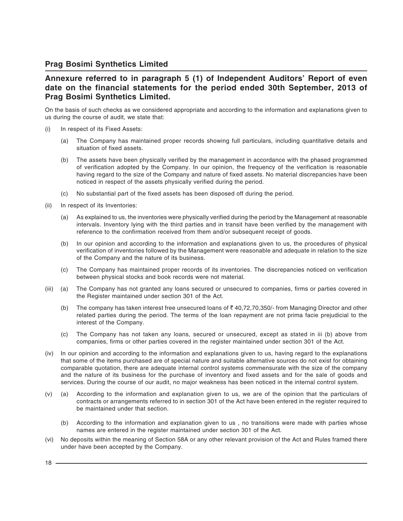# **Annexure referred to in paragraph 5 (1) of Independent Auditors' Report of even date on the financial statements for the period ended 30th September, 2013 of Prag Bosimi Synthetics Limited.**

On the basis of such checks as we considered appropriate and according to the information and explanations given to us during the course of audit, we state that:

- (i) In respect of its Fixed Assets:
	- (a) The Company has maintained proper records showing full particulars, including quantitative details and situation of fixed assets.
	- (b) The assets have been physically verified by the management in accordance with the phased programmed of verification adopted by the Company. In our opinion, the frequency of the verification is reasonable having regard to the size of the Company and nature of fixed assets. No material discrepancies have been noticed in respect of the assets physically verified during the period.
	- (c) No substantial part of the fixed assets has been disposed off during the period.
- (ii) In respect of its Inventories:
	- (a) As explained to us, the inventories were physically verified during the period by the Management at reasonable intervals. Inventory lying with the third parties and in transit have been verified by the management with reference to the confirmation received from them and/or subsequent receipt of goods.
	- (b) In our opinion and according to the information and explanations given to us, the procedures of physical verification of inventories followed by the Management were reasonable and adequate in relation to the size of the Company and the nature of its business.
	- (c) The Company has maintained proper records of its inventories. The discrepancies noticed on verification between physical stocks and book records were not material.
- (iii) (a) The Company has not granted any loans secured or unsecured to companies, firms or parties covered in the Register maintained under section 301 of the Act.
	- (b) The company has taken interest free unsecured loans of  $\bar{\tau}$  40,72,70,350/- from Managing Director and other related parties during the period. The terms of the loan repayment are not prima facie prejudicial to the interest of the Company.
	- (c) The Company has not taken any loans, secured or unsecured, except as stated in iii (b) above from companies, firms or other parties covered in the register maintained under section 301 of the Act.
- (iv) In our opinion and according to the information and explanations given to us, having regard to the explanations that some of the items purchased are of special nature and suitable alternative sources do not exist for obtaining comparable quotation, there are adequate internal control systems commensurate with the size of the company and the nature of its business for the purchase of inventory and fixed assets and for the sale of goods and services. During the course of our audit, no major weakness has been noticed in the internal control system.
- (v) (a) According to the information and explanation given to us, we are of the opinion that the particulars of contracts or arrangements referred to in section 301 of the Act have been entered in the register required to be maintained under that section.
	- (b) According to the information and explanation given to us , no transitions were made with parties whose names are entered in the register maintained under section 301 of the Act.
- (vi) No deposits within the meaning of Section 58A or any other relevant provision of the Act and Rules framed there under have been accepted by the Company.

 $18 -$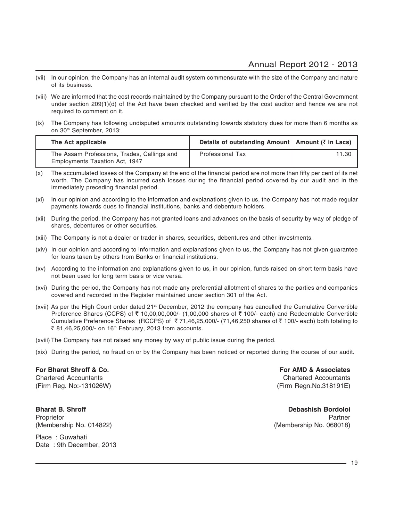- (vii) In our opinion, the Company has an internal audit system commensurate with the size of the Company and nature of its business.
- (viii) We are informed that the cost records maintained by the Company pursuant to the Order of the Central Government under section 209(1)(d) of the Act have been checked and verified by the cost auditor and hence we are not required to comment on it.
- (ix) The Company has following undisputed amounts outstanding towards statutory dues for more than 6 months as on 30<sup>th</sup> September, 2013:

| The Act applicable                                                            | Details of outstanding Amount   Amount (₹ in Lacs) |       |
|-------------------------------------------------------------------------------|----------------------------------------------------|-------|
| The Assam Professions, Trades, Callings and<br>Employments Taxation Act, 1947 | Professional Tax                                   | 11.30 |

- (x) The accumulated losses of the Company at the end of the financial period are not more than fifty per cent of its net worth. The Company has incurred cash losses during the financial period covered by our audit and in the immediately preceding financial period.
- (xi) In our opinion and according to the information and explanations given to us, the Company has not made regular payments towards dues to financial institutions, banks and debenture holders.
- (xii) During the period, the Company has not granted loans and advances on the basis of security by way of pledge of shares, debentures or other securities.
- (xiii) The Company is not a dealer or trader in shares, securities, debentures and other investments.
- (xiv) In our opinion and according to information and explanations given to us, the Company has not given guarantee for loans taken by others from Banks or financial institutions.
- (xv) According to the information and explanations given to us, in our opinion, funds raised on short term basis have not been used for long term basis or vice versa.
- (xvi) During the period, the Company has not made any preferential allotment of shares to the parties and companies covered and recorded in the Register maintained under section 301 of the Act.
- (xvii) As per the High Court order dated 21st December, 2012 the company has cancelled the Cumulative Convertible Preference Shares (CCPS) of  $\overline{\tau}$  10,00,00,000/- (1,00,000 shares of  $\overline{\tau}$  100/- each) and Redeemable Convertible Cumulative Preference Shares (RCCPS) of  $\bar{\tau}$  71,46,25,000/- (71,46,250 shares of  $\bar{\tau}$  100/- each) both totaling to ₹ 81,46,25,000/- on 16<sup>th</sup> February, 2013 from accounts.
- (xviii) The Company has not raised any money by way of public issue during the period.
- (xix) During the period, no fraud on or by the Company has been noticed or reported during the course of our audit.

**For Bharat Shroff & Co. For AMD & Associates** Chartered Accountants Chartered Accountants (Firm Reg. No:-131026W) (Firm Regn.No.318191E)

Proprietor Partner (Proprietor Partner Partner (Proprietor Partner Partner Partner Partner Partner Partner Par (Membership No. 014822) (Membership No. 068018)

Place : Guwahati Date : 9th December, 2013

**Bharat B. Shroff Debashish Bordoloi**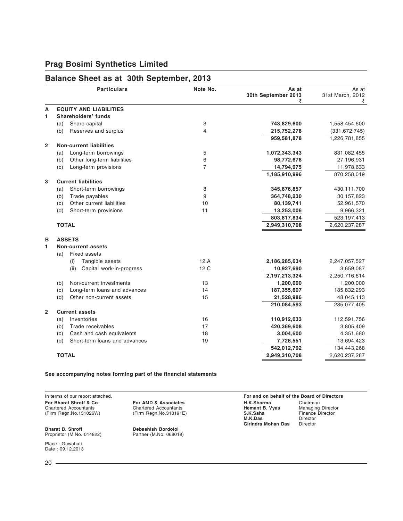# **Balance Sheet as at 30th September, 2013**

|                | <b>Particulars</b>                   | Note No.       | As at<br>30th September 2013<br>₹ | As at<br>31st March, 2012<br>₹ |
|----------------|--------------------------------------|----------------|-----------------------------------|--------------------------------|
| A              | <b>EQUITY AND LIABILITIES</b>        |                |                                   |                                |
| 1              | Shareholders' funds                  |                |                                   |                                |
|                | Share capital<br>(a)                 | 3              | 743,829,600                       | 1,558,454,600                  |
|                | (b)<br>Reserves and surplus          | 4              | 215,752,278                       | (331, 672, 745)                |
|                |                                      |                | 959,581,878                       | 1,226,781,855                  |
| $\overline{2}$ | <b>Non-current liabilities</b>       |                |                                   |                                |
|                | Long-term borrowings<br>(a)          | 5              | 1,072,343,343                     | 831,082,455                    |
|                | (b)<br>Other long-term liabilities   | 6              | 98,772,678                        | 27,196,931                     |
|                | Long-term provisions<br>(c)          | $\overline{7}$ | 14,794,975                        | 11,978,633                     |
|                |                                      |                | 1,185,910,996                     | 870,258,019                    |
| 3              | <b>Current liabilities</b>           |                |                                   |                                |
|                | Short-term borrowings<br>(a)         | 8              | 345,676,857                       | 430,111,700                    |
|                | (b)<br>Trade payables                | 9              | 364,748,230                       | 30, 157, 823                   |
|                | Other current liabilities<br>(c)     | 10             | 80,139,741                        | 52,961,570                     |
|                | (d)<br>Short-term provisions         | 11             | 13,253,006                        | 9,966,321                      |
|                |                                      |                | 803,817,834                       | 523,197,413                    |
|                | <b>TOTAL</b>                         |                | 2,949,310,708                     | 2,620,237,287                  |
| в              | <b>ASSETS</b>                        |                |                                   |                                |
| 1              | <b>Non-current assets</b>            |                |                                   |                                |
|                | <b>Fixed assets</b><br>(a)           |                |                                   |                                |
|                | Tangible assets<br>(i)               | 12.A           | 2,186,285,634                     | 2,247,057,527                  |
|                | Capital work-in-progress<br>(ii)     | 12.C           | 10,927,690                        | 3,659,087                      |
|                |                                      |                | 2,197,213,324                     | 2,250,716,614                  |
|                | Non-current investments<br>(b)       | 13             | 1,200,000                         | 1,200,000                      |
|                | Long-term loans and advances<br>(c)  | 14             | 187,355,607                       | 185,832,293                    |
|                | (d)<br>Other non-current assets      | 15             | 21,528,986                        | 48,045,113                     |
|                |                                      |                | 210,084,593                       | 235,077,405                    |
| $\overline{2}$ | <b>Current assets</b>                |                |                                   |                                |
|                | Inventories<br>(a)                   | 16             | 110,912,033                       | 112,591,756                    |
|                | Trade receivables<br>(b)             | 17             | 420,369,608                       | 3,805,409                      |
|                | (c)<br>Cash and cash equivalents     | 18             | 3,004,600                         | 4,351,680                      |
|                | (d)<br>Short-term loans and advances | 19             | 7,726,551                         | 13,694,423                     |
|                |                                      |                | 542,012,792                       | 134,443,268                    |
|                | <b>TOTAL</b>                         |                | 2,949,310,708                     | 2,620,237,287                  |

## **See accompanying notes forming part of the financial statements**

Chartered Accountants **Hemant B**<br>
(Firm Regn.No.318191E) **S.K.Saha** 

Proprietor (M.No. 014822)

Place : Guwahati Date : 09.12.2013

**Bharat B. Shroff Debashish Bordoloi**<br>Proprietor (M.No. 014822) Partner (M.No. 068018)

In terms of our report attached. **For and on behalf of the Board of Directors For Bharat Shroff & Co For AMD & Associates H.K.Sharma** Chairman Chairman Chartered Accountants Chartered Accountants **Hemant B. Vyas** Managing Director (Firm Regn.No.131026W) (Firm Regn.No.318191E) **S.K.Saha** Finance (Firm Regn.No.131026W) (Firm Regn.No.318191E) **S.K.Saha** Finance **Finance S.K.Saha** Finance **Director M.K.Das** Director<br>**Girindra Mohan Das** Director **Girindra Mohan Das** 

 $20 -$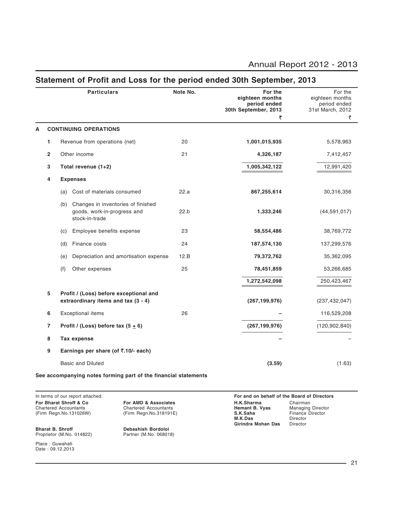|   |                         |     | <b>Particulars</b>                                                                  | Note No. | For the<br>eighteen months<br>period ended<br>30th September, 2013<br>₹ | For the<br>eighteen months<br>period ended<br>31st March, 2012<br>₹ |
|---|-------------------------|-----|-------------------------------------------------------------------------------------|----------|-------------------------------------------------------------------------|---------------------------------------------------------------------|
| A |                         |     | <b>CONTINUING OPERATIONS</b>                                                        |          |                                                                         |                                                                     |
|   | $\mathbf{1}$            |     | Revenue from operations (net)                                                       | 20       | 1,001,015,935                                                           | 5,578,963                                                           |
|   | $\overline{2}$          |     | Other income                                                                        | 21       | 4,326,187                                                               | 7,412,457                                                           |
|   | 3                       |     | Total revenue (1+2)                                                                 |          | 1,005,342,122                                                           | 12,991,420                                                          |
|   | $\overline{\mathbf{4}}$ |     | <b>Expenses</b>                                                                     |          |                                                                         |                                                                     |
|   |                         | (a) | Cost of materials consumed                                                          | 22.a     | 867,255,614                                                             | 30,316,356                                                          |
|   |                         | (b) | Changes in inventories of finished<br>goods, work-in-progress and<br>stock-in-trade | 22.b     | 1,333,246                                                               | (44, 591, 017)                                                      |
|   |                         | (c) | Employee benefits expense                                                           | 23       | 58,554,486                                                              | 38,769,772                                                          |
|   |                         | (d) | Finance costs                                                                       | 24       | 187,574,130                                                             | 137,299,576                                                         |
|   |                         | (e) | Depreciation and amortisation expense                                               | 12.B     | 79,372,762                                                              | 35,362,095                                                          |
|   |                         | (f) | Other expenses                                                                      | 25       | 78,451,859                                                              | 53,266,685                                                          |
|   |                         |     |                                                                                     |          | 1,272,542,098                                                           | 250,423,467                                                         |
|   | 5                       |     | Profit / (Loss) before exceptional and<br>extraordinary items and tax (3 - 4)       |          | (267, 199, 976)                                                         | (237, 432, 047)                                                     |
|   | 6                       |     | <b>Exceptional items</b>                                                            | 26       |                                                                         | 116,529,208                                                         |
|   | $\overline{7}$          |     | Profit / (Loss) before tax $(5 \pm 6)$                                              |          | (267, 199, 976)                                                         | (120, 902, 840)                                                     |
|   | 8                       |     | <b>Tax expense</b>                                                                  |          |                                                                         |                                                                     |
|   | 9                       |     | Earnings per share (of $\overline{\xi}$ .10/- each)                                 |          |                                                                         |                                                                     |
|   |                         |     | <b>Basic and Diluted</b>                                                            |          | (3.59)                                                                  | (1.63)                                                              |
|   |                         |     |                                                                                     |          |                                                                         |                                                                     |

# **Statement of Profit and Loss for the period ended 30th September, 2013**

**See accompanying notes forming part of the financial statements**

Chartered Accountants **Hemant B**<br>
(Firm Regn.No.318191E) **S.K.Saha** 

**Bharat B. Shroff Debashish Bordoloi**<br>Proprietor (M.No. 014822) Partner (M.No. 068018) Proprietor (M.No. 014822)

Place : Guwahati Date : 09.12.2013

In terms of our report attached. **For and on behalf of the Board of Directors For Bharat Shroff & Co For AMD & Associates H.K.Sharma** Chairman **Chairman**<br>Chartered Accountants Chartered Accountants **Hemant B. Vyas** Managing Director (Firm Regn.No.131026W) (Firm Regn.No.318191E) **S.K.Saha** Finan (Firm Regn.No.131026W) (Firm Regn.No.318191E) **S.K.Saha** Finance **S.K.Saha** Finance Director **M.K.Das** Director<br>**Girindra Mohan Das** Director **Girindra Mohan Das**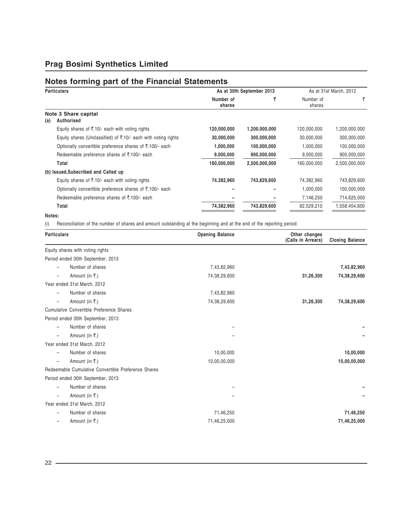# **Notes forming part of the Financial Statements**

| <b>Particulars</b> |                                                                |                     | As at 30th September 2013 | As at 31st March, 2012 |               |  |
|--------------------|----------------------------------------------------------------|---------------------|---------------------------|------------------------|---------------|--|
|                    |                                                                | Number of<br>shares | ₹                         | Number of<br>shares    | ₹             |  |
| (a)                | Note 3 Share capital<br>Authorised                             |                     |                           |                        |               |  |
|                    | Equity shares of ₹.10/- each with voting rights                | 120,000,000         | 1,200,000,000             | 120,000,000            | 1,200,000,000 |  |
|                    | Equity shares (Unclassified) of ₹.10/- each with voting rights | 30,000,000          | 300,000,000               | 30,000,000             | 300,000,000   |  |
|                    | Optionally convertible preference shares of ₹.100/- each       | 1,000,000           | 100,000,000               | 1,000,000              | 100,000,000   |  |
|                    | Redeemable preference shares of $\overline{5}$ .100/- each     | 9,000,000           | 900,000,000               | 9,000,000              | 900,000,000   |  |
|                    | Total                                                          | 160,000,000         | 2,500,000,000             | 160,000,000            | 2,500,000,000 |  |
|                    | (b) Issued, Subscribed and Called up                           |                     |                           |                        |               |  |
|                    | Equity shares of ₹.10/- each with voting rights                | 74,382,960          | 743,829,600               | 74.382.960             | 743,829,600   |  |
|                    | Optionally convertible preference shares of ₹.100/- each       |                     |                           | 1,000,000              | 100,000,000   |  |
|                    | Redeemable preference shares of ₹.100/- each                   |                     |                           | 7,146,250              | 714,625,000   |  |
|                    | Total                                                          | 74,382,960          | 743,829,600               | 82,529,210             | 1,558,454,600 |  |
|                    |                                                                |                     |                           |                        |               |  |

#### **Notes:**

(i) Reconciliation of the number of shares and amount outstanding at the beginning and at the end of the reporting period:

| <b>Particulars</b>       |                                                     | <b>Opening Balance</b> | Other changes<br>(Calls in Arrears) | <b>Closing Balance</b> |
|--------------------------|-----------------------------------------------------|------------------------|-------------------------------------|------------------------|
|                          | Equity shares with voting rights                    |                        |                                     |                        |
|                          | Period ended 30th September, 2013                   |                        |                                     |                        |
| $\overline{\phantom{0}}$ | Number of shares                                    | 7,43,82,960            |                                     | 7,43,82,960            |
|                          | Amount (in ₹.)                                      | 74,38,29,600           | 31,26,300                           | 74,38,29,600           |
|                          | Year ended 31st March, 2012                         |                        |                                     |                        |
|                          | Number of shares                                    | 7,43,82,960            |                                     |                        |
|                          | Amount (in ₹.)                                      | 74,38,29,600           | 31,26,300                           | 74,38,29,600           |
|                          | Cumulative Convertible Preference Shares            |                        |                                     |                        |
|                          | Period ended 30th September, 2013                   |                        |                                     |                        |
|                          | Number of shares                                    |                        |                                     |                        |
| -                        | Amount (in ₹.)                                      |                        |                                     |                        |
|                          | Year ended 31st March, 2012                         |                        |                                     |                        |
| $\overline{\phantom{0}}$ | Number of shares                                    | 10,00,000              |                                     | 10,00,000              |
|                          | Amount (in ₹.)                                      | 10,00,00,000           |                                     | 10,00,00,000           |
|                          | Redeemable Cumulative Convertible Preference Shares |                        |                                     |                        |
|                          | Period ended 30th September, 2013                   |                        |                                     |                        |
| $\overline{\phantom{0}}$ | Number of shares                                    |                        |                                     |                        |
| -                        | Amount (in ₹.)                                      |                        |                                     |                        |
|                          | Year ended 31st March, 2012                         |                        |                                     |                        |
| $\overline{\phantom{0}}$ | Number of shares                                    | 71,46,250              |                                     | 71,46,250              |
| $\overline{\phantom{0}}$ | Amount (in ₹.)                                      | 71,46,25,000           |                                     | 71,46,25,000           |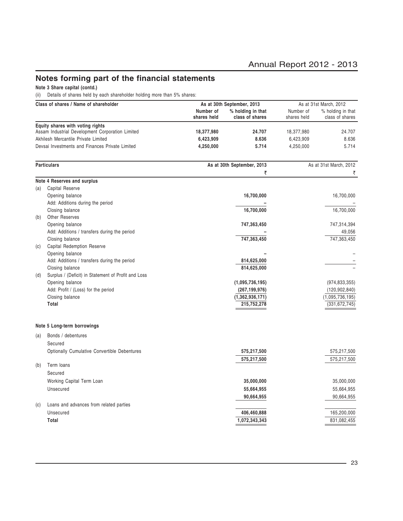# **Notes forming part of the financial statements**

**Note 3 Share capital (contd.)**

(ii) Details of shares held by each shareholder holding more than 5% shares:

| Class of shares / Name of shareholder<br>As at 30th September, 2013 |                                                     | As at 31st March, 2012   |                                      |                          |                                      |
|---------------------------------------------------------------------|-----------------------------------------------------|--------------------------|--------------------------------------|--------------------------|--------------------------------------|
|                                                                     |                                                     | Number of<br>shares held | % holding in that<br>class of shares | Number of<br>shares held | % holding in that<br>class of shares |
|                                                                     | Equity shares with voting rights                    |                          |                                      |                          |                                      |
|                                                                     | Assam Industrial Development Corporation Limited    | 18,377,980               | 24.707                               | 18,377,980               | 24.707                               |
|                                                                     | Akhilesh Mercantile Private Limited                 | 6,423,909                | 8.636                                | 6,423,909                | 8.636                                |
|                                                                     | Devsai Investments and Finances Private Limited     | 4,250,000                | 5.714                                | 4,250,000                | 5.714                                |
|                                                                     | <b>Particulars</b>                                  |                          | As at 30th September, 2013           |                          | As at 31st March, 2012               |
|                                                                     |                                                     |                          | ₹                                    |                          | ₹                                    |
|                                                                     | Note 4 Reserves and surplus                         |                          |                                      |                          |                                      |
| (a)                                                                 | Capital Reserve                                     |                          |                                      |                          |                                      |
|                                                                     | Opening balance                                     |                          | 16,700,000                           |                          | 16,700,000                           |
|                                                                     | Add: Additions during the period                    |                          |                                      |                          |                                      |
|                                                                     | Closing balance                                     |                          | 16,700,000                           |                          | 16,700,000                           |
| (b)                                                                 | Other Reserves                                      |                          |                                      |                          |                                      |
|                                                                     | Opening balance                                     |                          | 747,363,450                          |                          | 747,314,394                          |
|                                                                     | Add: Additions / transfers during the period        |                          |                                      |                          | 49,056                               |
|                                                                     | Closing balance                                     |                          | 747,363,450                          |                          | 747,363,450                          |
| (c)                                                                 | Capital Redemption Reserve                          |                          |                                      |                          |                                      |
|                                                                     | Opening balance                                     |                          |                                      |                          |                                      |
|                                                                     | Add: Additions / transfers during the period        |                          | 814,625,000                          |                          |                                      |
|                                                                     | Closing balance                                     |                          | 814,625,000                          |                          |                                      |
| (d)                                                                 | Surplus / (Deficit) in Statement of Profit and Loss |                          |                                      |                          |                                      |
|                                                                     | Opening balance                                     |                          | (1,095,736,195)                      |                          | (974, 833, 355)                      |
|                                                                     | Add: Profit / (Loss) for the period                 |                          | (267, 199, 976)                      |                          | (120, 902, 840)                      |
|                                                                     | Closing balance                                     |                          | (1,362,936,171)                      |                          | (1,095,736,195)                      |
|                                                                     | Total                                               |                          | 215,752,278                          |                          | (331, 672, 745)                      |
|                                                                     | Note 5 Long-term borrowings                         |                          |                                      |                          |                                      |
|                                                                     | Bonds / debentures                                  |                          |                                      |                          |                                      |
| (a)                                                                 | Secured                                             |                          |                                      |                          |                                      |
|                                                                     |                                                     |                          |                                      |                          |                                      |
|                                                                     | <b>Optionally Cumulative Convertible Debentures</b> |                          | 575,217,500                          |                          | 575,217,500                          |
| (b)                                                                 | Term loans                                          |                          | 575,217,500                          |                          | 575,217,500                          |
|                                                                     | Secured                                             |                          |                                      |                          |                                      |
|                                                                     | Working Capital Term Loan                           |                          | 35,000,000                           |                          | 35,000,000                           |
|                                                                     | Unsecured                                           |                          | 55,664,955                           |                          | 55,664,955                           |
|                                                                     |                                                     |                          |                                      |                          |                                      |
|                                                                     |                                                     |                          | 90,664,955                           |                          | 90,664,955                           |
| (c)                                                                 | Loans and advances from related parties             |                          |                                      |                          |                                      |
|                                                                     | Unsecured                                           |                          | 406,460,888                          |                          | 165,200,000                          |
|                                                                     | Total                                               |                          | 1,072,343,343                        |                          | 831,082,455                          |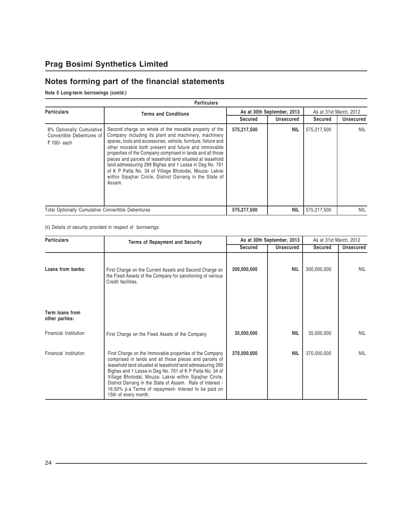# **Notes forming part of the financial statements**

**Note 5 Long-term borrowings (contd.)**

| Particulars                                                           |                                                                                                                                                                                                                                                                                                                                                                                                                                                                                                                                                             |                            |            |                        |            |  |  |
|-----------------------------------------------------------------------|-------------------------------------------------------------------------------------------------------------------------------------------------------------------------------------------------------------------------------------------------------------------------------------------------------------------------------------------------------------------------------------------------------------------------------------------------------------------------------------------------------------------------------------------------------------|----------------------------|------------|------------------------|------------|--|--|
| <b>Particulars</b>                                                    | <b>Terms and Conditions</b>                                                                                                                                                                                                                                                                                                                                                                                                                                                                                                                                 | As at 30th September, 2013 |            | As at 31st March, 2012 |            |  |  |
|                                                                       |                                                                                                                                                                                                                                                                                                                                                                                                                                                                                                                                                             | Unsecured<br>Secured       |            | Secured                | Unsecured  |  |  |
| 8% Optionally Cumulative<br>Convertible Debentures of<br>₹ 100/- each | Second charge on whole of the movable property of the<br>Company including its plant and machinery, machinery<br>spares, tools and accessories, vehicle, furniture, fixture and<br>other movable both present and future and immovable<br>properties of the Company comprised in lands and all those<br>pieces and parcels of leasehold land situated at leasehold<br>land admeasuring 299 Bighas and 1 Lessa in Dag No. 701<br>of K P Patta No. 34 of Village Bhotodal, Mouza-Lakrai<br>within Sipajhar Circle, District Darrang in the State of<br>Assam. | 575,217,500                | <b>NIL</b> | 575,217,500            | <b>NIL</b> |  |  |
| Total Optionally Cumulative Convertible Debentures                    |                                                                                                                                                                                                                                                                                                                                                                                                                                                                                                                                                             | 575,217,500                | <b>NIL</b> | 575,217,500            | <b>NIL</b> |  |  |

(ii) Details of security provided in respect of borrowings:

| As at 30th September, 2013<br><b>Particulars</b><br><b>Terms of Repayment and Security</b> |                                                                                                                                                                                                                                                                                                                                                                                                                                                      |                | As at 31st March, 2012 |             |                  |
|--------------------------------------------------------------------------------------------|------------------------------------------------------------------------------------------------------------------------------------------------------------------------------------------------------------------------------------------------------------------------------------------------------------------------------------------------------------------------------------------------------------------------------------------------------|----------------|------------------------|-------------|------------------|
|                                                                                            |                                                                                                                                                                                                                                                                                                                                                                                                                                                      | <b>Secured</b> | <b>Unsecured</b>       | Secured     | <b>Unsecured</b> |
| Loans from banks:                                                                          | First Charge on the Current Assets and Second Charge on<br>the Fixed Assets of the Company for sanctioning of various<br>Credit facilities.                                                                                                                                                                                                                                                                                                          | 300,000,000    | <b>NIL</b>             | 300,000,000 | <b>NIL</b>       |
| Term loans from<br>other parties:                                                          |                                                                                                                                                                                                                                                                                                                                                                                                                                                      |                |                        |             |                  |
| Financial Institution                                                                      | First Charge on the Fixed Assets of the Company                                                                                                                                                                                                                                                                                                                                                                                                      | 35,000,000     | <b>NIL</b>             | 35,000,000  | NIL              |
| Financial Institution                                                                      | First Charge on the Immovable properties of the Company<br>comprised in lands and all those pieces and parcels of<br>leasehold land situated at leasehold land admeasuring 299<br>Bighas and 1 Lessa in Dag No. 701 of K P Patta No. 34 of<br>Village Bhotodal, Mouza- Lakrai within Sipajhar Circle,<br>District Darrang in the State of Assam. Rate of Interest -<br>16.50% p.a Terms of repayment- Interest to be paid on<br>15th of every month. | 370,000,000    | <b>NIL</b>             | 370,000,000 | NIL.             |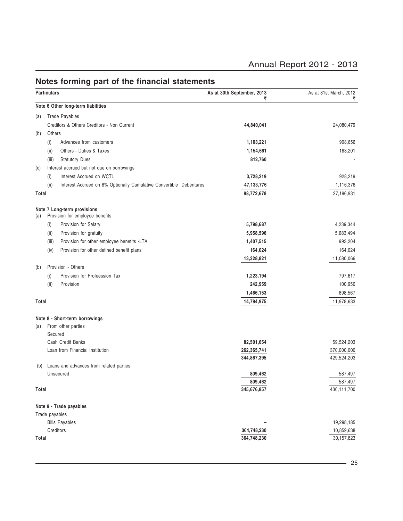# Annual Report 2012 - 2013

|       | <b>Particulars</b> |                                                                     | As at 30th September, 2013 | As at 31st March, 2012    |
|-------|--------------------|---------------------------------------------------------------------|----------------------------|---------------------------|
|       |                    | Note 6 Other long-term liabilities                                  | ₹                          | ₹                         |
| (a)   |                    | <b>Trade Payables</b>                                               |                            |                           |
|       |                    | Creditors & Others Creditors - Non Current                          | 44,840,041                 | 24,080,479                |
| (b)   | Others             |                                                                     |                            |                           |
|       | (i)                | Advances from customers                                             | 1,103,221                  | 908,656                   |
|       | (ii)               | Others - Duties & Taxes                                             | 1,154,661                  | 163,201                   |
|       | (iii)              | <b>Statutory Dues</b>                                               | 812,760                    |                           |
| (c)   |                    | Interest accrued but not due on borrowings                          |                            |                           |
|       | (i)                | Interest Accrued on WCTL                                            | 3,728,219                  | 928,219                   |
|       | (ii)               | Interest Accrued on 8% Optionally Cumulative Convertible Debentures | 47,133,776                 | 1,116,376                 |
| Total |                    |                                                                     | 98,772,678                 | 27,196,931                |
|       |                    | Note 7 Long-term provisions                                         |                            |                           |
| (a)   |                    | Provision for employee benefits                                     |                            |                           |
|       | (i)                | Provision for Salary                                                | 5,798,687                  | 4,239,344                 |
|       | (ii)               | Provision for gratuity                                              | 5,958,596                  | 5,683,494                 |
|       | (iii)              | Provision for other employee benefits -LTA                          | 1,407,515                  | 993,204                   |
|       | (iv)               | Provision for other defined benefit plans                           | 164,024                    | 164,024                   |
|       |                    |                                                                     | 13,328,821                 | 11,080,066                |
| (b)   |                    | Provision - Others                                                  |                            |                           |
|       | (i)                | Provision for Profeession Tax                                       | 1,223,194                  | 797,617                   |
|       | (ii)               | Provision                                                           | 242,959                    | 100,950                   |
|       |                    |                                                                     | 1,466,153                  | 898,567                   |
| Total |                    |                                                                     | 14,794,975                 | 11,978,633                |
|       |                    | Note 8 - Short-term borrowings                                      |                            |                           |
| (a)   |                    | From other parties                                                  |                            |                           |
|       | Secured            |                                                                     |                            |                           |
|       |                    | Cash Credit Banks<br>Loan from Financial Institution                | 82,501,654<br>262,365,741  | 59,524,203<br>370,000,000 |
|       |                    |                                                                     | 344,867,395                | 429,524,203               |
| (b)   |                    | Loans and advances from related parties                             |                            |                           |
|       | Unsecured          |                                                                     | 809,462                    | 587,497                   |
|       |                    |                                                                     | 809,462                    | 587,497                   |
| Total |                    |                                                                     | 345,676,857                | 430,111,700               |
|       |                    | Note 9 - Trade payables                                             |                            |                           |
|       | Trade payables     |                                                                     |                            |                           |
|       |                    | <b>Bills Payables</b>                                               |                            | 19,298,185                |
|       | Creditors          |                                                                     | 364,748,230                | 10,859,638                |
| Total |                    |                                                                     | 364,748,230                | 30, 157, 823              |
|       |                    |                                                                     |                            |                           |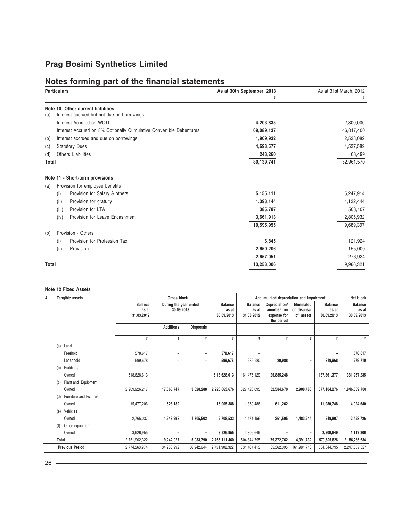# **Notes forming part of the financial statements**

|                                          | <b>Particulars</b> |                                                                     | As at 30th September, 2013 | As at 31st March, 2012 |
|------------------------------------------|--------------------|---------------------------------------------------------------------|----------------------------|------------------------|
|                                          |                    |                                                                     | ₹                          | ₹                      |
| Note 10 Other current liabilities<br>(a) |                    | Interest accrued but not due on borrowings                          |                            |                        |
|                                          |                    | Interest Accrued on WCTL                                            | 4,203,835                  | 2,800,000              |
|                                          |                    | Interest Accrued on 8% Optionally Cumulative Convertible Debentures | 69,089,137                 | 46,017,400             |
| (b)                                      |                    | Interest accrued and due on borrowings                              | 1,909,932                  | 2,538,082              |
| (c)                                      |                    | <b>Statutory Dues</b>                                               | 4,693,577                  | 1,537,589              |
| (d)                                      |                    | <b>Others Liabilities</b>                                           | 243,260                    | 68,499                 |
| Total                                    |                    |                                                                     | 80,139,741                 | 52,961,570             |
|                                          |                    | Note 11 - Short-term provisions                                     |                            |                        |
| (a)                                      |                    | Provision for employee benefits                                     |                            |                        |
|                                          | (i)                | Provision for Salary & others                                       | 5,155,111                  | 5,247,914              |
|                                          | (ii)               | Provision for gratuity                                              | 1,393,144                  | 1,132,444              |
|                                          | (iii)              | Provision for LTA                                                   | 385,787                    | 503,107                |
|                                          | (iv)               | Provision for Leave Encashment                                      | 3,661,913                  | 2,805,932              |
|                                          |                    |                                                                     | 10,595,955                 | 9,689,397              |
| (b)                                      |                    | Provision - Others                                                  |                            |                        |
|                                          | (i)                | Provision for Profession Tax                                        | 6,845                      | 121,924                |
|                                          | (ii)               | Provision                                                           | 2,650,206                  | 155,000                |
|                                          |                    |                                                                     | 2,657,051                  | 276,924                |
| Total                                    |                    |                                                                     | 13,253,006                 | 9,966,321              |
|                                          |                    |                                                                     |                            |                        |

<u> 1989 - Johann Barbara, martxa a</u>

### **Note 12 Fixed Assets**

| A.    |     | Tangible assets        | Gross block    |                       |                  | Accumulated depreciation and impairment |                |                           |                          | Net block      |                |
|-------|-----|------------------------|----------------|-----------------------|------------------|-----------------------------------------|----------------|---------------------------|--------------------------|----------------|----------------|
|       |     |                        | <b>Balance</b> | During the year ended |                  | <b>Balance</b>                          | <b>Balance</b> | Depreciation/             | Eliminated               | <b>Balance</b> | <b>Balance</b> |
|       |     |                        | as at          | 30.09.2013            |                  | as at                                   | as at          | amortisation              | on disposal              | as at          | as at          |
|       |     |                        | 31.03.2012     |                       |                  | 30.09.2013                              | 31.03.2012     | expense for<br>the period | of assets                | 30.09.2013     | 30.09.2013     |
|       |     |                        |                | <b>Additions</b>      | <b>Disposals</b> |                                         |                |                           |                          |                |                |
|       |     |                        |                |                       |                  |                                         |                |                           |                          |                |                |
|       |     |                        | ₹              | ₹                     | ₹                | ₹                                       | ₹              | ₹                         | ₹                        | ₹              | ₹              |
|       | (a) | Land                   |                |                       |                  |                                         |                |                           |                          |                |                |
|       |     | Freehold               | 578,617        | -                     | -                | 578,617                                 | ۰              |                           |                          |                | 578,617        |
|       |     | Leasehold              | 599,678        |                       |                  | 599,678                                 | 289,980        | 29,988                    | -                        | 319,968        | 279,710        |
|       | (b) | <b>Buildings</b>       |                |                       |                  |                                         |                |                           |                          |                |                |
|       |     | Owned                  | 518,628,613    |                       | ۰                | 5,18,628,613                            | 161,476,129    | 25,885,248                | $\overline{a}$           | 187,361,377    | 331,267,235    |
|       | (c) | Plant and Equipment    |                |                       |                  |                                         |                |                           |                          |                |                |
|       |     | Owned                  | 2,209,926,217  | 17,065,747            | 3,328,288        | 2,223,663,676                           | 327,428,095    | 52,584,670                | 2,908,488                | 377,104,276    | 1,846,559,400  |
|       | (d) | Furniture and Fixtures |                |                       |                  |                                         |                |                           |                          |                |                |
|       |     | Owned                  | 15,477,206     | 528,182               |                  | 16,005,388                              | 11,369,486     | 611,262                   | $\overline{a}$           | 11,980,748     | 4,024,640      |
|       | (e) | Vehicles               |                |                       |                  |                                         |                |                           |                          |                |                |
|       |     | Owned                  | 2,765,037      | 1,648,998             | 1,705,502        | 2,708,533                               | 1,471,456      | 261,595                   | 1,483,244                | 249,807        | 2,458,726      |
|       | (f) | Office equipment       |                |                       |                  |                                         |                |                           |                          |                |                |
|       |     | Owned                  | 3,926,955      |                       |                  | 3,926,955                               | 2,809,649      |                           | $\overline{\phantom{0}}$ | 2,809,649      | 1,117,306      |
| Total |     |                        | 2,751,902,322  | 19,242,927            | 5,033,790        | 2,766,111,460                           | 504,844,795    | 79,372,762                | 4,391,732                | 579,825,826    | 2,186,285,634  |
|       |     | <b>Previous Period</b> | 2,774,563,974  | 34,280,992            | 56,942,644       | 2,751,902,322                           | 631,464,413    | 35,362,095                | 161,981,713              | 504,844,795    | 2,247,057,527  |

26 — **120 — 120 — 120 — 120 — 120 — 120 — 120 — 120 — 120 — 120 — 120 — 120 — 120 — 120 — 120 — 120 — 120 — 120**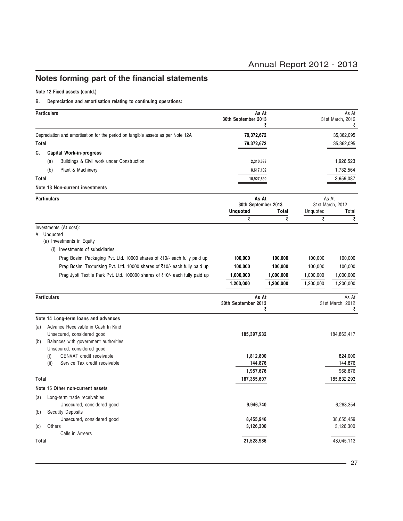# **Notes forming part of the financial statements**

**Note 12 Fixed assets (contd.)**

## **B. Depreciation and amortisation relating to continuing operations:**

|            | <b>Particulars</b>                                                                                                                     | 30th September 2013 | As At<br>₹                            |           | As At<br>31st March, 2012<br>₹     |
|------------|----------------------------------------------------------------------------------------------------------------------------------------|---------------------|---------------------------------------|-----------|------------------------------------|
|            | Depreciation and amortisation for the period on tangible assets as per Note 12A                                                        | 79,372,672          |                                       |           | 35,362,095                         |
| Total      |                                                                                                                                        | 79,372,672          |                                       |           | 35,362,095                         |
| C.         | Capital Work-in-progress                                                                                                               |                     |                                       |           |                                    |
|            | Buildings & Civil work under Construction<br>(a)                                                                                       | 2,310,588           |                                       |           | 1,926,523                          |
|            | (b)<br>Plant & Machinery                                                                                                               | 8,617,102           |                                       |           | 1,732,564                          |
| Total      |                                                                                                                                        | 10,927,690          |                                       |           | 3,659,087                          |
|            | Note 13 Non-current investments                                                                                                        |                     |                                       |           |                                    |
|            | <b>Particulars</b>                                                                                                                     | <b>Unquoted</b>     | As At<br>30th September 2013<br>Total | Unquoted  | As At<br>31st March, 2012<br>Total |
|            |                                                                                                                                        | ₹                   | ₹                                     | ₹         | ₹                                  |
|            | Investments (At cost):<br>A. Unquoted<br>(a) Investments in Equity<br>(i) Investments of subsidiaries                                  |                     |                                       |           |                                    |
|            | Prag Bosimi Packaging Pvt. Ltd. 10000 shares of ₹10/- each fully paid up                                                               | 100,000             | 100,000                               | 100,000   | 100,000                            |
|            | Prag Bosimi Texturising Pvt. Ltd. 10000 shares of ₹10/- each fully paid up                                                             | 100,000             | 100,000                               | 100,000   | 100,000                            |
|            | Prag Jyoti Textile Park Pvt. Ltd. 100000 shares of ₹10/- each fully paid up                                                            | 1,000,000           | 1,000,000                             | 1,000,000 | 1,000,000                          |
|            |                                                                                                                                        | 1,200,000           | 1,200,000                             | 1,200,000 | 1,200,000                          |
|            | <b>Particulars</b>                                                                                                                     | 30th September 2013 | As At<br>₹                            |           | As At<br>31st March, 2012<br>₹     |
|            | Note 14 Long-term loans and advances                                                                                                   |                     |                                       |           |                                    |
| (a)<br>(b) | Advance Receivable in Cash In Kind<br>Unsecured, considered good<br>Balances with government authorities<br>Unsecured, considered good | 185,397,932         |                                       |           | 184,863,417                        |
|            | CENVAT credit receivable<br>(i)                                                                                                        | 1,812,800           |                                       |           | 824,000                            |
|            | Service Tax credit receivable<br>(ii)                                                                                                  | 144,876             |                                       |           | 144,876                            |
|            |                                                                                                                                        | 1,957,676           |                                       |           | 968,876                            |
| Total      |                                                                                                                                        | 187,355,607         |                                       |           | 185,832,293                        |
|            | Note 15 Other non-current assets                                                                                                       |                     |                                       |           |                                    |
| (a)<br>(b) | Long-term trade receivables<br>Unsecured, considered good<br><b>Secutity Deposits</b>                                                  | 9,946,740           |                                       |           | 6,263,354                          |
|            | Unsecured, considered good                                                                                                             | 8,455,946           |                                       |           | 38,655,459                         |
| (c)        | Others                                                                                                                                 | 3,126,300           |                                       |           | 3,126,300                          |
| Total      | Calls in Arrears                                                                                                                       | 21,528,986          |                                       |           | 48,045,113                         |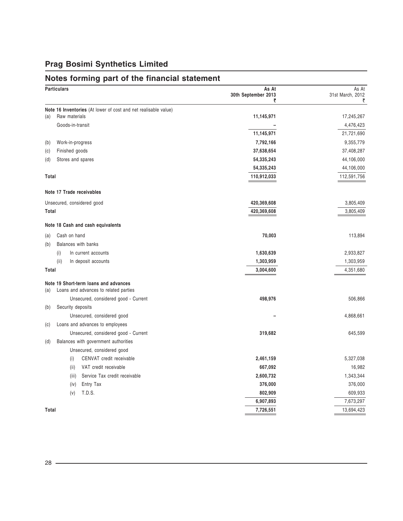# **Notes forming part of the financial statement**

|       | <b>Particulars</b>                                              | As At<br>30th September 2013 | As At<br>31st March, 2012 |
|-------|-----------------------------------------------------------------|------------------------------|---------------------------|
|       |                                                                 | ₹                            | ₹                         |
|       | Note 16 Inventories (At lower of cost and net realisable value) |                              |                           |
| (a)   | Raw materials                                                   | 11,145,971                   | 17,245,267                |
|       | Goods-in-transit                                                |                              | 4,476,423                 |
|       |                                                                 | 11,145,971                   | 21,721,690                |
| (b)   | Work-in-progress                                                | 7,792,166                    | 9,355,779                 |
| (c)   | Finished goods                                                  | 37,638,654                   | 37,408,287                |
| (d)   | Stores and spares                                               | 54,335,243                   | 44,106,000                |
|       |                                                                 | 54,335,243                   | 44,106,000                |
| Total |                                                                 | 110,912,033                  | 112,591,756               |
|       | Note 17 Trade receivables                                       |                              |                           |
|       | Unsecured, considered good                                      | 420,369,608                  | 3,805,409                 |
| Total |                                                                 | 420,369,608                  | 3,805,409                 |
|       | Note 18 Cash and cash equivalents                               |                              |                           |
| (a)   | Cash on hand                                                    | 70,003                       | 113,894                   |
| (b)   | Balances with banks                                             |                              |                           |
|       | (i)<br>In current accounts                                      | 1,630,639                    | 2,933,827                 |
|       | (ii)<br>In deposit accounts                                     | 1,303,959                    | 1,303,959                 |
| Total |                                                                 | 3,004,600                    | 4,351,680                 |
|       | Note 19 Short-term loans and advances                           |                              |                           |
| (a)   | Loans and advances to related parties                           | 498,976                      | 506,866                   |
|       | Unsecured, considered good - Current<br>Security deposits       |                              |                           |
| (b)   | Unsecured, considered good                                      |                              | 4,868,661                 |
|       | Loans and advances to employees                                 |                              |                           |
| (c)   |                                                                 | 319,682                      | 645,599                   |
|       | Unsecured, considered good - Current                            |                              |                           |
| (d)   | Balances with government authorities                            |                              |                           |
|       | Unsecured, considered good<br>CENVAT credit receivable          |                              |                           |
|       | (i)                                                             | 2,461,159                    | 5,327,038                 |
|       | VAT credit receivable<br>(ii)                                   | 667,092                      | 16,982                    |
|       | Service Tax credit receivable<br>(iii)                          | 2,600,732                    | 1,343,344                 |
|       | Entry Tax<br>(iv)                                               | 376,000                      | 376,000                   |
|       | T.D.S.<br>(v)                                                   | 802,909                      | 609,933                   |
|       |                                                                 | 6,907,893                    | 7,673,297                 |
| Total |                                                                 | 7,726,551                    | 13,694,423                |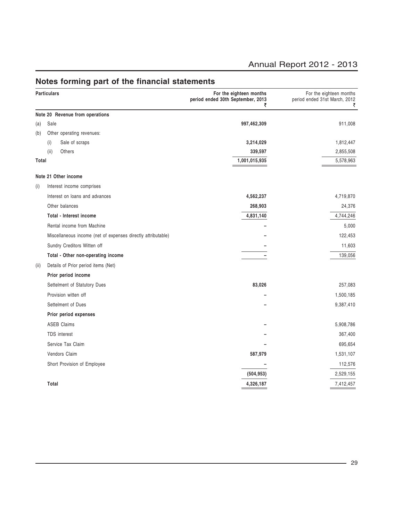# Annual Report 2012 - 2013

|       | <b>Particulars</b>                                           | For the eighteen months<br>period ended 30th September, 2013<br>₹ | For the eighteen months<br>period ended 31st March, 2012<br>₹ |
|-------|--------------------------------------------------------------|-------------------------------------------------------------------|---------------------------------------------------------------|
|       | Note 20 Revenue from operations                              |                                                                   |                                                               |
| (a)   | Sale                                                         | 997,462,309                                                       | 911,008                                                       |
| (b)   | Other operating revenues:                                    |                                                                   |                                                               |
|       | (i)<br>Sale of scraps                                        | 3,214,029                                                         | 1,812,447                                                     |
|       | (ii)<br>Others                                               | 339,597                                                           | 2,855,508                                                     |
| Total |                                                              | 1,001,015,935                                                     | 5,578,963                                                     |
|       | Note 21 Other income                                         |                                                                   |                                                               |
| (i)   | Interest income comprises                                    |                                                                   |                                                               |
|       | Interest on loans and advances                               | 4,562,237                                                         | 4,719,870                                                     |
|       | Other balances                                               | 268,903                                                           | 24,376                                                        |
|       | Total - Interest income                                      | 4,831,140                                                         | 4,744,246                                                     |
|       | Rental income from Machine                                   |                                                                   | 5,000                                                         |
|       | Miscellaneous income (net of expenses directly attributable) |                                                                   | 122,453                                                       |
|       | Sundry Creditors Witten off                                  |                                                                   | 11,603                                                        |
|       | Total - Other non-operating income                           |                                                                   | 139,056                                                       |
| (ii)  | Details of Prior period items (Net)                          |                                                                   |                                                               |
|       | Prior period income                                          |                                                                   |                                                               |
|       | Settelment of Statutory Dues                                 | 83,026                                                            | 257,083                                                       |
|       | Provision witten off                                         |                                                                   | 1,500,185                                                     |
|       | Settelment of Dues                                           |                                                                   | 9,387,410                                                     |
|       | Prior period expenses                                        |                                                                   |                                                               |
|       | <b>ASEB Claims</b>                                           |                                                                   | 5,908,786                                                     |
|       | TDS interest                                                 |                                                                   | 367,400                                                       |
|       | Service Tax Claim                                            |                                                                   | 695,654                                                       |
|       | Vendors Claim                                                | 587,979                                                           | 1,531,107                                                     |
|       | Short Provision of Employee                                  |                                                                   | 112,576                                                       |
|       |                                                              | (504, 953)                                                        | 2,529,155                                                     |
|       | Total                                                        | 4,326,187                                                         | 7,412,457                                                     |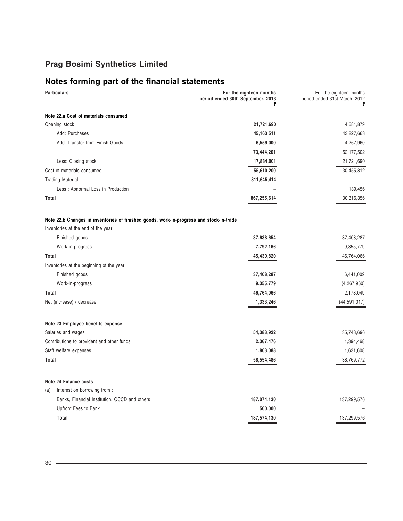| <b>Particulars</b>                                                                                                             | For the eighteen months<br>period ended 30th September, 2013<br>₹ | For the eighteen months<br>period ended 31st March, 2012<br>₹ |
|--------------------------------------------------------------------------------------------------------------------------------|-------------------------------------------------------------------|---------------------------------------------------------------|
| Note 22.a Cost of materials consumed                                                                                           |                                                                   |                                                               |
| Opening stock                                                                                                                  | 21,721,690                                                        | 4,681,879                                                     |
| Add: Purchases                                                                                                                 | 45,163,511                                                        | 43,227,663                                                    |
| Add: Transfer from Finish Goods                                                                                                | 6,559,000                                                         | 4,267,960                                                     |
|                                                                                                                                | 73,444,201                                                        | 52,177,502                                                    |
| Less: Closing stock                                                                                                            | 17,834,001                                                        | 21,721,690                                                    |
| Cost of materials consumed                                                                                                     | 55,610,200                                                        | 30,455,812                                                    |
| <b>Trading Material</b>                                                                                                        | 811,645,414                                                       |                                                               |
| Less : Abnormal Loss in Production                                                                                             |                                                                   | 139,456                                                       |
| Total                                                                                                                          | 867,255,614                                                       | 30,316,356                                                    |
| Note 22.b Changes in inventories of finished goods, work-in-progress and stock-in-trade<br>Inventories at the end of the year: |                                                                   |                                                               |
| Finished goods                                                                                                                 | 37,638,654                                                        | 37,408,287                                                    |
| Work-in-progress                                                                                                               | 7,792,166                                                         | 9,355,779                                                     |
| Total                                                                                                                          | 45,430,820                                                        | 46,764,066                                                    |
| Inventories at the beginning of the year:                                                                                      |                                                                   |                                                               |
| Finished goods                                                                                                                 | 37,408,287                                                        | 6,441,009                                                     |
| Work-in-progress                                                                                                               | 9,355,779                                                         | (4, 267, 960)                                                 |
| Total                                                                                                                          | 46,764,066                                                        | 2,173,049                                                     |
| Net (increase) / decrease                                                                                                      | 1,333,246                                                         | (44, 591, 017)                                                |
| Note 23 Employee benefits expense                                                                                              |                                                                   |                                                               |
| Salaries and wages                                                                                                             | 54,383,922                                                        | 35,743,696                                                    |
| Contributions to provident and other funds                                                                                     | 2,367,476                                                         | 1,394,468                                                     |
| Staff welfare expenses                                                                                                         | 1,803,088                                                         | 1,631,608                                                     |
| Total                                                                                                                          | 58,554,486                                                        | 38,769,772                                                    |
| Note 24 Finance costs                                                                                                          |                                                                   |                                                               |
| Interest on borrowing from :<br>(a)                                                                                            |                                                                   |                                                               |
| Banks, Financial Institution, OCCD and others                                                                                  | 187,074,130                                                       | 137,299,576                                                   |
| Upfront Fees to Bank                                                                                                           | 500,000                                                           |                                                               |
| Total                                                                                                                          | 187,574,130                                                       | 137,299,576                                                   |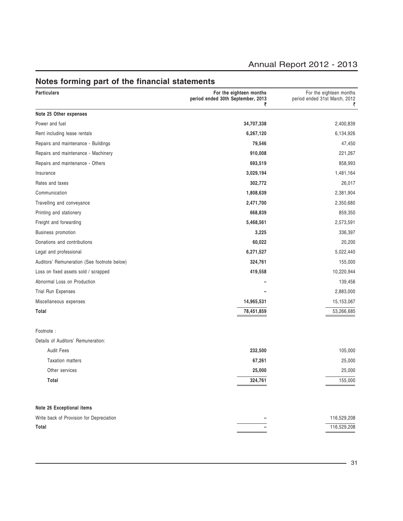# Annual Report 2012 - 2013

| <b>Particulars</b>                          | For the eighteen months<br>period ended 30th September, 2013<br>₹ | For the eighteen months<br>period ended 31st March, 2012 |
|---------------------------------------------|-------------------------------------------------------------------|----------------------------------------------------------|
| Note 25 Other expenses                      |                                                                   |                                                          |
| Power and fuel                              | 34,707,338                                                        | 2,400,839                                                |
| Rent including lease rentals                | 6,267,120                                                         | 6,134,926                                                |
| Repairs and maintenance - Buildings         | 79,546                                                            | 47,450                                                   |
| Repairs and maintenance - Machinery         | 910,008                                                           | 221,267                                                  |
| Repairs and maintenance - Others            | 693,519                                                           | 858,993                                                  |
| Insurance                                   | 3,029,194                                                         | 1,481,164                                                |
| Rates and taxes                             | 302,772                                                           | 26,017                                                   |
| Communication                               | 1,808,639                                                         | 2,381,904                                                |
| Travelling and conveyance                   | 2,471,700                                                         | 2,350,680                                                |
| Printing and stationery                     | 668,839                                                           | 859,350                                                  |
| Freight and forwarding                      | 5,468,561                                                         | 2,573,591                                                |
| <b>Business promotion</b>                   | 3,225                                                             | 336,397                                                  |
| Donations and contributions                 | 60,022                                                            | 20,200                                                   |
| Legal and professional                      | 6,271,527                                                         | 5,022,440                                                |
| Auditors' Remuneration (See footnote below) | 324,761                                                           | 155,000                                                  |
| Loss on fixed assets sold / scrapped        | 419,558                                                           | 10,220,944                                               |
| Abnormal Loss on Production                 |                                                                   | 139,456                                                  |
| <b>Trial Run Expenses</b>                   |                                                                   | 2,883,000                                                |
| Miscellaneous expenses                      | 14,965,531                                                        | 15,153,067                                               |
| Total                                       | 78,451,859                                                        | 53,266,685                                               |
| Footnote:                                   |                                                                   |                                                          |
| Details of Auditors' Remuneration:          |                                                                   |                                                          |
| <b>Audit Fees</b>                           | 232,500                                                           | 105,000                                                  |
| <b>Taxation matters</b>                     | 67,261                                                            | 25,000                                                   |
| Other services                              | 25,000                                                            | 25,000                                                   |
| Total                                       | 324,761                                                           | 155,000                                                  |
| Note 26 Exceptional items                   |                                                                   |                                                          |
| Write back of Provision for Depreciation    |                                                                   | 116,529,208                                              |
| Total                                       |                                                                   | 116,529,208                                              |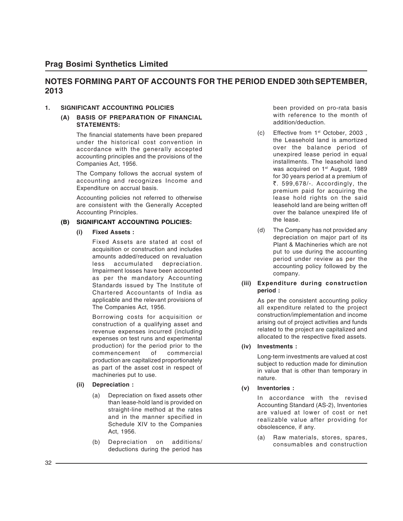# **NOTES FORMING PART OF ACCOUNTS FOR THE PERIOD ENDED 30thSEPTEMBER, 2013**

## **1. SIGNIFICANT ACCOUNTING POLICIES**

## **(A) BASIS OF PREPARATION OF FINANCIAL STATEMENTS:**

The financial statements have been prepared under the historical cost convention in accordance with the generally accepted accounting principles and the provisions of the Companies Act, 1956.

The Company follows the accrual system of accounting and recognizes Income and Expenditure on accrual basis.

Accounting policies not referred to otherwise are consistent with the Generally Accepted Accounting Principles.

## **(B) SIGNIFICANT ACCOUNTING POLICIES:**

### **(i) Fixed Assets :**

Fixed Assets are stated at cost of acquisition or construction and includes amounts added/reduced on revaluation less accumulated depreciation. Impairment losses have been accounted as per the mandatory Accounting Standards issued by The Institute of Chartered Accountants of India as applicable and the relevant provisions of The Companies Act, 1956.

Borrowing costs for acquisition or construction of a qualifying asset and revenue expenses incurred (including expenses on test runs and experimental production) for the period prior to the commencement of commercial production are capitalized proportionately as part of the asset cost in respect of machineries put to use.

### **(ii) Depreciation :**

- (a) Depreciation on fixed assets other than lease-hold land is provided on straight-line method at the rates and in the manner specified in Schedule XIV to the Companies Act, 1956.
- (b) Depreciation on additions/ deductions during the period has

been provided on pro-rata basis with reference to the month of addition/deduction.

- (c) Effective from 1st October, 2003 , the Leasehold land is amortized over the balance period of unexpired lease period in equal installments. The leasehold land was acquired on 1<sup>st</sup> August, 1989 for 30 years period at a premium of ₹. 599,678/-. Accordingly, the premium paid for acquiring the lease hold rights on the said leasehold land are being written off over the balance unexpired life of the lease.
- (d) The Company has not provided any depreciation on major part of its Plant & Machineries which are not put to use during the accounting period under review as per the accounting policy followed by the company.

#### **(iii) Expenditure during construction period :**

As per the consistent accounting policy all expenditure related to the project construction/implementation and income arising out of project activities and funds related to the project are capitalized and allocated to the respective fixed assets.

## **(iv) Investments :**

Long-term investments are valued at cost subject to reduction made for diminution in value that is other than temporary in nature.

**(v) Inventories :**

In accordance with the revised Accounting Standard (AS-2), Inventories are valued at lower of cost or net realizable value after providing for obsolescence, if any.

(a) Raw materials, stores, spares, consumables and construction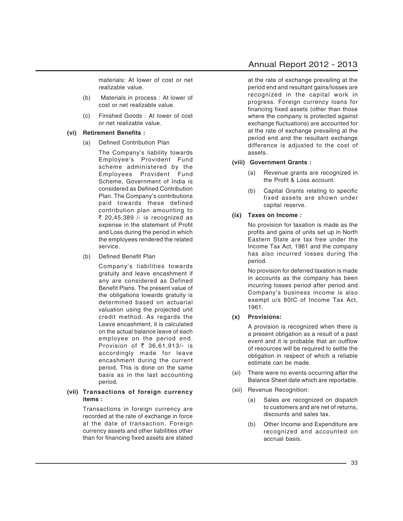materials: At lower of cost or net realizable value.

- (b) Materials in process : At lower of cost or net realizable value.
- (c) Finished Goods : At lower of cost or net realizable value.

## **(vi) Retirement Benefits :**

(a) Defined Contribution Plan

The Company's liability towards Employee's Provident Fund scheme administered by the Employees Provident Fund Scheme, Government of India is considered as Defined Contribution Plan. The Company's contributions paid towards these defined contribution plan amounting to ₹ 20,45,389 /- is recognized as expense in the statement of Profit and Loss during the period in which the employees rendered the related service.

(b) Defined Benefit Plan

Company's liabilities towards gratuity and leave encashment if any are considered as Defined Benefit Plans. The present value of the obligations towards gratuity is determined based on actuarial valuation using the projected unit credit method. As regards the Leave encashment, it is calculated on the actual balance leave of each employee on the period end. Provision of ₹ 36,61,913/- is accordingly made for leave encashment during the current period. This is done on the same basis as in the last accounting period.

#### **(vii) Transactions of foreign currency items :**

Transactions in foreign currency are recorded at the rate of exchange in force at the date of transaction. Foreign currency assets and other liabilities other than for financing fixed assets are stated at the rate of exchange prevailing at the period end and resultant gains/losses are recognized in the capital work in progress. Foreign currency loans for financing fixed assets (other than those where the company is protected against exchange fluctuations) are accounted for at the rate of exchange prevailing at the period end and the resultant exchange difference is adjusted to the cost of assets.

### **(viii) Government Grants :**

- (a) Revenue grants are recognized in the Profit & Loss account.
- (b) Capital Grants relating to specific fixed assets are shown under capital reserve.

#### **(ix) Taxes on Income :**

No provision for taxation is made as the profits and gains of units set up in North Eastern State are tax free under the Income Tax Act, 1961 and the company has also incurred losses during the period.

No provision for deferred taxation is made in accounts as the company has been incurring losses period after period and Company's business income is also exempt u/s 80IC of Income Tax Act, 1961.

### **(x) Provisions:**

A provision is recognized when there is a present obligation as a result of a past event and it is probable that an outflow of resources will be required to settle the obligation in respect of which a reliable estimate can be made.

- (xi) There were no events occurring after the Balance Sheet date which are reportable.
- (xii) Revenue Recognition:
	- (a) Sales are recognized on dispatch to customers and are net of returns, discounts and sales tax.
	- (b) Other Income and Expenditure are recognized and accounted on accrual basis.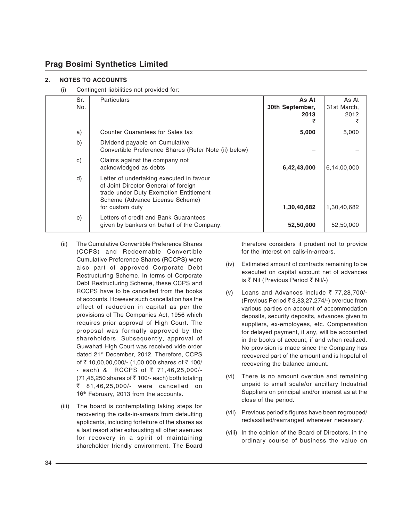## **2. NOTES TO ACCOUNTS**

(i) Contingent liabilities not provided for:

| Sr.<br>No. | Particulars                                                                                                                                                                      | As At<br>30th September,<br>2013<br>₹ | As At<br>31st March,<br>2012 |
|------------|----------------------------------------------------------------------------------------------------------------------------------------------------------------------------------|---------------------------------------|------------------------------|
| a)         | Counter Guarantees for Sales tax                                                                                                                                                 | 5,000                                 | 5,000                        |
| b)         | Dividend payable on Cumulative<br>Convertible Preference Shares (Refer Note (ii) below)                                                                                          |                                       |                              |
| c)         | Claims against the company not<br>acknowledged as debts                                                                                                                          | 6,42,43,000                           | 6,14,00,000                  |
| d)         | Letter of undertaking executed in favour<br>of Joint Director General of foreign<br>trade under Duty Exemption Entitlement<br>Scheme (Advance License Scheme)<br>for custom duty | 1,30,40,682                           | 1,30,40,682                  |
| e)         | Letters of credit and Bank Guarantees<br>given by bankers on behalf of the Company.                                                                                              | 52,50,000                             | 52,50,000                    |

- (ii) The Cumulative Convertible Preference Shares (CCPS) and Redeemable Convertible Cumulative Preference Shares (RCCPS) were also part of approved Corporate Debt Restructuring Scheme. In terms of Corporate Debt Restructuring Scheme, these CCPS and RCCPS have to be cancelled from the books of accounts. However such cancellation has the effect of reduction in capital as per the provisions of The Companies Act, 1956 which requires prior approval of High Court. The proposal was formally approved by the shareholders. Subsequently, approval of Guwahati High Court was received vide order dated 21<sup>st</sup> December, 2012. Therefore, CCPS of ₹ 10,00,00,000/- (1,00,000 shares of ₹ 100/ - each) & RCCPS of  $\bar{z}$  71,46,25,000/- $(71, 46, 250$  shares of  $\overline{5}$  100/- each) both totaling ` 81,46,25,000/- were cancelled on 16<sup>th</sup> February, 2013 from the accounts.
- (iii) The board is contemplating taking steps for recovering the calls-in-arrears from defaulting applicants, including forfeiture of the shares as a last resort after exhausting all other avenues for recovery in a spirit of maintaining shareholder friendly environment. The Board

therefore considers it prudent not to provide for the interest on calls-in-arrears.

- (iv) Estimated amount of contracts remaining to be executed on capital account net of advances is ₹ Nil (Previous Period ₹ Nil/-)
- (v) Loans and Advances include  $\bar{\tau}$  77,28,700/-(Previous Period  $\bar{\tau}$  3,83,27,274/-) overdue from various parties on account of accommodation deposits, security deposits, advances given to suppliers, ex-employees, etc. Compensation for delayed payment, if any, will be accounted in the books of account, if and when realized. No provision is made since the Company has recovered part of the amount and is hopeful of recovering the balance amount.
- (vi) There is no amount overdue and remaining unpaid to small scale/or ancillary Industrial Suppliers on principal and/or interest as at the close of the period.
- (vii) Previous period's figures have been regrouped/ reclassified/rearranged wherever necessary.
- (viii) In the opinion of the Board of Directors, in the ordinary course of business the value on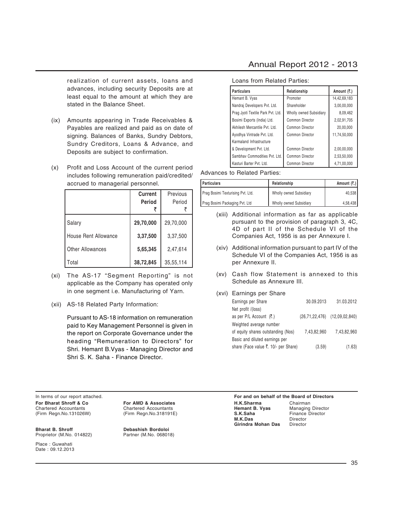realization of current assets, loans and advances, including security Deposits are at least equal to the amount at which they are stated in the Balance Sheet.

- (ix) Amounts appearing in Trade Receivables & Payables are realized and paid as on date of signing. Balances of Banks, Sundry Debtors, Sundry Creditors, Loans & Advance, and Deposits are subject to confirmation.
- (x) Profit and Loss Account of the current period includes following remuneration paid/credited/ accrued to managerial personnel.

|                         | Current<br><b>Period</b> | Previous<br>Period |
|-------------------------|--------------------------|--------------------|
| Salary                  | 29,70,000                | 29,70,000          |
| House Rent Allowance    | 3,37,500                 | 3,37,500           |
| <b>Other Allowances</b> | 5,65,345                 | 2,47,614           |
| Total                   | 38,72,845                | 35,55,114          |

- (xi) The AS-17 "Segment Reporting" is not applicable as the Company has operated only in one segment i.e. Manufacturing of Yarn.
- (xii) AS-18 Related Party Information:

Pursuant to AS-18 information on remuneration paid to Key Management Personnel is given in the report on Corporate Governance under the heading "Remuneration to Directors" for Shri. Hemant B.Vyas - Managing Director and Shri S. K. Saha - Finance Director.

# Annual Report 2012 - 2013

#### Loans from Related Parties:

| <b>Particulars</b>                | Relationship                   | Amount (₹.)  |
|-----------------------------------|--------------------------------|--------------|
| Hemant B. Vyas                    | Promoter                       | 14,42,69,183 |
| Nandraj Developers Pvt. Ltd.      | Shareholder                    | 3,00,00,000  |
| Prag Jyoti Textile Park Pvt. Ltd. | <b>Wholly owned Subsidiary</b> | 8,09,462     |
| Bosimi Exports (India) Ltd.       | Common Director                | 2,02,91,705  |
| Akhilesh Mercantile Pvt. Ltd.     | Common Director                | 20,00,000    |
| Ayodhya Vintrade Pvt. Ltd.        | Common Director                | 11,74,50,000 |
| Karmaland Infrastructure          |                                |              |
| & Development Pvt. Ltd.           | Common Director                | 2,00,00,000  |
| Sambhay Commodities Pyt. Ltd.     | Common Director                | 2,53,50,000  |
| Kasturi Barter Pvt. Ltd.          | Common Director                | 4,71,00,000  |

Advances to Related Parties:

| <b>Particulars</b>                | Relationship                   | Amount $(\bar{z})$ |
|-----------------------------------|--------------------------------|--------------------|
| Prag Bosimi Texturising Pvt. Ltd. | Wholly owned Subsidiary        | 40,538             |
| Prag Bosimi Packaging Pvt. Ltd    | <b>Wholly owned Subsidiary</b> | 4,58,438           |

- (xiii) Additional information as far as applicable pursuant to the provision of paragraph 3, 4C, 4D of part II of the Schedule VI of the Companies Act, 1956 is as per Annexure I.
	- (xiv) Additional information pursuant to part IV of the Schedule VI of the Companies Act, 1956 is as per Annexure II.
	- (xv) Cash flow Statement is annexed to this Schedule as Annexure III.
- (xvi) Earnings per Share

| Earnings per Share                                                     | 30.09.2013  | 31.03.2012                              |
|------------------------------------------------------------------------|-------------|-----------------------------------------|
| Net profit /(loss)                                                     |             |                                         |
| as per P/L Account $(\overline{\zeta})$                                |             | $(26, 71, 22, 476)$ $(12, 09, 02, 840)$ |
| Weighted average number<br>of equity shares outstanding (Nos)          | 7,43,82,960 | 7,43,82,960                             |
| Basic and diluted earnings per<br>share (Face value ₹. 10/- per Share) | (3.59)      | (1.63)                                  |

**Bharat B. Shroff Debashish Bordoloi**<br>Proprietor (M.No. 014822) Partner (M.No. 068018) Proprietor (M.No. 014822)

Place : Guwahati Date : 09.12.2013

In terms of our report attached. **For and on behalf of the Board of Directors For Bharat Shroff & Co For AMD & Associates H.K.Sharma** Chairman Chairman<br>
Chartered Accountants Chartered Accountants **Hemant B. Vyas** Managing Director Chartered Accountants **Chartered Accountants Chartered Accountants Chartered Accountants Accountants Chartered Accountants Chartered Accountants <b>Hemant B. Vyas** Managing Director Chartered Accountants **S.K.Saha** (Firm Regn.No.131026W) (Firm Regn.No.318191E) **S.K.Saha** Finance **S.K.Saha** Finance **Director M.K.Das** Director<br>**Girindra Mohan Das** Director **Girindra Mohan Das**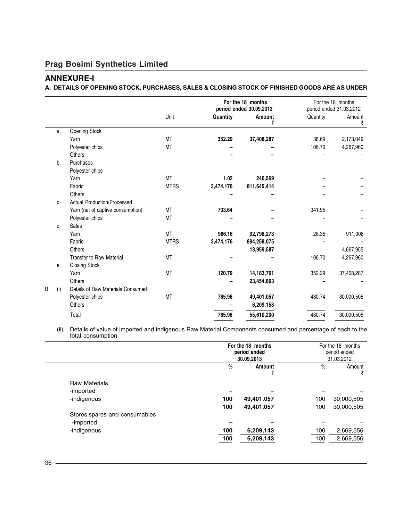# **ANNEXURE-I**

## **A. DETAILS OF OPENING STOCK, PURCHASES, SALES & CLOSING STOCK OF FINISHED GOODS ARE AS UNDER**

|                  |                                    |             | For the 18 months<br>period ended 30.09.2013 |             |          | For the 18 months<br>period ended 31.03.2012 |
|------------------|------------------------------------|-------------|----------------------------------------------|-------------|----------|----------------------------------------------|
|                  |                                    | Unit        | Quantity                                     | Amount<br>₹ | Quantity | Amount<br>₹                                  |
| a.               | <b>Opening Stock</b>               |             |                                              |             |          |                                              |
|                  | Yarn                               | <b>MT</b>   | 352.29                                       | 37,408,287  | 38.69    | 2,173,049                                    |
|                  | Polyester chips                    | <b>MT</b>   |                                              |             | 106.70   | 4,267,960                                    |
|                  | Others                             |             |                                              |             |          |                                              |
| b.               | Purchases                          |             |                                              |             |          |                                              |
|                  | Polyester chips                    |             |                                              |             |          |                                              |
|                  | Yarn                               | <b>MT</b>   | 1.02                                         | 240,569     |          |                                              |
|                  | Fabric                             | <b>MTRS</b> | 3,474,176                                    | 811,645,414 |          |                                              |
|                  | <b>Others</b>                      |             |                                              |             |          |                                              |
| C.               | <b>Actual Production/Processed</b> |             |                                              |             |          |                                              |
|                  | Yarn (net of captive consumption)  | <b>MT</b>   | 733.64                                       |             | 341.95   |                                              |
|                  | Polyester chips                    | <b>MT</b>   |                                              |             |          |                                              |
| d.               | <b>Sales</b>                       |             |                                              |             |          |                                              |
|                  | Yarn                               | <b>MT</b>   | 966.16                                       | 92,798,273  | 28.35    | 911,008                                      |
|                  | Fabric                             | <b>MTRS</b> | 3,474,176                                    | 894,258,075 |          |                                              |
|                  | Others                             |             |                                              | 13,959,587  |          | 4,667,955                                    |
|                  | <b>Transfer to Raw Material</b>    | <b>MT</b>   |                                              |             | 106.70   | 4,267,960                                    |
| e.               | <b>Closing Stock</b>               |             |                                              |             |          |                                              |
|                  | Yarn                               | MT          | 120.79                                       | 14,183,761  | 352.29   | 37,408,287                                   |
|                  | <b>Others</b>                      |             |                                              | 23,454,893  |          |                                              |
| <b>B.</b><br>(i) | Details of Raw Materials Consumed  |             |                                              |             |          |                                              |
|                  | Polyester chips                    | <b>MT</b>   | 785.96                                       | 49,401,057  | 430.74   | 30,000,505                                   |
|                  | <b>Others</b>                      |             |                                              | 6,209,153   |          |                                              |
|                  | Total                              |             | 785.96                                       | 55,610,200  | 430.74   | 30,000,505                                   |

(ii) Details of value of imported and indigenous Raw Material,Components consumed and percentage of each to the total consumption L

|                                | For the 18 months<br>period ended<br>30.09.2013 |            |      | For the 18 months<br>period ended<br>31.03.2012 |  |
|--------------------------------|-------------------------------------------------|------------|------|-------------------------------------------------|--|
|                                | %                                               | Amount     | $\%$ | Amount<br>₹                                     |  |
| <b>Raw Materials</b>           |                                                 |            |      |                                                 |  |
| -imported                      |                                                 |            |      |                                                 |  |
| -indigenous                    | 100                                             | 49,401,057 | 100  | 30,000,505                                      |  |
|                                | 100                                             | 49,401,057 | 100  | 30,000,505                                      |  |
| Stores, spares and consumables |                                                 |            |      |                                                 |  |
| -imported                      |                                                 |            |      |                                                 |  |
| -indigenous                    | 100                                             | 6,209,143  | 100  | 2,669,556                                       |  |
|                                | 100                                             | 6,209,143  | 100  | 2,669,556                                       |  |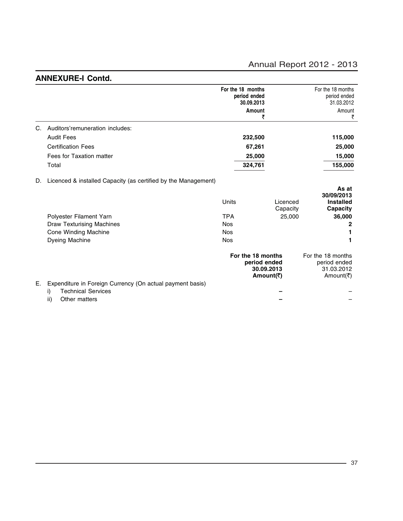# **ANNEXURE-I Contd.**

|    |                                                                | For the 18 months<br>period ended<br>30.09.2013 |                         | For the 18 months<br>period ended<br>31.03.2012              |
|----|----------------------------------------------------------------|-------------------------------------------------|-------------------------|--------------------------------------------------------------|
|    |                                                                | Amount<br>₹                                     |                         | Amount<br>₹                                                  |
| C. | Auditors'remuneration includes:                                |                                                 |                         |                                                              |
|    | <b>Audit Fees</b>                                              | 232,500                                         |                         | 115,000                                                      |
|    | <b>Certification Fees</b>                                      | 67,261                                          |                         | 25,000                                                       |
|    | Fees for Taxation matter                                       | 25,000                                          |                         | 15,000                                                       |
|    | Total                                                          | 324,761                                         |                         | 155,000                                                      |
| D. | Licenced & installed Capacity (as certified by the Management) |                                                 |                         |                                                              |
|    |                                                                |                                                 |                         | As at<br>30/09/2013                                          |
|    |                                                                | Units                                           | Licenced<br>Capacity    | <b>Installed</b><br>Capacity                                 |
|    | Polyester Filament Yarn                                        | <b>TPA</b>                                      | 25,000                  | 36,000                                                       |
|    | <b>Draw Texturising Machines</b>                               | <b>Nos</b>                                      |                         | 2                                                            |
|    | Cone Winding Machine                                           | <b>Nos</b>                                      |                         |                                                              |
|    | Dyeing Machine                                                 | <b>Nos</b>                                      |                         |                                                              |
|    |                                                                | For the 18 months<br>period ended               | 30.09.2013<br>Amount(₹) | For the 18 months<br>period ended<br>31.03.2012<br>Amount(₹) |
| Е. | Expenditure in Foreign Currency (On actual payment basis)      |                                                 |                         |                                                              |
|    | <b>Technical Services</b><br>i)                                |                                                 |                         |                                                              |
|    | Other matters<br>ii)                                           |                                                 |                         |                                                              |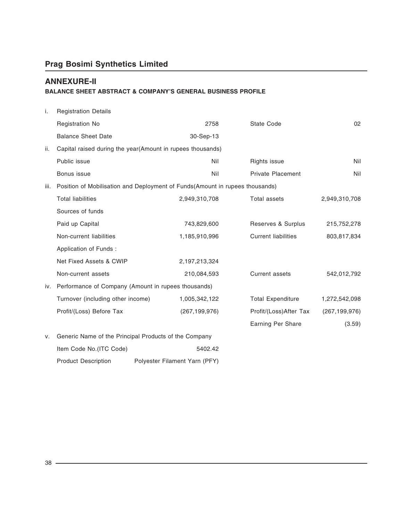# **ANNEXURE-II**

## **BALANCE SHEET ABSTRACT & COMPANY'S GENERAL BUSINESS PROFILE**

| i.   | <b>Registration Details</b>                                                  |                 |                            |                 |
|------|------------------------------------------------------------------------------|-----------------|----------------------------|-----------------|
|      | <b>Registration No</b>                                                       | 2758            | <b>State Code</b>          | 02              |
|      | <b>Balance Sheet Date</b>                                                    | 30-Sep-13       |                            |                 |
| ii.  | Capital raised during the year(Amount in rupees thousands)                   |                 |                            |                 |
|      | Public issue                                                                 | Nil             | Rights issue               | Nil             |
|      | Bonus issue                                                                  | <b>Nil</b>      | <b>Private Placement</b>   | Nil             |
| iii. | Position of Mobilisation and Deployment of Funds(Amount in rupees thousands) |                 |                            |                 |
|      | <b>Total liabilities</b>                                                     | 2,949,310,708   | <b>Total assets</b>        | 2,949,310,708   |
|      | Sources of funds                                                             |                 |                            |                 |
|      | Paid up Capital                                                              | 743,829,600     | Reserves & Surplus         | 215,752,278     |
|      | Non-current liabilities                                                      | 1,185,910,996   | <b>Current liabilities</b> | 803,817,834     |
|      | Application of Funds:                                                        |                 |                            |                 |
|      | Net Fixed Assets & CWIP                                                      | 2,197,213,324   |                            |                 |
|      | Non-current assets                                                           | 210,084,593     | <b>Current assets</b>      | 542,012,792     |
| iv.  | Performance of Company (Amount in rupees thousands)                          |                 |                            |                 |
|      | Turnover (including other income)                                            | 1,005,342,122   | <b>Total Expenditure</b>   | 1,272,542,098   |
|      | Profit/(Loss) Before Tax                                                     | (267, 199, 976) | Profit/(Loss)After Tax     | (267, 199, 976) |
|      |                                                                              |                 | <b>Earning Per Share</b>   | (3.59)          |
| v.   | Generic Name of the Principal Products of the Company                        |                 |                            |                 |
|      | Item Code No.(ITC Code)                                                      | 5402.42         |                            |                 |
|      |                                                                              |                 |                            |                 |

Product Description Polyester Filament Yarn (PFY)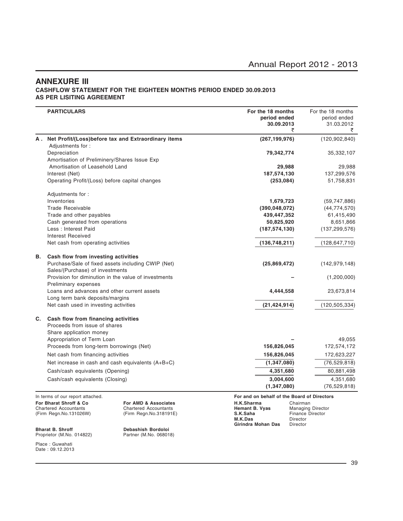## **ANNEXURE III CASHFLOW STATEMENT FOR THE EIGHTEEN MONTHS PERIOD ENDED 30.09.2013 AS PER LISITING AGREEMENT**

Proprietor (M.No. 014822) Partner (M.No. 068018)

Place : Guwahati Date : 09.12.2013

|    | <b>PARTICULARS</b>                                                                        |                                                                                | For the 18 months<br>period ended<br>30.09.2013<br>₹                                                          | For the 18 months<br>period ended<br>31.03.2012<br>₹ |
|----|-------------------------------------------------------------------------------------------|--------------------------------------------------------------------------------|---------------------------------------------------------------------------------------------------------------|------------------------------------------------------|
|    | Adjustments for:                                                                          | A. Net Profit/(Loss)before tax and Extraordinary items                         | (267, 199, 976)                                                                                               | (120, 902, 840)                                      |
|    | Depreciation<br>Amortisation of Preliminery/Shares Issue Exp                              |                                                                                | 79,342,774                                                                                                    | 35,332,107                                           |
|    | Amortisation of Leasehold Land                                                            |                                                                                | 29,988                                                                                                        | 29,988                                               |
|    | Interest (Net)                                                                            |                                                                                | 187,574,130                                                                                                   | 137,299,576                                          |
|    | Operating Profit/(Loss) before capital changes                                            |                                                                                | (253, 084)                                                                                                    | 51,758,831                                           |
|    | Adjustments for:                                                                          |                                                                                |                                                                                                               |                                                      |
|    | Inventories                                                                               |                                                                                | 1,679,723                                                                                                     | (59, 747, 886)                                       |
|    | <b>Trade Receivable</b>                                                                   |                                                                                | (390, 048, 072)                                                                                               | (44, 774, 570)                                       |
|    | Trade and other payables                                                                  |                                                                                | 439,447,352                                                                                                   | 61,415,490                                           |
|    | Cash generated from operations                                                            |                                                                                | 50,825,920                                                                                                    | 8,651,866                                            |
|    | Less: Interest Paid                                                                       |                                                                                | (187, 574, 130)                                                                                               | (137, 299, 576)                                      |
|    | <b>Interest Received</b><br>Net cash from operating activities                            |                                                                                | (136,748,211)                                                                                                 | (128, 647, 710)                                      |
| В. | Cash flow from investing activities<br>Purchase/Sale of fixed assets including CWIP (Net) |                                                                                | (25,869,472)                                                                                                  | (142, 979, 148)                                      |
|    | Sales/(Purchase) of investments                                                           |                                                                                |                                                                                                               |                                                      |
|    | Provision for diminution in the value of investments                                      |                                                                                |                                                                                                               | (1,200,000)                                          |
|    | Preliminary expenses                                                                      |                                                                                |                                                                                                               |                                                      |
|    | Loans and advances and other current assets                                               |                                                                                | 4,444,558                                                                                                     | 23,673,814                                           |
|    | Long term bank deposits/margins<br>Net cash used in investing activities                  |                                                                                | (21, 424, 914)                                                                                                | (120, 505, 334)                                      |
|    |                                                                                           |                                                                                |                                                                                                               |                                                      |
| C. | Cash flow from financing activities<br>Proceeds from issue of shares                      |                                                                                |                                                                                                               |                                                      |
|    | Share application money                                                                   |                                                                                |                                                                                                               |                                                      |
|    | Appropriation of Term Loan                                                                |                                                                                |                                                                                                               | 49,055                                               |
|    | Proceeds from long-term borrowings (Net)                                                  |                                                                                | 156,826,045                                                                                                   | 172,574,172                                          |
|    | Net cash from financing activities                                                        |                                                                                | 156,826,045                                                                                                   | 172,623,227                                          |
|    | Net increase in cash and cash equivalents (A+B+C)                                         |                                                                                | (1, 347, 080)                                                                                                 | (76, 529, 818)                                       |
|    | Cash/cash equivalents (Opening)                                                           |                                                                                | 4,351,680                                                                                                     | 80,881,498                                           |
|    | Cash/cash equivalents (Closing)                                                           |                                                                                | 3,004,600                                                                                                     | 4,351,680                                            |
|    |                                                                                           |                                                                                | (1, 347, 080)                                                                                                 | (76, 529, 818)                                       |
|    | In terms of our report attached.                                                          |                                                                                | For and on behalf of the Board of Directors                                                                   |                                                      |
|    | For Bharat Shroff & Co<br><b>Chartered Accountants</b><br>(Firm Regn.No.131026W)          | For AMD & Associates<br><b>Chartered Accountants</b><br>(Firm Regn.No.318191E) | H.K.Sharma<br>Chairman<br>Hemant B. Vyas<br>S.K.Saha<br>M.K.Das<br>Director<br>Girindra Mohan Das<br>Director | <b>Managing Director</b><br>Finance Director         |
|    | <b>Bharat B. Shroff</b>                                                                   | Debashish Bordoloi                                                             |                                                                                                               |                                                      |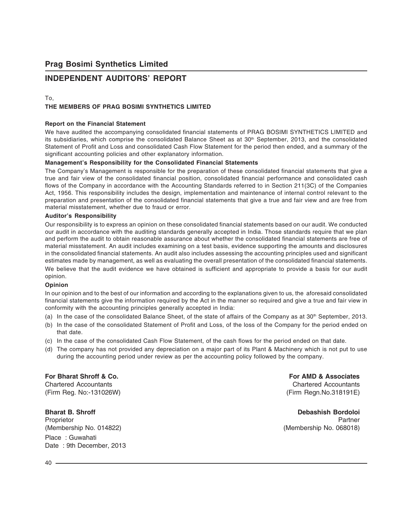# **INDEPENDENT AUDITORS' REPORT**

To,

## **THE MEMBERS OF PRAG BOSIMI SYNTHETICS LIMITED**

### **Report on the Financial Statement**

We have audited the accompanying consolidated financial statements of PRAG BOSIMI SYNTHETICS LIMITED and its subsidiaries, which comprise the consolidated Balance Sheet as at 30<sup>th</sup> September, 2013, and the consolidated Statement of Profit and Loss and consolidated Cash Flow Statement for the period then ended, and a summary of the significant accounting policies and other explanatory information.

## **Management's Responsibility for the Consolidated Financial Statements**

The Company's Management is responsible for the preparation of these consolidated financial statements that give a true and fair view of the consolidated financial position, consolidated financial performance and consolidated cash flows of the Company in accordance with the Accounting Standards referred to in Section 211(3C) of the Companies Act, 1956. This responsibility includes the design, implementation and maintenance of internal control relevant to the preparation and presentation of the consolidated financial statements that give a true and fair view and are free from material misstatement, whether due to fraud or error.

## **Auditor's Responsibility**

Our responsibility is to express an opinion on these consolidated financial statements based on our audit. We conducted our audit in accordance with the auditing standards generally accepted in India. Those standards require that we plan and perform the audit to obtain reasonable assurance about whether the consolidated financial statements are free of material misstatement. An audit includes examining on a test basis, evidence supporting the amounts and disclosures in the consolidated financial statements. An audit also includes assessing the accounting principles used and significant estimates made by management, as well as evaluating the overall presentation of the consolidated financial statements.

We believe that the audit evidence we have obtained is sufficient and appropriate to provide a basis for our audit opinion.

## **Opinion**

In our opinion and to the best of our information and according to the explanations given to us, the aforesaid consolidated financial statements give the information required by the Act in the manner so required and give a true and fair view in conformity with the accounting principles generally accepted in India:

- (a) In the case of the consolidated Balance Sheet, of the state of affairs of the Company as at  $30<sup>th</sup>$  September, 2013.
- (b) In the case of the consolidated Statement of Profit and Loss, of the loss of the Company for the period ended on that date.
- (c) In the case of the consolidated Cash Flow Statement, of the cash flows for the period ended on that date.
- (d) The company has not provided any depreciation on a major part of its Plant & Machinery which is not put to use during the accounting period under review as per the accounting policy followed by the company.

Chartered Accountants Chartered Accountants (Firm Reg. No:-131026W) (Firm Regn.No.318191E)

Proprietor Partner (Proprietor Partner (Proprietor Partner (Proprietor Partner (Proprietor Partner ) (Membership No. 014822) (Membership No. 068018) Place : Guwahati Date : 9th December, 2013

**For Bharat Shroff & Co. For AMD & Associates**

**Bharat B. Shroff Debashish Bordoloi**

 $40$   $\overline{\phantom{0}}$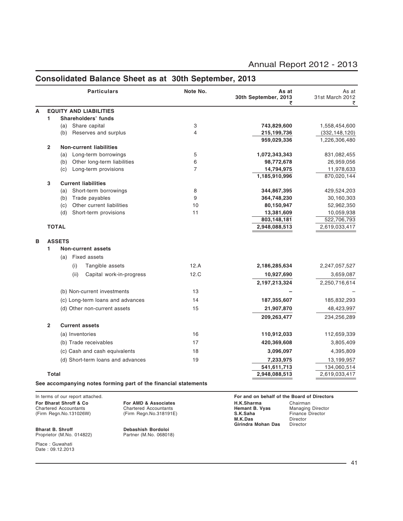# Annual Report 2012 - 2013

|                | <b>Particulars</b>                 | Note No.       | As at<br>30th September, 2013<br>₹ | As at<br>31st March 2012<br>₹ |
|----------------|------------------------------------|----------------|------------------------------------|-------------------------------|
| A              | <b>EQUITY AND LIABILITIES</b>      |                |                                    |                               |
| 1.             | Shareholders' funds                |                |                                    |                               |
|                | Share capital<br>(a)               | 3              | 743,829,600                        | 1,558,454,600                 |
|                | Reserves and surplus<br>(b)        | $\overline{4}$ | 215,199,736                        | (332, 148, 120)               |
|                |                                    |                | 959,029,336                        | 1,226,306,480                 |
| $\overline{2}$ | <b>Non-current liabilities</b>     |                |                                    |                               |
|                | Long-term borrowings<br>(a)        | 5              | 1,072,343,343                      | 831,082,455                   |
|                | Other long-term liabilities<br>(b) | 6              | 98,772,678                         | 26,959,056                    |
|                | Long-term provisions<br>(c)        | $\overline{7}$ | 14,794,975<br>1,185,910,996        | 11,978,633<br>870,020,144     |
| 3              | <b>Current liabilities</b>         |                |                                    |                               |
|                | Short-term borrowings<br>(a)       | 8              | 344,867,395                        | 429,524,203                   |
|                | Trade payables<br>(b)              | 9              | 364,748,230                        | 30,160,303                    |
|                | Other current liabilities<br>(c)   | 10             | 80,150,947                         | 52,962,350                    |
|                | Short-term provisions<br>(d)       | 11             | 13,381,609                         | 10,059,938                    |
|                |                                    |                | 803,148,181                        | 522,706,793                   |
|                | <b>TOTAL</b>                       |                | 2,948,088,513                      | 2,619,033,417                 |
| в              | <b>ASSETS</b>                      |                |                                    |                               |
| 1              | <b>Non-current assets</b>          |                |                                    |                               |
|                | <b>Fixed assets</b><br>(a)         |                |                                    |                               |
|                | Tangible assets<br>(i)             | 12.A           | 2,186,285,634                      | 2,247,057,527                 |
|                | (ii)<br>Capital work-in-progress   | 12.C           | 10,927,690                         | 3,659,087                     |
|                |                                    |                | 2,197,213,324                      | 2,250,716,614                 |
|                | (b) Non-current investments        | 13             |                                    |                               |
|                | (c) Long-term loans and advances   | 14             | 187,355,607                        | 185,832,293                   |
|                | (d) Other non-current assets       | 15             | 21,907,870                         | 48,423,997                    |
|                |                                    |                | 209,263,477                        | 234,256,289                   |
| $\overline{2}$ | <b>Current assets</b>              |                |                                    |                               |
|                | (a) Inventories                    | 16             | 110,912,033                        | 112,659,339                   |
|                | (b) Trade receivables              | 17             | 420,369,608                        | 3,805,409                     |
|                | (c) Cash and cash equivalents      | 18             | 3,096,097                          | 4,395,809                     |
|                | (d) Short-term loans and advances  | 19             | 7,233,975                          | 13,199,957                    |
|                |                                    |                | 541,611,713                        | 134,060,514                   |
| <b>Total</b>   |                                    |                | 2,948,088,513                      | 2,619,033,417                 |

# **Consolidated Balance Sheet as at 30th September, 2013**

**See accompanying notes forming part of the financial statements**

Chartered Accountants **Chartered Accountants Chartered Accountants Hemant B**<br>(Firm Regn.No.131026W) (Firm Regn.No.318191E) **S.K.Saha** 

**Bharat B. Shroff Debashish Bordoloi**<br>Proprietor (M.No. 014822) Partner (M.No. 068018) Proprietor (M.No. 014822)

Place : Guwahati Date : 09.12.2013

In terms of our report attached.<br> **For Bharat Shroff & Co For AMD & Associates For Sharma H.K.Sharma Chairman For Bharat Shroff & Co For AMD & Associates H.K.Sharma** Chairman Chairman<br>Characted Accountants Characted Accountants **Hemant B. Vyas** Managing Director (Firm Regn.No.131026W) (Firm Regn.No.318191E) **S.K.Saha** Finance (Firm Regn.No.318191E) **S.K.Saha** Finance **Contract Contract Contract Contract Contract Contract Contract Contract Contract Contract Contract Contract Contract Contract Contract Contract Contract Contract Contract Contract M.K.Das** Director<br>**Girindra Mohan Das** Director **Girindra Mohan Das**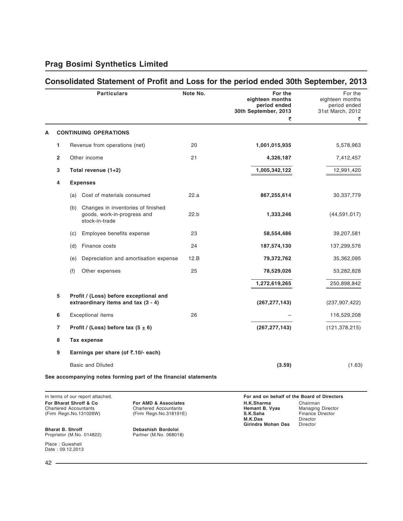# **Consolidated Statement of Profit and Loss for the period ended 30th September, 2013**

|   |                         | <b>Particulars</b>                                                                                                   |                                                                                | Note No. | For the<br>eighteen months<br>period ended<br>30th September, 2013                                                       | For the<br>eighteen months<br>period ended<br>31st March, 2012                   |
|---|-------------------------|----------------------------------------------------------------------------------------------------------------------|--------------------------------------------------------------------------------|----------|--------------------------------------------------------------------------------------------------------------------------|----------------------------------------------------------------------------------|
|   |                         |                                                                                                                      |                                                                                |          | ₹                                                                                                                        | ₹                                                                                |
| Α |                         | <b>CONTINUING OPERATIONS</b>                                                                                         |                                                                                |          |                                                                                                                          |                                                                                  |
| 1 |                         | Revenue from operations (net)                                                                                        |                                                                                | 20       | 1,001,015,935                                                                                                            | 5,578,963                                                                        |
| 2 |                         | Other income                                                                                                         |                                                                                | 21       | 4,326,187                                                                                                                | 7,412,457                                                                        |
| 3 |                         | Total revenue (1+2)                                                                                                  |                                                                                |          | 1,005,342,122                                                                                                            | 12,991,420                                                                       |
| 4 |                         | <b>Expenses</b>                                                                                                      |                                                                                |          |                                                                                                                          |                                                                                  |
|   |                         | (a) Cost of materials consumed                                                                                       |                                                                                | 22.a     | 867,255,614                                                                                                              | 30,337,779                                                                       |
|   | (b)                     | Changes in inventories of finished<br>goods, work-in-progress and<br>stock-in-trade                                  |                                                                                | 22.b     | 1,333,246                                                                                                                | (44, 591, 017)                                                                   |
|   | (c)                     | Employee benefits expense                                                                                            |                                                                                | 23       | 58,554,486                                                                                                               | 39,207,581                                                                       |
|   | (d)                     | Finance costs                                                                                                        |                                                                                | 24       | 187,574,130                                                                                                              | 137,299,576                                                                      |
|   | (e)                     | Depreciation and amortisation expense                                                                                |                                                                                | 12.B     | 79,372,762                                                                                                               | 35,362,095                                                                       |
|   | (f)                     | Other expenses                                                                                                       |                                                                                | 25       | 78,529,026                                                                                                               | 53,282,828                                                                       |
|   |                         |                                                                                                                      |                                                                                |          | 1,272,619,265                                                                                                            | 250,898,842                                                                      |
| 5 |                         | Profit / (Loss) before exceptional and<br>extraordinary items and tax $(3 - 4)$                                      |                                                                                |          | (267, 277, 143)                                                                                                          | (237, 907, 422)                                                                  |
| 6 |                         | Exceptional items                                                                                                    |                                                                                | 26       |                                                                                                                          | 116,529,208                                                                      |
| 7 |                         | Profit / (Loss) before tax $(5 \pm 6)$                                                                               |                                                                                |          | (267, 277, 143)                                                                                                          | (121, 378, 215)                                                                  |
| 8 |                         | Tax expense                                                                                                          |                                                                                |          |                                                                                                                          |                                                                                  |
| 9 |                         | Earnings per share (of ₹.10/- each)                                                                                  |                                                                                |          |                                                                                                                          |                                                                                  |
|   |                         | <b>Basic and Diluted</b>                                                                                             |                                                                                |          | (3.59)                                                                                                                   | (1.63)                                                                           |
|   |                         | See accompanying notes forming part of the financial statements                                                      |                                                                                |          |                                                                                                                          |                                                                                  |
|   |                         | In terms of our report attached.<br>For Bharat Shroff & Co<br><b>Chartered Accountants</b><br>(Firm Regn.No.131026W) | For AMD & Associates<br><b>Chartered Accountants</b><br>(Firm Regn.No.318191E) |          | For and on behalf of the Board of Directors<br>H.K.Sharma<br>Hemant B. Vyas<br>S.K.Saha<br>M.K.Das<br>Girindra Mohan Das | Chairman<br><b>Managing Director</b><br>Finance Director<br>Director<br>Director |
|   | <b>Bharat B. Shroff</b> | Proprietor (M.No. 014822)                                                                                            | Debashish Bordoloi<br>Partner (M.No. 068018)                                   |          |                                                                                                                          |                                                                                  |

42

Place : Guwahati Date : 09.12.2013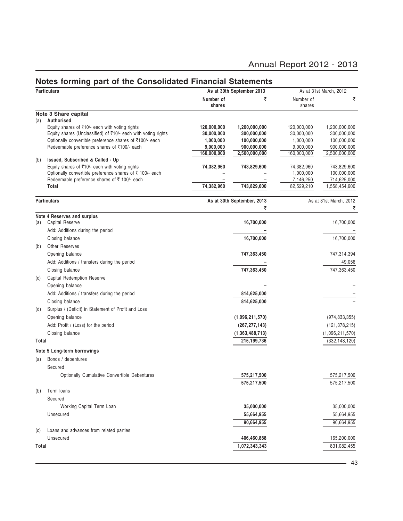# Annual Report 2012 - 2013

# **Notes forming part of the Consolidated Financial Statements**

| <b>Particulars</b> |                                                                                                                 |                           | As at 30th September 2013    | As at 31st March, 2012    |                              |  |
|--------------------|-----------------------------------------------------------------------------------------------------------------|---------------------------|------------------------------|---------------------------|------------------------------|--|
|                    |                                                                                                                 | Number of<br>shares       | ₹                            | Number of<br>shares       | ₹                            |  |
|                    | Note 3 Share capital                                                                                            |                           |                              |                           |                              |  |
| (a)                | Authorised                                                                                                      |                           |                              |                           |                              |  |
|                    | Equity shares of ₹10/- each with voting rights<br>Equity shares (Unclassified) of ₹10/- each with voting rights | 120,000,000<br>30,000,000 | 1,200,000,000<br>300,000,000 | 120,000,000<br>30,000,000 | 1,200,000,000<br>300,000,000 |  |
|                    | Optionally convertible preference shares of ₹100/- each                                                         | 1,000,000                 | 100,000,000                  | 1,000,000                 | 100,000,000                  |  |
|                    | Redeemable preference shares of ₹100/- each                                                                     | 9,000,000                 | 900,000,000                  | 9,000,000                 | 900,000,000                  |  |
|                    |                                                                                                                 | 160,000,000               | 2,500,000,000                | 160,000,000               | 2,500,000,000                |  |
| (b)                | Issued, Subscribed & Called - Up                                                                                |                           |                              |                           |                              |  |
|                    | Equity shares of ₹10/- each with voting rights<br>Optionally convertible preference shares of ₹ 100/- each      | 74,382,960                | 743,829,600                  | 74,382,960                | 743,829,600                  |  |
|                    | Redeemable preference shares of ₹ 100/- each                                                                    |                           |                              | 1,000,000<br>7,146,250    | 100,000,000<br>714,625,000   |  |
|                    | Total                                                                                                           | 74,382,960                | 743,829,600                  | 82,529,210                | 1,558,454,600                |  |
|                    |                                                                                                                 |                           |                              |                           |                              |  |
|                    | <b>Particulars</b>                                                                                              |                           | As at 30th September, 2013   |                           | As at 31st March, 2012       |  |
|                    |                                                                                                                 |                           | ₹                            |                           | ₹                            |  |
|                    | Note 4 Reserves and surplus                                                                                     |                           |                              |                           |                              |  |
| (a)                | Capital Reserve                                                                                                 |                           | 16,700,000                   |                           | 16,700,000                   |  |
|                    | Add: Additions during the period<br>Closing balance                                                             |                           | 16,700,000                   |                           |                              |  |
|                    |                                                                                                                 |                           |                              |                           | 16,700,000                   |  |
| (b)                | <b>Other Reserves</b>                                                                                           |                           |                              |                           |                              |  |
|                    | Opening balance                                                                                                 |                           | 747,363,450                  |                           | 747,314,394                  |  |
|                    | Add: Additions / transfers during the period                                                                    |                           |                              |                           | 49,056                       |  |
|                    | Closing balance                                                                                                 |                           | 747,363,450                  |                           | 747,363,450                  |  |
| (c)                | Capital Redemption Reserve                                                                                      |                           |                              |                           |                              |  |
|                    | Opening balance                                                                                                 |                           |                              |                           |                              |  |
|                    | Add: Additions / transfers during the period                                                                    |                           | 814,625,000                  |                           |                              |  |
|                    | Closing balance                                                                                                 |                           | 814,625,000                  |                           |                              |  |
| (d)                | Surplus / (Deficit) in Statement of Profit and Loss                                                             |                           |                              |                           |                              |  |
|                    | Opening balance                                                                                                 |                           | (1,096,211,570)              |                           | (974, 833, 355)              |  |
|                    | Add: Profit / (Loss) for the period                                                                             |                           | (267, 277, 143)              |                           | (121, 378, 215)              |  |
|                    | Closing balance                                                                                                 |                           | (1, 363, 488, 713)           |                           | (1,096,211,570)              |  |
| Total              |                                                                                                                 |                           | 215,199,736                  |                           | (332, 148, 120)              |  |
|                    | Note 5 Long-term borrowings                                                                                     |                           |                              |                           |                              |  |
| (a)                | Bonds / debentures                                                                                              |                           |                              |                           |                              |  |
|                    | Secured                                                                                                         |                           |                              |                           |                              |  |
|                    | <b>Optionally Cumulative Convertible Debentures</b>                                                             |                           | 575,217,500                  |                           | 575,217,500                  |  |
|                    |                                                                                                                 |                           | 575,217,500                  |                           | 575,217,500                  |  |
| (b)                | Term loans                                                                                                      |                           |                              |                           |                              |  |
|                    | Secured                                                                                                         |                           |                              |                           |                              |  |
|                    | Working Capital Term Loan                                                                                       |                           | 35,000,000                   |                           | 35,000,000                   |  |
|                    | Unsecured                                                                                                       |                           | 55,664,955                   |                           | 55,664,955                   |  |
|                    |                                                                                                                 |                           | 90,664,955                   |                           | 90,664,955                   |  |
| (c)                | Loans and advances from related parties                                                                         |                           |                              |                           |                              |  |
|                    | Unsecured                                                                                                       |                           | 406,460,888                  |                           | 165,200,000                  |  |
| Total              |                                                                                                                 |                           | 1,072,343,343                |                           | 831,082,455                  |  |
|                    |                                                                                                                 |                           |                              |                           |                              |  |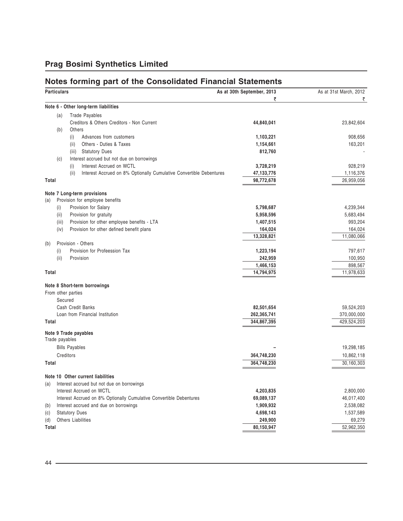# **Notes forming part of the Consolidated Financial Statements**

| ₹<br>₹<br>Note 6 - Other long-term liabilities<br><b>Trade Payables</b><br>(a)<br>Creditors & Others Creditors - Non Current<br>44,840,041<br>23,842,604<br>Others<br>(b)<br>(i)<br>Advances from customers<br>1,103,221<br>908,656<br>Others - Duties & Taxes<br>163,201<br>(ii)<br>1,154,661<br><b>Statutory Dues</b><br>812,760<br>(iii)<br>Interest accrued but not due on borrowings<br>(c)<br>Interest Accrued on WCTL<br>928,219<br>(i)<br>3,728,219<br>(ii)<br>Interest Accrued on 8% Optionally Cumulative Convertible Debentures<br>47,133,776<br>1,116,376<br>Total<br>98,772,678<br>26,959,056<br>Note 7 Long-term provisions<br>Provision for employee benefits<br>(a)<br>Provision for Salary<br>4,239,344<br>(i)<br>5,798,687<br>Provision for gratuity<br>(ii)<br>5,958,596<br>5,683,494<br>Provision for other employee benefits - LTA<br>993,204<br>(iii)<br>1,407,515<br>(iv)<br>Provision for other defined benefit plans<br>164,024<br>164,024<br>11,080,066<br>13,328,821<br>Provision - Others<br>(b)<br>Provision for Profeession Tax<br>797,617<br>(i)<br>1,223,194<br>(ii)<br>242,959<br>100,950<br>Provision<br>1,466,153<br>898,567<br>11,978,633<br>Total<br>14,794,975<br>Note 8 Short-term borrowings<br>From other parties<br>Secured<br>Cash Credit Banks<br>82,501,654<br>59,524,203<br>Loan from Financial Institution<br>262,365,741<br>370,000,000<br>344,867,395<br>429,524,203<br>Total<br>Note 9 Trade payables<br>Trade payables<br><b>Bills Payables</b><br>19,298,185<br>Creditors<br>10,862,118<br>364,748,230<br>30,160,303<br>Total<br>364,748,230<br>Note 10 Other current liabilities<br>Interest accrued but not due on borrowings<br>(a)<br>Interest Accrued on WCTL<br>2,800,000<br>4,203,835<br>Interest Accrued on 8% Optionally Cumulative Convertible Debentures<br>69,089,137<br>46,017,400<br>Interest accrued and due on borrowings<br>1,909,932<br>2,538,082<br>(b)<br><b>Statutory Dues</b><br>4,698,143<br>1,537,589<br>(c)<br><b>Others Liabilities</b><br>249,900<br>69,279<br>(d)<br>Total<br>80,150,947<br>52,962,350 | <b>Particulars</b> |  | As at 30th September, 2013 | As at 31st March, 2012 |  |
|----------------------------------------------------------------------------------------------------------------------------------------------------------------------------------------------------------------------------------------------------------------------------------------------------------------------------------------------------------------------------------------------------------------------------------------------------------------------------------------------------------------------------------------------------------------------------------------------------------------------------------------------------------------------------------------------------------------------------------------------------------------------------------------------------------------------------------------------------------------------------------------------------------------------------------------------------------------------------------------------------------------------------------------------------------------------------------------------------------------------------------------------------------------------------------------------------------------------------------------------------------------------------------------------------------------------------------------------------------------------------------------------------------------------------------------------------------------------------------------------------------------------------------------------------------------------------------------------------------------------------------------------------------------------------------------------------------------------------------------------------------------------------------------------------------------------------------------------------------------------------------------------------------------------------------------------------------------------------------------------------------------------------------------------------------------------------------------|--------------------|--|----------------------------|------------------------|--|
|                                                                                                                                                                                                                                                                                                                                                                                                                                                                                                                                                                                                                                                                                                                                                                                                                                                                                                                                                                                                                                                                                                                                                                                                                                                                                                                                                                                                                                                                                                                                                                                                                                                                                                                                                                                                                                                                                                                                                                                                                                                                                        |                    |  |                            |                        |  |
|                                                                                                                                                                                                                                                                                                                                                                                                                                                                                                                                                                                                                                                                                                                                                                                                                                                                                                                                                                                                                                                                                                                                                                                                                                                                                                                                                                                                                                                                                                                                                                                                                                                                                                                                                                                                                                                                                                                                                                                                                                                                                        |                    |  |                            |                        |  |
|                                                                                                                                                                                                                                                                                                                                                                                                                                                                                                                                                                                                                                                                                                                                                                                                                                                                                                                                                                                                                                                                                                                                                                                                                                                                                                                                                                                                                                                                                                                                                                                                                                                                                                                                                                                                                                                                                                                                                                                                                                                                                        |                    |  |                            |                        |  |
|                                                                                                                                                                                                                                                                                                                                                                                                                                                                                                                                                                                                                                                                                                                                                                                                                                                                                                                                                                                                                                                                                                                                                                                                                                                                                                                                                                                                                                                                                                                                                                                                                                                                                                                                                                                                                                                                                                                                                                                                                                                                                        |                    |  |                            |                        |  |
|                                                                                                                                                                                                                                                                                                                                                                                                                                                                                                                                                                                                                                                                                                                                                                                                                                                                                                                                                                                                                                                                                                                                                                                                                                                                                                                                                                                                                                                                                                                                                                                                                                                                                                                                                                                                                                                                                                                                                                                                                                                                                        |                    |  |                            |                        |  |
|                                                                                                                                                                                                                                                                                                                                                                                                                                                                                                                                                                                                                                                                                                                                                                                                                                                                                                                                                                                                                                                                                                                                                                                                                                                                                                                                                                                                                                                                                                                                                                                                                                                                                                                                                                                                                                                                                                                                                                                                                                                                                        |                    |  |                            |                        |  |
|                                                                                                                                                                                                                                                                                                                                                                                                                                                                                                                                                                                                                                                                                                                                                                                                                                                                                                                                                                                                                                                                                                                                                                                                                                                                                                                                                                                                                                                                                                                                                                                                                                                                                                                                                                                                                                                                                                                                                                                                                                                                                        |                    |  |                            |                        |  |
|                                                                                                                                                                                                                                                                                                                                                                                                                                                                                                                                                                                                                                                                                                                                                                                                                                                                                                                                                                                                                                                                                                                                                                                                                                                                                                                                                                                                                                                                                                                                                                                                                                                                                                                                                                                                                                                                                                                                                                                                                                                                                        |                    |  |                            |                        |  |
|                                                                                                                                                                                                                                                                                                                                                                                                                                                                                                                                                                                                                                                                                                                                                                                                                                                                                                                                                                                                                                                                                                                                                                                                                                                                                                                                                                                                                                                                                                                                                                                                                                                                                                                                                                                                                                                                                                                                                                                                                                                                                        |                    |  |                            |                        |  |
|                                                                                                                                                                                                                                                                                                                                                                                                                                                                                                                                                                                                                                                                                                                                                                                                                                                                                                                                                                                                                                                                                                                                                                                                                                                                                                                                                                                                                                                                                                                                                                                                                                                                                                                                                                                                                                                                                                                                                                                                                                                                                        |                    |  |                            |                        |  |
|                                                                                                                                                                                                                                                                                                                                                                                                                                                                                                                                                                                                                                                                                                                                                                                                                                                                                                                                                                                                                                                                                                                                                                                                                                                                                                                                                                                                                                                                                                                                                                                                                                                                                                                                                                                                                                                                                                                                                                                                                                                                                        |                    |  |                            |                        |  |
|                                                                                                                                                                                                                                                                                                                                                                                                                                                                                                                                                                                                                                                                                                                                                                                                                                                                                                                                                                                                                                                                                                                                                                                                                                                                                                                                                                                                                                                                                                                                                                                                                                                                                                                                                                                                                                                                                                                                                                                                                                                                                        |                    |  |                            |                        |  |
|                                                                                                                                                                                                                                                                                                                                                                                                                                                                                                                                                                                                                                                                                                                                                                                                                                                                                                                                                                                                                                                                                                                                                                                                                                                                                                                                                                                                                                                                                                                                                                                                                                                                                                                                                                                                                                                                                                                                                                                                                                                                                        |                    |  |                            |                        |  |
|                                                                                                                                                                                                                                                                                                                                                                                                                                                                                                                                                                                                                                                                                                                                                                                                                                                                                                                                                                                                                                                                                                                                                                                                                                                                                                                                                                                                                                                                                                                                                                                                                                                                                                                                                                                                                                                                                                                                                                                                                                                                                        |                    |  |                            |                        |  |
|                                                                                                                                                                                                                                                                                                                                                                                                                                                                                                                                                                                                                                                                                                                                                                                                                                                                                                                                                                                                                                                                                                                                                                                                                                                                                                                                                                                                                                                                                                                                                                                                                                                                                                                                                                                                                                                                                                                                                                                                                                                                                        |                    |  |                            |                        |  |
|                                                                                                                                                                                                                                                                                                                                                                                                                                                                                                                                                                                                                                                                                                                                                                                                                                                                                                                                                                                                                                                                                                                                                                                                                                                                                                                                                                                                                                                                                                                                                                                                                                                                                                                                                                                                                                                                                                                                                                                                                                                                                        |                    |  |                            |                        |  |
|                                                                                                                                                                                                                                                                                                                                                                                                                                                                                                                                                                                                                                                                                                                                                                                                                                                                                                                                                                                                                                                                                                                                                                                                                                                                                                                                                                                                                                                                                                                                                                                                                                                                                                                                                                                                                                                                                                                                                                                                                                                                                        |                    |  |                            |                        |  |
|                                                                                                                                                                                                                                                                                                                                                                                                                                                                                                                                                                                                                                                                                                                                                                                                                                                                                                                                                                                                                                                                                                                                                                                                                                                                                                                                                                                                                                                                                                                                                                                                                                                                                                                                                                                                                                                                                                                                                                                                                                                                                        |                    |  |                            |                        |  |
|                                                                                                                                                                                                                                                                                                                                                                                                                                                                                                                                                                                                                                                                                                                                                                                                                                                                                                                                                                                                                                                                                                                                                                                                                                                                                                                                                                                                                                                                                                                                                                                                                                                                                                                                                                                                                                                                                                                                                                                                                                                                                        |                    |  |                            |                        |  |
|                                                                                                                                                                                                                                                                                                                                                                                                                                                                                                                                                                                                                                                                                                                                                                                                                                                                                                                                                                                                                                                                                                                                                                                                                                                                                                                                                                                                                                                                                                                                                                                                                                                                                                                                                                                                                                                                                                                                                                                                                                                                                        |                    |  |                            |                        |  |
|                                                                                                                                                                                                                                                                                                                                                                                                                                                                                                                                                                                                                                                                                                                                                                                                                                                                                                                                                                                                                                                                                                                                                                                                                                                                                                                                                                                                                                                                                                                                                                                                                                                                                                                                                                                                                                                                                                                                                                                                                                                                                        |                    |  |                            |                        |  |
|                                                                                                                                                                                                                                                                                                                                                                                                                                                                                                                                                                                                                                                                                                                                                                                                                                                                                                                                                                                                                                                                                                                                                                                                                                                                                                                                                                                                                                                                                                                                                                                                                                                                                                                                                                                                                                                                                                                                                                                                                                                                                        |                    |  |                            |                        |  |
|                                                                                                                                                                                                                                                                                                                                                                                                                                                                                                                                                                                                                                                                                                                                                                                                                                                                                                                                                                                                                                                                                                                                                                                                                                                                                                                                                                                                                                                                                                                                                                                                                                                                                                                                                                                                                                                                                                                                                                                                                                                                                        |                    |  |                            |                        |  |
|                                                                                                                                                                                                                                                                                                                                                                                                                                                                                                                                                                                                                                                                                                                                                                                                                                                                                                                                                                                                                                                                                                                                                                                                                                                                                                                                                                                                                                                                                                                                                                                                                                                                                                                                                                                                                                                                                                                                                                                                                                                                                        |                    |  |                            |                        |  |
|                                                                                                                                                                                                                                                                                                                                                                                                                                                                                                                                                                                                                                                                                                                                                                                                                                                                                                                                                                                                                                                                                                                                                                                                                                                                                                                                                                                                                                                                                                                                                                                                                                                                                                                                                                                                                                                                                                                                                                                                                                                                                        |                    |  |                            |                        |  |
|                                                                                                                                                                                                                                                                                                                                                                                                                                                                                                                                                                                                                                                                                                                                                                                                                                                                                                                                                                                                                                                                                                                                                                                                                                                                                                                                                                                                                                                                                                                                                                                                                                                                                                                                                                                                                                                                                                                                                                                                                                                                                        |                    |  |                            |                        |  |
|                                                                                                                                                                                                                                                                                                                                                                                                                                                                                                                                                                                                                                                                                                                                                                                                                                                                                                                                                                                                                                                                                                                                                                                                                                                                                                                                                                                                                                                                                                                                                                                                                                                                                                                                                                                                                                                                                                                                                                                                                                                                                        |                    |  |                            |                        |  |
|                                                                                                                                                                                                                                                                                                                                                                                                                                                                                                                                                                                                                                                                                                                                                                                                                                                                                                                                                                                                                                                                                                                                                                                                                                                                                                                                                                                                                                                                                                                                                                                                                                                                                                                                                                                                                                                                                                                                                                                                                                                                                        |                    |  |                            |                        |  |
|                                                                                                                                                                                                                                                                                                                                                                                                                                                                                                                                                                                                                                                                                                                                                                                                                                                                                                                                                                                                                                                                                                                                                                                                                                                                                                                                                                                                                                                                                                                                                                                                                                                                                                                                                                                                                                                                                                                                                                                                                                                                                        |                    |  |                            |                        |  |
|                                                                                                                                                                                                                                                                                                                                                                                                                                                                                                                                                                                                                                                                                                                                                                                                                                                                                                                                                                                                                                                                                                                                                                                                                                                                                                                                                                                                                                                                                                                                                                                                                                                                                                                                                                                                                                                                                                                                                                                                                                                                                        |                    |  |                            |                        |  |
|                                                                                                                                                                                                                                                                                                                                                                                                                                                                                                                                                                                                                                                                                                                                                                                                                                                                                                                                                                                                                                                                                                                                                                                                                                                                                                                                                                                                                                                                                                                                                                                                                                                                                                                                                                                                                                                                                                                                                                                                                                                                                        |                    |  |                            |                        |  |
|                                                                                                                                                                                                                                                                                                                                                                                                                                                                                                                                                                                                                                                                                                                                                                                                                                                                                                                                                                                                                                                                                                                                                                                                                                                                                                                                                                                                                                                                                                                                                                                                                                                                                                                                                                                                                                                                                                                                                                                                                                                                                        |                    |  |                            |                        |  |
|                                                                                                                                                                                                                                                                                                                                                                                                                                                                                                                                                                                                                                                                                                                                                                                                                                                                                                                                                                                                                                                                                                                                                                                                                                                                                                                                                                                                                                                                                                                                                                                                                                                                                                                                                                                                                                                                                                                                                                                                                                                                                        |                    |  |                            |                        |  |
|                                                                                                                                                                                                                                                                                                                                                                                                                                                                                                                                                                                                                                                                                                                                                                                                                                                                                                                                                                                                                                                                                                                                                                                                                                                                                                                                                                                                                                                                                                                                                                                                                                                                                                                                                                                                                                                                                                                                                                                                                                                                                        |                    |  |                            |                        |  |
|                                                                                                                                                                                                                                                                                                                                                                                                                                                                                                                                                                                                                                                                                                                                                                                                                                                                                                                                                                                                                                                                                                                                                                                                                                                                                                                                                                                                                                                                                                                                                                                                                                                                                                                                                                                                                                                                                                                                                                                                                                                                                        |                    |  |                            |                        |  |
|                                                                                                                                                                                                                                                                                                                                                                                                                                                                                                                                                                                                                                                                                                                                                                                                                                                                                                                                                                                                                                                                                                                                                                                                                                                                                                                                                                                                                                                                                                                                                                                                                                                                                                                                                                                                                                                                                                                                                                                                                                                                                        |                    |  |                            |                        |  |
|                                                                                                                                                                                                                                                                                                                                                                                                                                                                                                                                                                                                                                                                                                                                                                                                                                                                                                                                                                                                                                                                                                                                                                                                                                                                                                                                                                                                                                                                                                                                                                                                                                                                                                                                                                                                                                                                                                                                                                                                                                                                                        |                    |  |                            |                        |  |
|                                                                                                                                                                                                                                                                                                                                                                                                                                                                                                                                                                                                                                                                                                                                                                                                                                                                                                                                                                                                                                                                                                                                                                                                                                                                                                                                                                                                                                                                                                                                                                                                                                                                                                                                                                                                                                                                                                                                                                                                                                                                                        |                    |  |                            |                        |  |
|                                                                                                                                                                                                                                                                                                                                                                                                                                                                                                                                                                                                                                                                                                                                                                                                                                                                                                                                                                                                                                                                                                                                                                                                                                                                                                                                                                                                                                                                                                                                                                                                                                                                                                                                                                                                                                                                                                                                                                                                                                                                                        |                    |  |                            |                        |  |
|                                                                                                                                                                                                                                                                                                                                                                                                                                                                                                                                                                                                                                                                                                                                                                                                                                                                                                                                                                                                                                                                                                                                                                                                                                                                                                                                                                                                                                                                                                                                                                                                                                                                                                                                                                                                                                                                                                                                                                                                                                                                                        |                    |  |                            |                        |  |
|                                                                                                                                                                                                                                                                                                                                                                                                                                                                                                                                                                                                                                                                                                                                                                                                                                                                                                                                                                                                                                                                                                                                                                                                                                                                                                                                                                                                                                                                                                                                                                                                                                                                                                                                                                                                                                                                                                                                                                                                                                                                                        |                    |  |                            |                        |  |
|                                                                                                                                                                                                                                                                                                                                                                                                                                                                                                                                                                                                                                                                                                                                                                                                                                                                                                                                                                                                                                                                                                                                                                                                                                                                                                                                                                                                                                                                                                                                                                                                                                                                                                                                                                                                                                                                                                                                                                                                                                                                                        |                    |  |                            |                        |  |
|                                                                                                                                                                                                                                                                                                                                                                                                                                                                                                                                                                                                                                                                                                                                                                                                                                                                                                                                                                                                                                                                                                                                                                                                                                                                                                                                                                                                                                                                                                                                                                                                                                                                                                                                                                                                                                                                                                                                                                                                                                                                                        |                    |  |                            |                        |  |

the control of the control of the control of the control of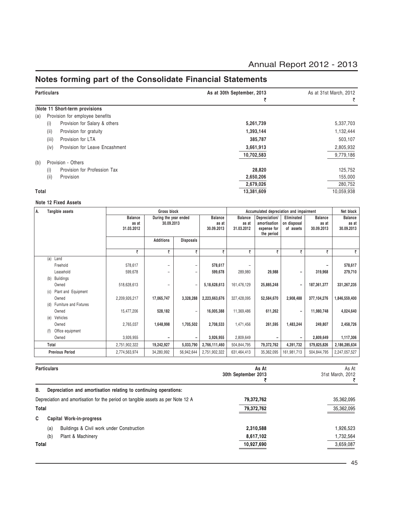# Annual Report 2012 - 2013

# **Notes forming part of the Consolidate Financial Statements**

| <b>Particulars</b> |                                        | As at 30th September, 2013 | As at 31st March, 2012 |
|--------------------|----------------------------------------|----------------------------|------------------------|
|                    |                                        | ₹                          |                        |
|                    | (Note 11 Short-term provisions         |                            |                        |
| (a)                | Provision for employee benefits        |                            |                        |
|                    | Provision for Salary & others<br>(i)   | 5,261,739                  | 5,337,703              |
|                    | (i)<br>Provision for gratuity          | 1,393,144                  | 1,132,444              |
|                    | (iii)<br>Provision for LTA             | 385,787                    | 503,107                |
|                    | Provision for Leave Encashment<br>(iv) | 3,661,913                  | 2,805,932              |
|                    |                                        | 10,702,583                 | 9,779,186              |
| (b)                | Provision - Others                     |                            |                        |
|                    | Provision for Profession Tax<br>(i)    | 28,820                     | 125,752                |
|                    | (ii)<br>Provision                      | 2,650,206                  | 155,000                |
|                    |                                        | 2,679,026                  | 280,752                |
| Total              |                                        | 13,381,609                 | 10,059,938             |

#### **Note 12 Fixed Assets**

| ۱A. | Tangible assets               | Gross block                           |                                     |                          | Accumulated depreciation and impairment |                                       |                                                            |                                        | Net block                             |                                       |
|-----|-------------------------------|---------------------------------------|-------------------------------------|--------------------------|-----------------------------------------|---------------------------------------|------------------------------------------------------------|----------------------------------------|---------------------------------------|---------------------------------------|
|     |                               | <b>Balance</b><br>as at<br>31.03.2012 | During the year ended<br>30.09.2013 |                          | <b>Balance</b><br>as at<br>30.09.2013   | <b>Balance</b><br>as at<br>31.03.2012 | Depreciation/<br>amortisation<br>expense for<br>the period | Eliminated<br>on disposal<br>of assets | <b>Balance</b><br>as at<br>30.09.2013 | <b>Balance</b><br>as at<br>30.09.2013 |
|     |                               |                                       | <b>Additions</b>                    | <b>Disposals</b>         |                                         |                                       |                                                            |                                        |                                       |                                       |
|     |                               | ₹                                     | ₹                                   | ₹                        | ₹                                       | ₹                                     | ₹                                                          | ₹                                      | ₹                                     | ₹                                     |
|     | (a)<br>Land                   |                                       |                                     |                          |                                         |                                       |                                                            |                                        |                                       |                                       |
|     | Freehold                      | 578,617                               |                                     | $\overline{\phantom{0}}$ | 578,617                                 |                                       |                                                            |                                        |                                       | 578,617                               |
|     | Leasehold                     | 599,678                               |                                     |                          | 599,678                                 | 289,980                               | 29,988                                                     | $\overline{\phantom{0}}$               | 319,968                               | 279,710                               |
|     | <b>Buildings</b><br>(b)       |                                       |                                     |                          |                                         |                                       |                                                            |                                        |                                       |                                       |
|     | Owned                         | 518,628,613                           |                                     | ۰                        | 5,18,628,613                            | 161,476,129                           | 25,885,248                                                 | Ξ.                                     | 187, 361, 377                         | 331,267,235                           |
|     | Plant and Equipment<br>(c)    |                                       |                                     |                          |                                         |                                       |                                                            |                                        |                                       |                                       |
|     | Owned                         | 2,209,926,217                         | 17,065,747                          | 3,328,288                | 2,223,663,676                           | 327,428,095                           | 52,584,670                                                 | 2,908,488                              | 377,104,276                           | 1,846,559,400                         |
|     | Furniture and Fixtures<br>(d) |                                       |                                     |                          |                                         |                                       |                                                            |                                        |                                       |                                       |
|     | Owned                         | 15,477,206                            | 528,182                             | $\qquad \qquad$          | 16,005,388                              | 11,369,486                            | 611,262                                                    | Ξ.                                     | 11,980,748                            | 4,024,640                             |
|     | Vehicles<br>(e)               |                                       |                                     |                          |                                         |                                       |                                                            |                                        |                                       |                                       |
|     | Owned                         | 2,765,037                             | 1,648,998                           | 1,705,502                | 2,708,533                               | 1,471,456                             | 261,595                                                    | 1,483,244                              | 249,807                               | 2,458,726                             |
|     | Office equipment<br>(f)       |                                       |                                     |                          |                                         |                                       |                                                            |                                        |                                       |                                       |
|     | Owned                         | 3,926,955                             |                                     | $\overline{\phantom{a}}$ | 3,926,955                               | 2,809,649                             |                                                            | $\overline{\phantom{0}}$               | 2,809,649                             | 1,117,306                             |
|     | Total                         | 2,751,902,322                         | 19,242,927                          | 5,033,790                | 2,766,111,460                           | 504,844,795                           | 79,372,762                                                 | 4,391,732                              | 579,825,826                           | 2,186,285,634                         |
|     | <b>Previous Period</b>        | 2,774,563,974                         | 34,280,992                          | 56,942,644               | 2,751,902,322                           | 631,464,413                           | 35,362,095                                                 | 161,981,713                            | 504,844,795                           | 2,247,057,527                         |

|                                                                                  | <b>Particulars</b>                                               | As At<br>30th September 2013 | As At<br>31st March, 2012 |
|----------------------------------------------------------------------------------|------------------------------------------------------------------|------------------------------|---------------------------|
| В.                                                                               | Depreciation and amortisation relating to continuing operations: |                              |                           |
| Depreciation and amortisation for the period on tangible assets as per Note 12 A |                                                                  | 79,372,762                   | 35,362,095                |
| Total                                                                            |                                                                  | 79,372,762                   | 35,362,095                |
| C                                                                                | <b>Capital Work-in-progress</b>                                  |                              |                           |
|                                                                                  | Buildings & Civil work under Construction<br>(a)                 | 2,310,588                    | 1,926,523                 |
|                                                                                  | (b)<br>Plant & Machinery                                         | 8,617,102                    | 1,732,564                 |
| Total                                                                            |                                                                  | 10,927,690                   | 3,659,087                 |
|                                                                                  |                                                                  |                              |                           |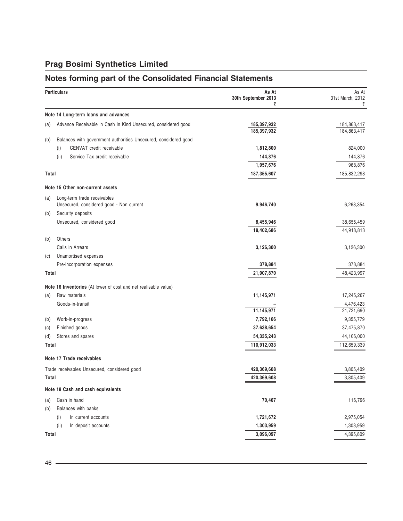# **Notes forming part of the Consolidated Financial Statements**

| Note 14 Long-term loans and advances<br>Advance Receivable in Cash In Kind Unsecured, considered good<br>185,397,932<br>184,863,417<br>(a)<br>184,863,417<br>185,397,932<br>Balances with government authorities Unsecured, considered good<br>(b)<br>CENVAT credit receivable<br>1,812,800<br>824,000<br>(i)<br>(ii)<br>Service Tax credit receivable<br>144,876<br>144,876<br>1,957,676<br>968,876<br>Total<br>187,355,607<br>185,832,293<br>Note 15 Other non-current assets<br>Long-term trade receivables<br>(a)<br>Unsecured, considered good - Non current<br>9,946,740<br>6,263,354<br>Security deposits<br>(b)<br>Unsecured, considered good<br>8,455,946<br>38,655,459<br>18,402,686<br>44,918,813<br>Others<br>(b)<br>Calls in Arrears<br>3,126,300<br>3,126,300<br>Unamortised expenses<br>(c)<br>378,884<br>Pre-incorporation expenses<br>378,884<br>Total<br>21,907,870<br>48,423,997<br>Note 16 Inventories (At lower of cost and net realisable value)<br>Raw materials<br>11,145,971<br>17,245,267<br>(a)<br>Goods-in-transit<br>4,476,423<br>11,145,971<br>21,721,690<br>Work-in-progress<br>7,792,166<br>9,355,779<br>(b)<br>Finished goods<br>37,638,654<br>37,475,870<br>(c)<br>Stores and spares<br>(d)<br>54,335,243<br>44,106,000<br>Total<br>110,912,033<br>112,659,339<br>Note 17 Trade receivables<br>Trade receivables Unsecured, considered good<br>420,369,608<br>3,805,409<br>Total<br>420,369,608<br>3,805,409<br>Note 18 Cash and cash equivalents<br>Cash in hand<br>70,467<br>116,796<br>(a)<br>Balances with banks<br>(b)<br>2,975,054<br>In current accounts<br>1,721,672<br>(i)<br>(ii)<br>1,303,959<br>In deposit accounts<br>1,303,959<br>Total<br>3,096,097<br>4,395,809 | <b>Particulars</b> | As At<br>30th September 2013<br>₹ | As At<br>31st March, 2012<br>₹ |
|-------------------------------------------------------------------------------------------------------------------------------------------------------------------------------------------------------------------------------------------------------------------------------------------------------------------------------------------------------------------------------------------------------------------------------------------------------------------------------------------------------------------------------------------------------------------------------------------------------------------------------------------------------------------------------------------------------------------------------------------------------------------------------------------------------------------------------------------------------------------------------------------------------------------------------------------------------------------------------------------------------------------------------------------------------------------------------------------------------------------------------------------------------------------------------------------------------------------------------------------------------------------------------------------------------------------------------------------------------------------------------------------------------------------------------------------------------------------------------------------------------------------------------------------------------------------------------------------------------------------------------------------------------------------------------------------------------------------|--------------------|-----------------------------------|--------------------------------|
|                                                                                                                                                                                                                                                                                                                                                                                                                                                                                                                                                                                                                                                                                                                                                                                                                                                                                                                                                                                                                                                                                                                                                                                                                                                                                                                                                                                                                                                                                                                                                                                                                                                                                                                   |                    |                                   |                                |
|                                                                                                                                                                                                                                                                                                                                                                                                                                                                                                                                                                                                                                                                                                                                                                                                                                                                                                                                                                                                                                                                                                                                                                                                                                                                                                                                                                                                                                                                                                                                                                                                                                                                                                                   |                    |                                   |                                |
|                                                                                                                                                                                                                                                                                                                                                                                                                                                                                                                                                                                                                                                                                                                                                                                                                                                                                                                                                                                                                                                                                                                                                                                                                                                                                                                                                                                                                                                                                                                                                                                                                                                                                                                   |                    |                                   |                                |
|                                                                                                                                                                                                                                                                                                                                                                                                                                                                                                                                                                                                                                                                                                                                                                                                                                                                                                                                                                                                                                                                                                                                                                                                                                                                                                                                                                                                                                                                                                                                                                                                                                                                                                                   |                    |                                   |                                |
|                                                                                                                                                                                                                                                                                                                                                                                                                                                                                                                                                                                                                                                                                                                                                                                                                                                                                                                                                                                                                                                                                                                                                                                                                                                                                                                                                                                                                                                                                                                                                                                                                                                                                                                   |                    |                                   |                                |
|                                                                                                                                                                                                                                                                                                                                                                                                                                                                                                                                                                                                                                                                                                                                                                                                                                                                                                                                                                                                                                                                                                                                                                                                                                                                                                                                                                                                                                                                                                                                                                                                                                                                                                                   |                    |                                   |                                |
|                                                                                                                                                                                                                                                                                                                                                                                                                                                                                                                                                                                                                                                                                                                                                                                                                                                                                                                                                                                                                                                                                                                                                                                                                                                                                                                                                                                                                                                                                                                                                                                                                                                                                                                   |                    |                                   |                                |
|                                                                                                                                                                                                                                                                                                                                                                                                                                                                                                                                                                                                                                                                                                                                                                                                                                                                                                                                                                                                                                                                                                                                                                                                                                                                                                                                                                                                                                                                                                                                                                                                                                                                                                                   |                    |                                   |                                |
|                                                                                                                                                                                                                                                                                                                                                                                                                                                                                                                                                                                                                                                                                                                                                                                                                                                                                                                                                                                                                                                                                                                                                                                                                                                                                                                                                                                                                                                                                                                                                                                                                                                                                                                   |                    |                                   |                                |
|                                                                                                                                                                                                                                                                                                                                                                                                                                                                                                                                                                                                                                                                                                                                                                                                                                                                                                                                                                                                                                                                                                                                                                                                                                                                                                                                                                                                                                                                                                                                                                                                                                                                                                                   |                    |                                   |                                |
|                                                                                                                                                                                                                                                                                                                                                                                                                                                                                                                                                                                                                                                                                                                                                                                                                                                                                                                                                                                                                                                                                                                                                                                                                                                                                                                                                                                                                                                                                                                                                                                                                                                                                                                   |                    |                                   |                                |
|                                                                                                                                                                                                                                                                                                                                                                                                                                                                                                                                                                                                                                                                                                                                                                                                                                                                                                                                                                                                                                                                                                                                                                                                                                                                                                                                                                                                                                                                                                                                                                                                                                                                                                                   |                    |                                   |                                |
|                                                                                                                                                                                                                                                                                                                                                                                                                                                                                                                                                                                                                                                                                                                                                                                                                                                                                                                                                                                                                                                                                                                                                                                                                                                                                                                                                                                                                                                                                                                                                                                                                                                                                                                   |                    |                                   |                                |
|                                                                                                                                                                                                                                                                                                                                                                                                                                                                                                                                                                                                                                                                                                                                                                                                                                                                                                                                                                                                                                                                                                                                                                                                                                                                                                                                                                                                                                                                                                                                                                                                                                                                                                                   |                    |                                   |                                |
|                                                                                                                                                                                                                                                                                                                                                                                                                                                                                                                                                                                                                                                                                                                                                                                                                                                                                                                                                                                                                                                                                                                                                                                                                                                                                                                                                                                                                                                                                                                                                                                                                                                                                                                   |                    |                                   |                                |
|                                                                                                                                                                                                                                                                                                                                                                                                                                                                                                                                                                                                                                                                                                                                                                                                                                                                                                                                                                                                                                                                                                                                                                                                                                                                                                                                                                                                                                                                                                                                                                                                                                                                                                                   |                    |                                   |                                |
|                                                                                                                                                                                                                                                                                                                                                                                                                                                                                                                                                                                                                                                                                                                                                                                                                                                                                                                                                                                                                                                                                                                                                                                                                                                                                                                                                                                                                                                                                                                                                                                                                                                                                                                   |                    |                                   |                                |
|                                                                                                                                                                                                                                                                                                                                                                                                                                                                                                                                                                                                                                                                                                                                                                                                                                                                                                                                                                                                                                                                                                                                                                                                                                                                                                                                                                                                                                                                                                                                                                                                                                                                                                                   |                    |                                   |                                |
|                                                                                                                                                                                                                                                                                                                                                                                                                                                                                                                                                                                                                                                                                                                                                                                                                                                                                                                                                                                                                                                                                                                                                                                                                                                                                                                                                                                                                                                                                                                                                                                                                                                                                                                   |                    |                                   |                                |
|                                                                                                                                                                                                                                                                                                                                                                                                                                                                                                                                                                                                                                                                                                                                                                                                                                                                                                                                                                                                                                                                                                                                                                                                                                                                                                                                                                                                                                                                                                                                                                                                                                                                                                                   |                    |                                   |                                |
|                                                                                                                                                                                                                                                                                                                                                                                                                                                                                                                                                                                                                                                                                                                                                                                                                                                                                                                                                                                                                                                                                                                                                                                                                                                                                                                                                                                                                                                                                                                                                                                                                                                                                                                   |                    |                                   |                                |
|                                                                                                                                                                                                                                                                                                                                                                                                                                                                                                                                                                                                                                                                                                                                                                                                                                                                                                                                                                                                                                                                                                                                                                                                                                                                                                                                                                                                                                                                                                                                                                                                                                                                                                                   |                    |                                   |                                |
|                                                                                                                                                                                                                                                                                                                                                                                                                                                                                                                                                                                                                                                                                                                                                                                                                                                                                                                                                                                                                                                                                                                                                                                                                                                                                                                                                                                                                                                                                                                                                                                                                                                                                                                   |                    |                                   |                                |
|                                                                                                                                                                                                                                                                                                                                                                                                                                                                                                                                                                                                                                                                                                                                                                                                                                                                                                                                                                                                                                                                                                                                                                                                                                                                                                                                                                                                                                                                                                                                                                                                                                                                                                                   |                    |                                   |                                |
|                                                                                                                                                                                                                                                                                                                                                                                                                                                                                                                                                                                                                                                                                                                                                                                                                                                                                                                                                                                                                                                                                                                                                                                                                                                                                                                                                                                                                                                                                                                                                                                                                                                                                                                   |                    |                                   |                                |
|                                                                                                                                                                                                                                                                                                                                                                                                                                                                                                                                                                                                                                                                                                                                                                                                                                                                                                                                                                                                                                                                                                                                                                                                                                                                                                                                                                                                                                                                                                                                                                                                                                                                                                                   |                    |                                   |                                |
|                                                                                                                                                                                                                                                                                                                                                                                                                                                                                                                                                                                                                                                                                                                                                                                                                                                                                                                                                                                                                                                                                                                                                                                                                                                                                                                                                                                                                                                                                                                                                                                                                                                                                                                   |                    |                                   |                                |
|                                                                                                                                                                                                                                                                                                                                                                                                                                                                                                                                                                                                                                                                                                                                                                                                                                                                                                                                                                                                                                                                                                                                                                                                                                                                                                                                                                                                                                                                                                                                                                                                                                                                                                                   |                    |                                   |                                |
|                                                                                                                                                                                                                                                                                                                                                                                                                                                                                                                                                                                                                                                                                                                                                                                                                                                                                                                                                                                                                                                                                                                                                                                                                                                                                                                                                                                                                                                                                                                                                                                                                                                                                                                   |                    |                                   |                                |
|                                                                                                                                                                                                                                                                                                                                                                                                                                                                                                                                                                                                                                                                                                                                                                                                                                                                                                                                                                                                                                                                                                                                                                                                                                                                                                                                                                                                                                                                                                                                                                                                                                                                                                                   |                    |                                   |                                |
|                                                                                                                                                                                                                                                                                                                                                                                                                                                                                                                                                                                                                                                                                                                                                                                                                                                                                                                                                                                                                                                                                                                                                                                                                                                                                                                                                                                                                                                                                                                                                                                                                                                                                                                   |                    |                                   |                                |
|                                                                                                                                                                                                                                                                                                                                                                                                                                                                                                                                                                                                                                                                                                                                                                                                                                                                                                                                                                                                                                                                                                                                                                                                                                                                                                                                                                                                                                                                                                                                                                                                                                                                                                                   |                    |                                   |                                |
|                                                                                                                                                                                                                                                                                                                                                                                                                                                                                                                                                                                                                                                                                                                                                                                                                                                                                                                                                                                                                                                                                                                                                                                                                                                                                                                                                                                                                                                                                                                                                                                                                                                                                                                   |                    |                                   |                                |
|                                                                                                                                                                                                                                                                                                                                                                                                                                                                                                                                                                                                                                                                                                                                                                                                                                                                                                                                                                                                                                                                                                                                                                                                                                                                                                                                                                                                                                                                                                                                                                                                                                                                                                                   |                    |                                   |                                |
|                                                                                                                                                                                                                                                                                                                                                                                                                                                                                                                                                                                                                                                                                                                                                                                                                                                                                                                                                                                                                                                                                                                                                                                                                                                                                                                                                                                                                                                                                                                                                                                                                                                                                                                   |                    |                                   |                                |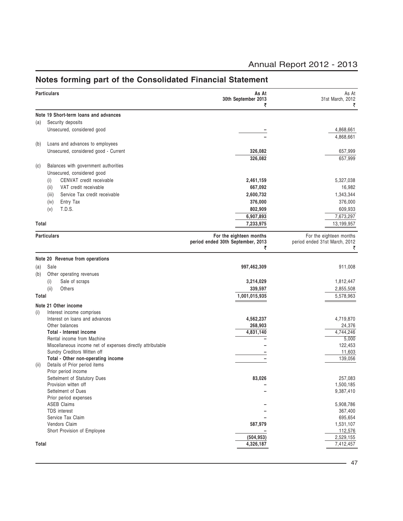|       | <b>Particulars</b>                                         | As At<br>30th September 2013      | As At<br>31st March, 2012     |
|-------|------------------------------------------------------------|-----------------------------------|-------------------------------|
|       |                                                            | ₹                                 | ₹                             |
|       | Note 19 Short-term loans and advances                      |                                   |                               |
| (a)   | Security deposits                                          |                                   |                               |
|       | Unsecured, considered good                                 |                                   | 4,868,661                     |
|       |                                                            |                                   | 4,868,661                     |
| (b)   | Loans and advances to employees                            |                                   |                               |
|       | Unsecured, considered good - Current                       | 326,082                           | 657,999                       |
|       |                                                            | 326,082                           | 657,999                       |
| (c)   | Balances with government authorities                       |                                   |                               |
|       | Unsecured, considered good                                 |                                   |                               |
|       | CENVAT credit receivable<br>(i)                            | 2,461,159                         | 5,327,038                     |
|       | (ii)<br>VAT credit receivable                              | 667,092                           | 16,982                        |
|       | Service Tax credit receivable<br>(iii)                     | 2,600,732                         | 1,343,344                     |
|       | Entry Tax<br>(iv)                                          | 376,000                           | 376,000                       |
|       | T.D.S.<br>(v)                                              | 802,909                           | 609,933                       |
|       |                                                            | 6,907,893                         | 7,673,297                     |
| Total |                                                            | 7,233,975                         | 13,199,957                    |
|       | <b>Particulars</b>                                         | For the eighteen months           | For the eighteen months       |
|       |                                                            | period ended 30th September, 2013 | period ended 31st March, 2012 |
|       |                                                            | ₹                                 | ₹                             |
|       | Note 20 Revenue from operations                            |                                   |                               |
| (a)   | Sale                                                       | 997,462,309                       | 911,008                       |
| (b)   | Other operating revenues                                   |                                   |                               |
|       | (i)<br>Sale of scraps                                      | 3,214,029                         | 1,812,447                     |
|       | Others<br>(ii)                                             | 339,597                           | 2,855,508                     |
| Total |                                                            | 1,001,015,935                     | 5,578,963                     |
|       | Note 21 Other income                                       |                                   |                               |
| (i)   | Interest income comprises                                  |                                   |                               |
|       | Interest on loans and advances                             | 4,562,237                         | 4,719,870                     |
|       | Other balances                                             | 268,903                           | 24,376                        |
|       | <b>Total - Interest income</b>                             | 4,831,140                         | 4,744,246                     |
|       | Rental income from Machine                                 |                                   | 5,000                         |
|       | Miscellaneous income net of expenses directly attributable |                                   | 122,453                       |
|       | Sundry Creditors Witten off                                |                                   | 11,603                        |
|       | Total - Other non-operating income                         |                                   | 139,056                       |
| (ii)  | Details of Prior period items                              |                                   |                               |
|       | Prior period income                                        |                                   |                               |
|       | Settelment of Statutory Dues                               | 83,026                            | 257,083                       |
|       | Provision witten off<br>Settelment of Dues                 |                                   | 1,500,185                     |
|       | Prior period expenses                                      |                                   | 9,387,410                     |
|       | <b>ASEB Claims</b>                                         |                                   | 5,908,786                     |
|       | TDS interest                                               |                                   | 367,400                       |
|       | Service Tax Claim                                          |                                   | 695,654                       |
|       | Vendors Claim                                              | 587,979                           | 1,531,107                     |
|       | Short Provision of Employee                                |                                   | 112,576                       |
|       |                                                            | (504, 953)                        | 2,529,155                     |
| Total |                                                            | 4,326,187                         | 7,412,457                     |
|       |                                                            |                                   |                               |

# **Notes forming part of the Consolidated Financial Statement**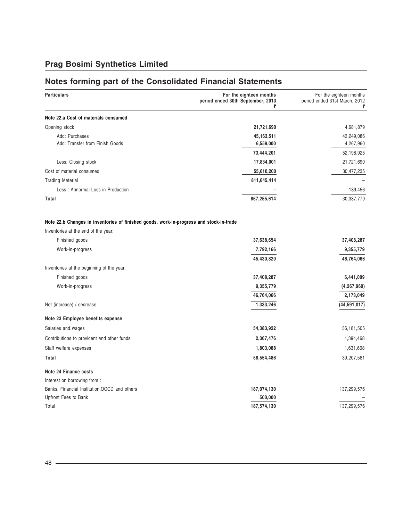# **Notes forming part of the Consolidated Financial Statements**

| <b>Particulars</b>                                                                      | For the eighteen months<br>period ended 30th September, 2013<br>₹ |               |
|-----------------------------------------------------------------------------------------|-------------------------------------------------------------------|---------------|
| Note 22.a Cost of materials consumed                                                    |                                                                   |               |
| Opening stock                                                                           | 21,721,690                                                        | 4,681,879     |
| Add: Purchases                                                                          | 45,163,511                                                        | 43,249,086    |
| Add: Transfer from Finish Goods                                                         | 6,559,000                                                         | 4,267,960     |
|                                                                                         | 73,444,201                                                        | 52,198,925    |
| Less: Closing stock                                                                     | 17,834,001                                                        | 21,721,690    |
| Cost of material consumed                                                               | 55,610,200                                                        | 30,477,235    |
| <b>Trading Material</b>                                                                 | 811,645,414                                                       |               |
| Less: Abnormal Loss in Production                                                       |                                                                   | 139,456       |
| Total                                                                                   | 867,255,614                                                       | 30,337,779    |
| Note 22.b Changes in inventories of finished goods, work-in-progress and stock-in-trade |                                                                   |               |
| Inventories at the end of the year:                                                     |                                                                   |               |
| Finished goods                                                                          | 37,638,654                                                        | 37,408,287    |
| Work-in-progress                                                                        | 7,792,166                                                         | 9,355,779     |
|                                                                                         | 45,430,820                                                        | 46,764,066    |
| Inventories at the beginning of the year:                                               |                                                                   |               |
| Finished goods                                                                          | 37,408,287                                                        | 6,441,009     |
| Work-in-progress                                                                        | 9,355,779                                                         | (4, 267, 960) |
|                                                                                         | 46,764,066                                                        | 2,173,049     |
| Net (increase) / decrease                                                               | 1,333,246                                                         | (44,591,017)  |
| Note 23 Employee benefits expense                                                       |                                                                   |               |
| Salaries and wages                                                                      | 54,383,922                                                        | 36, 181, 505  |
| Contributions to provident and other funds                                              | 2,367,476                                                         | 1,394,468     |
| Staff welfare expenses                                                                  | 1,803,088                                                         | 1,631,608     |
| Total                                                                                   | 58,554,486                                                        | 39,207,581    |
| Note 24 Finance costs                                                                   |                                                                   |               |
| Interest on borrowing from :                                                            |                                                                   |               |
| Banks, Financial Institution, OCCD and others                                           | 187,074,130                                                       | 137,299,576   |
| Upfront Fees to Bank                                                                    | 500,000                                                           |               |
| Total                                                                                   | 187,574,130                                                       | 137,299,576   |

the control of the control of the control of the control of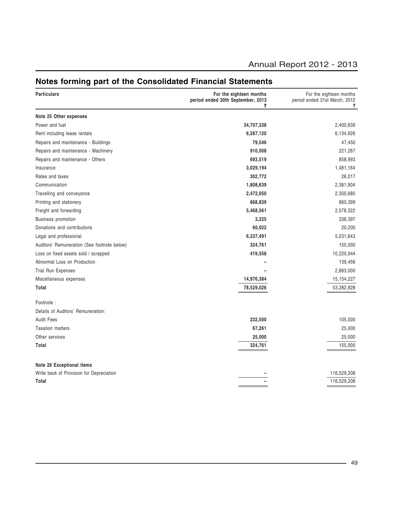# Annual Report 2012 - 2013

| <b>Particulars</b>                          | For the eighteen months<br>period ended 30th September, 2013<br>₹ | For the eighteen months<br>period ended 31st March, 2012<br>₹ |
|---------------------------------------------|-------------------------------------------------------------------|---------------------------------------------------------------|
| Note 25 Other expenses                      |                                                                   |                                                               |
| Power and fuel                              | 34,707,338                                                        | 2,400,839                                                     |
| Rent including lease rentals                | 6,267,120                                                         | 6,134,926                                                     |
| Repairs and maintenance - Buildings         | 79,546                                                            | 47,450                                                        |
| Repairs and maintenance - Machinery         | 910,008                                                           | 221,267                                                       |
| Repairs and maintenance - Others            | 693,519                                                           | 858,993                                                       |
| Insurance                                   | 3,029,194                                                         | 1,481,164                                                     |
| Rates and taxes                             | 302,772                                                           | 26,017                                                        |
| Communication                               | 1,808,639                                                         | 2,381,904                                                     |
| Travelling and conveyance                   | 2,472,050                                                         | 2,350,680                                                     |
| Printing and stationery                     | 668,839                                                           | 860,399                                                       |
| Freight and forwarding                      | 5,468,561                                                         | 2,578,322                                                     |
| <b>Business promotion</b>                   | 3,225                                                             | 336,397                                                       |
| Donations and contributions                 | 60,022                                                            | 20,200                                                        |
| Legal and professional                      | 6,337,491                                                         | 5,031,643                                                     |
| Auditors' Remuneration (See footnote below) | 324,761                                                           | 155,000                                                       |
| Loss on fixed assets sold / scrapped        | 419,558                                                           | 10,220,944                                                    |
| Abnormal Loss on Production                 |                                                                   | 139,456                                                       |
| <b>Trial Run Expenses</b>                   |                                                                   | 2,883,000                                                     |
| Miscellaneous expenses                      | 14,976,384                                                        | 15, 154, 227                                                  |
| Total                                       | 78,529,026                                                        | 53,282,828                                                    |
| Footnote:                                   |                                                                   |                                                               |
| Details of Auditors' Remuneration:          |                                                                   |                                                               |
| <b>Audit Fees</b>                           | 232,500                                                           | 105,000                                                       |
| <b>Taxation matters</b>                     | 67,261                                                            | 25,000                                                        |
| Other services                              | 25,000                                                            | 25,000                                                        |
| Total                                       | 324,761                                                           | 155,000                                                       |
| Note 26 Exceptional items                   |                                                                   |                                                               |
| Write back of Provision for Depreciation    |                                                                   | 116,529,208                                                   |
| Total                                       |                                                                   | 116,529,208                                                   |

# **Notes forming part of the Consolidated Financial Statements**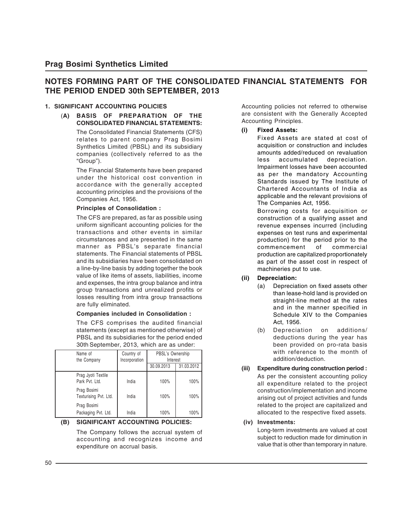# **NOTES FORMING PART OF THE CONSOLIDATED FINANCIAL STATEMENTS FOR THE PERIOD ENDED 30th SEPTEMBER, 2013**

## **1. SIGNIFICANT ACCOUNTING POLICIES**

## (**A) BASIS OF PREPARATION OF THE CONSOLIDATED FINANCIAL STATEMENTS:**

The Consolidated Financial Statements (CFS) relates to parent company Prag Bosimi Synthetics Limited (PBSL) and its subsidiary companies (collectively referred to as the "Group").

The Financial Statements have been prepared under the historical cost convention in accordance with the generally accepted accounting principles and the provisions of the Companies Act, 1956.

## **Principles of Consolidation :**

The CFS are prepared, as far as possible using uniform significant accounting policies for the transactions and other events in similar circumstances and are presented in the same manner as PBSL's separate financial statements. The Financial statements of PBSL and its subsidiaries have been consolidated on a line-by-line basis by adding together the book value of like items of assets, liabilities, income and expenses, the intra group balance and intra group transactions and unrealized profits or losses resulting from intra group transactions are fully eliminated.

## **Companies included in Consolidation :**

The CFS comprises the audited financial statements (except as mentioned otherwise) of PBSL and its subsidiaries for the period ended 30th September, 2013, which are as under:

| Name of<br>the Company               | Country of<br>Incorporation | PBSL's Ownership<br>Interest |            |
|--------------------------------------|-----------------------------|------------------------------|------------|
|                                      |                             | 30.09.2013                   | 31.03.2012 |
| Prag Jyoti Textile<br>Park Pvt. Ltd. | India                       | 100%                         | 100%       |
| Prag Bosimi<br>Texturising Pvt. Ltd. | India                       | 100%                         | 100%       |
| Prag Bosimi<br>Packaging Pvt. Ltd.   | India                       | 100%                         | 100%       |

**(B) SIGNIFICANT ACCOUNTING POLICIES:**

The Company follows the accrual system of accounting and recognizes income and expenditure on accrual basis.

Accounting policies not referred to otherwise are consistent with the Generally Accepted Accounting Principles.

## **(i) Fixed Assets:**

Fixed Assets are stated at cost of acquisition or construction and includes amounts added/reduced on revaluation less accumulated depreciation. Impairment losses have been accounted as per the mandatory Accounting Standards issued by The Institute of Chartered Accountants of India as applicable and the relevant provisions of The Companies Act, 1956.

Borrowing costs for acquisition or construction of a qualifying asset and revenue expenses incurred (including expenses on test runs and experimental production) for the period prior to the commencement of commercial production are capitalized proportionately as part of the asset cost in respect of machineries put to use.

**(ii) Depreciation:**

- (a) Depreciation on fixed assets other than lease-hold land is provided on straight-line method at the rates and in the manner specified in Schedule XIV to the Companies Act, 1956.
- (b) Depreciation on additions/ deductions during the year has been provided on pro-rata basis with reference to the month of addition/deduction.
- **(iii) Expenditure during construction period :** As per the consistent accounting policy all expenditure related to the project construction/implementation and income arising out of project activities and funds related to the project are capitalized and allocated to the respective fixed assets.

 **(iv) Investments:**

Long-term investments are valued at cost subject to reduction made for diminution in value that is other than temporary in nature.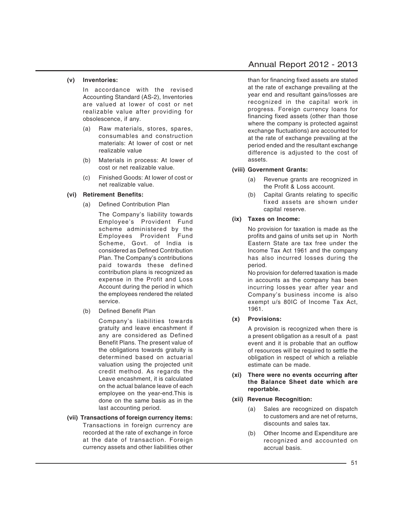### **(v) Inventories:**

In accordance with the revised Accounting Standard (AS-2), Inventories are valued at lower of cost or net realizable value after providing for obsolescence, if any.

- (a) Raw materials, stores, spares, consumables and construction materials: At lower of cost or net realizable value
- (b) Materials in process: At lower of cost or net realizable value.
- (c) Finished Goods: At lower of cost or net realizable value.

## **(vi) Retirement Benefits:**

(a) Defined Contribution Plan

The Company's liability towards Employee's Provident Fund scheme administered by the Employees Provident Fund Scheme, Govt. of India is considered as Defined Contribution Plan. The Company's contributions paid towards these defined contribution plans is recognized as expense in the Profit and Loss Account during the period in which the employees rendered the related service.

(b) Defined Benefit Plan

Company's liabilities towards gratuity and leave encashment if any are considered as Defined Benefit Plans. The present value of the obligations towards gratuity is determined based on actuarial valuation using the projected unit credit method. As regards the Leave encashment, it is calculated on the actual balance leave of each employee on the year-end.This is done on the same basis as in the last accounting period.

### **(vii) Transactions of foreign currency items:** Transactions in foreign currency are recorded at the rate of exchange in force at the date of transaction. Foreign currency assets and other liabilities other

than for financing fixed assets are stated at the rate of exchange prevailing at the year end and resultant gains/losses are recognized in the capital work in progress. Foreign currency loans for financing fixed assets (other than those where the company is protected against exchange fluctuations) are accounted for at the rate of exchange prevailing at the period ended and the resultant exchange difference is adjusted to the cost of assets.

## **(viii) Government Grants:**

- (a) Revenue grants are recognized in the Profit & Loss account.
- (b) Capital Grants relating to specific fixed assets are shown under capital reserve.

### **(ix) Taxes on Income:**

No provision for taxation is made as the profits and gains of units set up in North Eastern State are tax free under the Income Tax Act 1961 and the company has also incurred losses during the period.

No provision for deferred taxation is made in accounts as the company has been incurring losses year after year and Company's business income is also exempt u/s 80IC of Income Tax Act, 1961.

**(x) Provisions:**

A provision is recognized when there is a present obligation as a result of a past event and it is probable that an outflow of resources will be required to settle the obligation in respect of which a reliable estimate can be made.

- **(xi) There were no events occurring after the Balance Sheet date which are reportable.**
- **(xii) Revenue Recognition:**
	- (a) Sales are recognized on dispatch to customers and are net of returns, discounts and sales tax.
	- (b) Other Income and Expenditure are recognized and accounted on accrual basis.

# Annual Report 2012 - 2013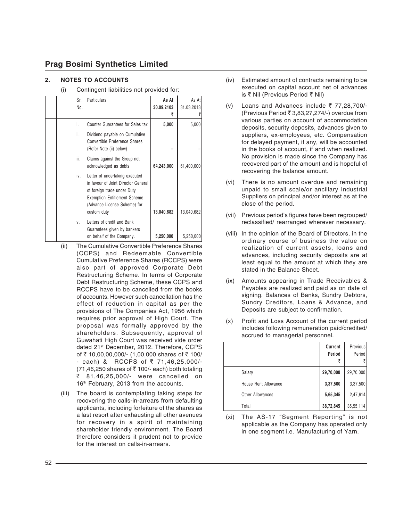## **2. NOTES TO ACCOUNTS**

(i) Contingent liabilities not provided for:

| Sr.  | <b>Particulars</b>                                                                                                                                                                         | As At      | As At      |  |
|------|--------------------------------------------------------------------------------------------------------------------------------------------------------------------------------------------|------------|------------|--|
|      |                                                                                                                                                                                            |            |            |  |
| No.  |                                                                                                                                                                                            | 30.09.2103 | 31.03.2013 |  |
|      |                                                                                                                                                                                            |            |            |  |
| i.   | Counter Guarantees for Sales tax                                                                                                                                                           | 5,000      | 5,000      |  |
| ii.  | Dividend payable on Cumulative<br>Convertible Preference Shares<br>(Refer Note (ii) below)                                                                                                 |            |            |  |
| iii. | Claims against the Group not<br>acknowledged as debts                                                                                                                                      | 64,243,000 | 61,400,000 |  |
| iv.  | Letter of undertaking executed<br>in favour of Joint Director General<br>of foreign trade under Duty<br><b>Exemption Entitlement Scheme</b><br>(Advance License Scheme) for<br>custom duty | 13,040,682 | 13,040,682 |  |
| V.   | Letters of credit and Bank<br>Guarantees given by bankers<br>on behalf of the Company.                                                                                                     | 5,250,000  | 5,250,000  |  |

- (ii) The Cumulative Convertible Preference Shares (CCPS) and Redeemable Convertible Cumulative Preference Shares (RCCPS) were also part of approved Corporate Debt Restructuring Scheme. In terms of Corporate Debt Restructuring Scheme, these CCPS and RCCPS have to be cancelled from the books of accounts. However such cancellation has the effect of reduction in capital as per the provisions of The Companies Act, 1956 which requires prior approval of High Court. The proposal was formally approved by the shareholders. Subsequently, approval of Guwahati High Court was received vide order dated 21<sup>st</sup> December, 2012. Therefore, CCPS of ₹ 10,00,00,000/- (1,00,000 shares of ₹ 100/  $-$  each) & RCCPS of  $\bar{z}$  71,46,25,000/-(71,46,250 shares of  $\bar{c}$  100/- each) both totaling ` 81,46,25,000/- were cancelled on 16<sup>th</sup> February, 2013 from the accounts.
- (iii) The board is contemplating taking steps for recovering the calls-in-arrears from defaulting applicants, including forfeiture of the shares as a last resort after exhausting all other avenues for recovery in a spirit of maintaining shareholder friendly environment. The Board therefore considers it prudent not to provide for the interest on calls-in-arrears.
- (iv) Estimated amount of contracts remaining to be executed on capital account net of advances is ₹ Nil (Previous Period ₹ Nil)
- (v) Loans and Advances include  $\overline{5}$  77,28,700/-(Previous Period  $\bar{z}$  3,83,27,274/-) overdue from various parties on account of accommodation deposits, security deposits, advances given to suppliers, ex-employees, etc. Compensation for delayed payment, if any, will be accounted in the books of account, if and when realized. No provision is made since the Company has recovered part of the amount and is hopeful of recovering the balance amount.
- (vi) There is no amount overdue and remaining unpaid to small scale/or ancillary Industrial Suppliers on principal and/or interest as at the close of the period.
- (vii) Previous period's figures have been regrouped/ reclassified/ rearranged wherever necessary.
- (viii) In the opinion of the Board of Directors, in the ordinary course of business the value on realization of current assets, loans and advances, including security deposits are at least equal to the amount at which they are stated in the Balance Sheet.
- (ix) Amounts appearing in Trade Receivables & Payables are realized and paid as on date of signing. Balances of Banks, Sundry Debtors, Sundry Creditors, Loans & Advance, and Deposits are subject to confirmation.
- (x) Profit and Loss Account of the current period includes following remuneration paid/credited/ accrued to managerial personnel.

|                      | Current<br>Period | Previous<br>Period |
|----------------------|-------------------|--------------------|
| Salary               | 29,70,000         | 29,70,000          |
| House Rent Allowance | 3,37,500          | 3,37,500           |
| Other Allowances     | 5,65,345          | 2,47,614           |
| Total                | 38,72,845         | 35,55,114          |

(xi) The AS-17 "Segment Reporting" is not applicable as the Company has operated only in one segment i.e. Manufacturing of Yarn.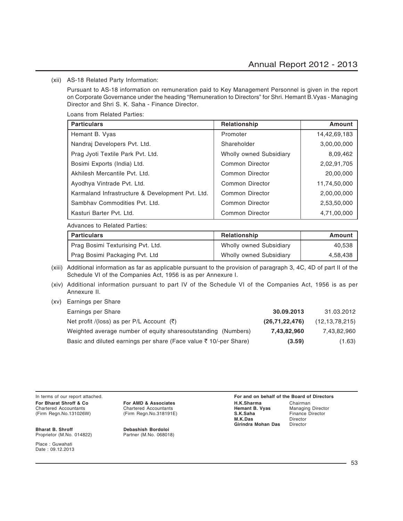(xii) AS-18 Related Party Information:

Pursuant to AS-18 information on remuneration paid to Key Management Personnel is given in the report on Corporate Governance under the heading "Remuneration to Directors" for Shri. Hemant B.Vyas - Managing Director and Shri S. K. Saha - Finance Director.

Loans from Related Parties:

| <b>Particulars</b>                               | Relationship                   | Amount       |
|--------------------------------------------------|--------------------------------|--------------|
| Hemant B. Vyas                                   | Promoter                       | 14,42,69,183 |
| Nandraj Developers Pvt. Ltd.                     | Shareholder                    | 3,00,00,000  |
| Prag Jyoti Textile Park Pvt. Ltd.                | <b>Wholly owned Subsidiary</b> | 8,09,462     |
| Bosimi Exports (India) Ltd.                      | Common Director                | 2,02,91,705  |
| Akhilesh Mercantile Pyt. Ltd.                    | Common Director                | 20,00,000    |
| Ayodhya Vintrade Pvt. Ltd.                       | Common Director                | 11,74,50,000 |
| Karmaland Infrastructure & Development Pvt. Ltd. | Common Director                | 2,00,00,000  |
| Sambhay Commodities Pyt. Ltd.                    | Common Director                | 2,53,50,000  |
| Kasturi Barter Pyt. Ltd.                         | Common Director                | 4,71,00,000  |

Advances to Related Parties:

| <b>Particulars</b>                | Relationship                   | Amount   |
|-----------------------------------|--------------------------------|----------|
| Prag Bosimi Texturising Pvt. Ltd. | <b>Wholly owned Subsidiary</b> | 40.538   |
| Prag Bosimi Packaging Pvt. Ltd    | <b>Wholly owned Subsidiary</b> | 4,58,438 |

(xiii) Additional information as far as applicable pursuant to the provision of paragraph 3, 4C, 4D of part II of the Schedule VI of the Companies Act, 1956 is as per Annexure I.

(xiv) Additional information pursuant to part IV of the Schedule VI of the Companies Act, 1956 is as per Annexure II.

| Earnings per Share                                                           | 30.09.2013        | 31.03.2012        |
|------------------------------------------------------------------------------|-------------------|-------------------|
| Net profit /(loss) as per P/L Account $(\bar{\tau})$                         | (26, 71, 22, 476) | (12, 13, 78, 215) |
| Weighted average number of equity sharesoutstanding (Numbers)                | 7,43,82,960       | 7,43,82,960       |
| Basic and diluted earnings per share (Face value $\bar{\tau}$ 10/-per Share) | (3.59)            | (1.63)            |

(xv) Earnings per Share

**Bharat B. Shroff Debashish Bordoloi**<br>Proprietor (M.No. 014822) Partner (M.No. 068018) Proprietor (M.No. 014822)

Place : Guwahati Date : 09.12.2013

In terms of our report attached. **For and on behalf of the Board of Directors For Bharat Shroff & Co For AMD & Associates H.K.Sharma** Chairman Chairman Chartered Accountants **For AMD & Associates Hemant B. Vyas** Managing Director Chartered Accountants Chartered Accountants **Hemant B. Vyas** Managing Director (Firm Regn.No.131026W) (Firm Regn.No.318191E) **S.K.Saha** Finance **S.K.Saha** Finance Director **M.K.Das** Director<br>**Girindra Mohan Das** Director **Girindra Mohan Das**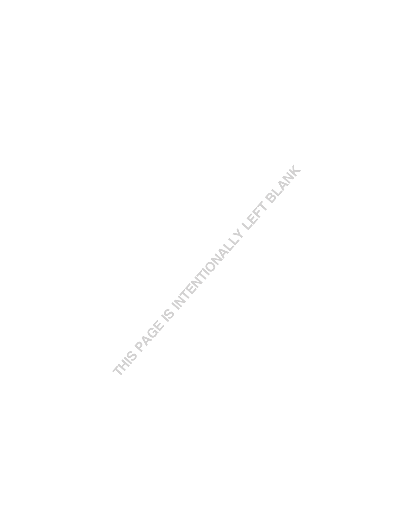**THIS PAGE IS IT THAT DOWNLY LEFT BLANK**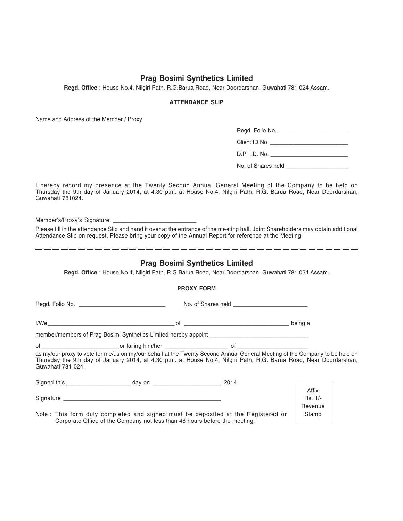**Regd. Office** : House No.4, Nilgiri Path, R.G.Barua Road, Near Doordarshan, Guwahati 781 024 Assam.

## **ATTENDANCE SLIP**

Name and Address of the Member / Proxy

| Regd. Folio No. |  |
|-----------------|--|
|                 |  |

Client ID No.

D.P. I.D. No. \_\_\_\_\_\_\_\_\_\_\_\_\_\_\_\_\_\_\_\_\_\_\_\_\_

No. of Shares held \_\_\_\_\_\_\_\_\_\_\_\_\_\_\_\_\_\_\_\_

I hereby record my presence at the Twenty Second Annual General Meeting of the Company to be held on Thursday the 9th day of January 2014, at 4.30 p.m. at House No.4, Nilgiri Path, R.G. Barua Road, Near Doordarshan, Guwahati 781024.

Member's/Proxy's Signature

Please fill in the attendance Slip and hand it over at the entrance of the meeting hall. Joint Shareholders may obtain additional Attendance Slip on request. Please bring your copy of the Annual Report for reference at the Meeting.

|                                                                            | <b>Prag Bosimi Synthetics Limited</b><br>Regd. Office: House No.4, Nilgiri Path, R.G.Barua Road, Near Doordarshan, Guwahati 781 024 Assam.                                                                                                        |                             |
|----------------------------------------------------------------------------|---------------------------------------------------------------------------------------------------------------------------------------------------------------------------------------------------------------------------------------------------|-----------------------------|
|                                                                            | <b>PROXY FORM</b>                                                                                                                                                                                                                                 |                             |
|                                                                            |                                                                                                                                                                                                                                                   |                             |
|                                                                            |                                                                                                                                                                                                                                                   |                             |
|                                                                            | member/members of Prag Bosimi Synthetics Limited hereby appoint ___________________________________                                                                                                                                               |                             |
| Guwahati 781 024.                                                          | as my/our proxy to vote for me/us on my/our behalf at the Twenty Second Annual General Meeting of the Company to be held on<br>Thursday the 9th day of January 2014, at 4.30 p.m. at House No.4, Nilgiri Path, R.G. Barua Road, Near Doordarshan, |                             |
|                                                                            |                                                                                                                                                                                                                                                   | Affix<br>Rs. 1/-<br>Revenue |
| Corporate Office of the Company not less than 48 hours before the meeting. | Note: This form duly completed and signed must be deposited at the Registered or                                                                                                                                                                  | Stamp                       |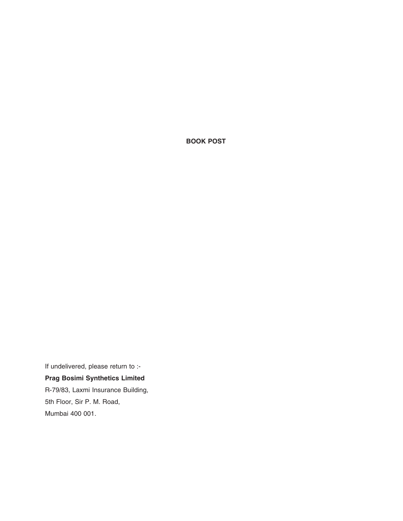**BOOK POST**

If undelivered, please return to :- **Prag Bosimi Synthetics Limited** R-79/83, Laxmi Insurance Building, 5th Floor, Sir P. M. Road, Mumbai 400 001.